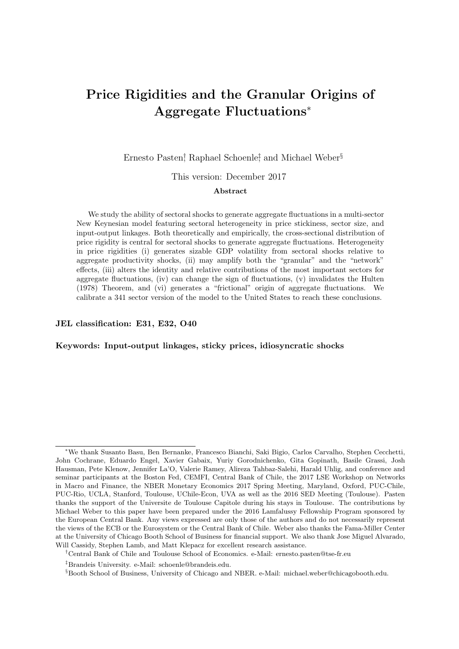# <span id="page-0-0"></span>Price Rigidities and the Granular Origins of Aggregate Fluctuations<sup>∗</sup>

Ernesto Pasten<sup>†</sup>, Raphael Schoenle<sup>‡</sup>, and Michael Weber<sup>§</sup>

This version: December 2017

### Abstract

We study the ability of sectoral shocks to generate aggregate fluctuations in a multi-sector New Keynesian model featuring sectoral heterogeneity in price stickiness, sector size, and input-output linkages. Both theoretically and empirically, the cross-sectional distribution of price rigidity is central for sectoral shocks to generate aggregate fluctuations. Heterogeneity in price rigidities (i) generates sizable GDP volatility from sectoral shocks relative to aggregate productivity shocks, (ii) may amplify both the "granular" and the "network" effects, (iii) alters the identity and relative contributions of the most important sectors for aggregate fluctuations, (iv) can change the sign of fluctuations,  $(v)$  invalidates the [Hulten](#page-39-0) [\(1978\)](#page-39-0) Theorem, and (vi) generates a "frictional" origin of aggregate fluctuations. We calibrate a 341 sector version of the model to the United States to reach these conclusions.

### JEL classification: E31, E32, O40

#### Keywords: Input-output linkages, sticky prices, idiosyncratic shocks

<sup>∗</sup>We thank Susanto Basu, Ben Bernanke, Francesco Bianchi, Saki Bigio, Carlos Carvalho, Stephen Cecchetti, John Cochrane, Eduardo Engel, Xavier Gabaix, Yuriy Gorodnichenko, Gita Gopinath, Basile Grassi, Josh Hausman, Pete Klenow, Jennifer La'O, Valerie Ramey, Alireza Tahbaz-Salehi, Harald Uhlig, and conference and seminar participants at the Boston Fed, CEMFI, Central Bank of Chile, the 2017 LSE Workshop on Networks in Macro and Finance, the NBER Monetary Economics 2017 Spring Meeting, Maryland, Oxford, PUC-Chile, PUC-Rio, UCLA, Stanford, Toulouse, UChile-Econ, UVA as well as the 2016 SED Meeting (Toulouse). Pasten thanks the support of the Universite de Toulouse Capitole during his stays in Toulouse. The contributions by Michael Weber to this paper have been prepared under the 2016 Lamfalussy Fellowship Program sponsored by the European Central Bank. Any views expressed are only those of the authors and do not necessarily represent the views of the ECB or the Eurosystem or the Central Bank of Chile. Weber also thanks the Fama-Miller Center at the University of Chicago Booth School of Business for financial support. We also thank Jose Miguel Alvarado, Will Cassidy, Stephen Lamb, and Matt Klepacz for excellent research assistance.

<sup>†</sup>Central Bank of Chile and Toulouse School of Economics. e-Mail: ernesto.pasten@tse-fr.eu

<sup>‡</sup>Brandeis University. e-Mail: schoenle@brandeis.edu.

<sup>§</sup>Booth School of Business, University of Chicago and NBER. e-Mail: michael.weber@chicagobooth.edu.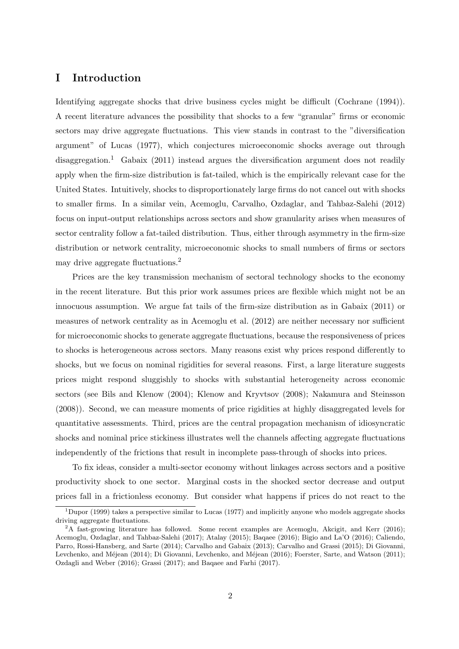# I Introduction

Identifying aggregate shocks that drive business cycles might be difficult [\(Cochrane](#page-38-0) [\(1994\)](#page-38-0)). A recent literature advances the possibility that shocks to a few "granular" firms or economic sectors may drive aggregate fluctuations. This view stands in contrast to the "diversification argument" of [Lucas](#page-39-1) [\(1977\)](#page-39-1), which conjectures microeconomic shocks average out through disaggregation.<sup>[1](#page-0-0)</sup> [Gabaix](#page-39-2) [\(2011\)](#page-39-2) instead argues the diversification argument does not readily apply when the firm-size distribution is fat-tailed, which is the empirically relevant case for the United States. Intuitively, shocks to disproportionately large firms do not cancel out with shocks to smaller firms. In a similar vein, [Acemoglu, Carvalho, Ozdaglar, and Tahbaz-Salehi](#page-38-1) [\(2012\)](#page-38-1) focus on input-output relationships across sectors and show granularity arises when measures of sector centrality follow a fat-tailed distribution. Thus, either through asymmetry in the firm-size distribution or network centrality, microeconomic shocks to small numbers of firms or sectors may drive aggregate fluctuations.[2](#page-0-0)

Prices are the key transmission mechanism of sectoral technology shocks to the economy in the recent literature. But this prior work assumes prices are flexible which might not be an innocuous assumption. We argue fat tails of the firm-size distribution as in [Gabaix](#page-39-2) [\(2011\)](#page-39-2) or measures of network centrality as in [Acemoglu et al.](#page-38-1) [\(2012\)](#page-38-1) are neither necessary nor sufficient for microeconomic shocks to generate aggregate fluctuations, because the responsiveness of prices to shocks is heterogeneous across sectors. Many reasons exist why prices respond differently to shocks, but we focus on nominal rigidities for several reasons. First, a large literature suggests prices might respond sluggishly to shocks with substantial heterogeneity across economic sectors (see [Bils and Klenow](#page-38-2) [\(2004\)](#page-38-2); [Klenow and Kryvtsov](#page-39-3) [\(2008\)](#page-39-3); [Nakamura and Steinsson](#page-40-0) [\(2008\)](#page-40-0)). Second, we can measure moments of price rigidities at highly disaggregated levels for quantitative assessments. Third, prices are the central propagation mechanism of idiosyncratic shocks and nominal price stickiness illustrates well the channels affecting aggregate fluctuations independently of the frictions that result in incomplete pass-through of shocks into prices.

To fix ideas, consider a multi-sector economy without linkages across sectors and a positive productivity shock to one sector. Marginal costs in the shocked sector decrease and output prices fall in a frictionless economy. But consider what happens if prices do not react to the

<sup>&</sup>lt;sup>1</sup>[Dupor](#page-39-4) [\(1999\)](#page-39-4) takes a perspective similar to [Lucas](#page-39-1) [\(1977\)](#page-39-1) and implicitly anyone who models aggregate shocks driving aggregate fluctuations.

<sup>&</sup>lt;sup>2</sup>A fast-growing literature has followed. Some recent examples are [Acemoglu, Akcigit, and Kerr](#page-38-3) [\(2016\)](#page-38-3); [Acemoglu, Ozdaglar, and Tahbaz-Salehi](#page-38-4) [\(2017\)](#page-38-4); [Atalay](#page-38-5) [\(2015\)](#page-38-5); [Baqaee](#page-38-6) [\(2016\)](#page-38-6); [Bigio and La'O](#page-38-7) [\(2016\)](#page-38-7); [Caliendo,](#page-38-8) [Parro, Rossi-Hansberg, and Sarte](#page-38-8) [\(2014\)](#page-38-8); [Carvalho and Gabaix](#page-38-9) [\(2013\)](#page-38-9); [Carvalho and Grassi](#page-38-10) [\(2015\)](#page-38-10); [Di Giovanni,](#page-38-11) Levchenko, and Méjean [\(2014\)](#page-38-11); Di Giovanni, Levchenko, and Méjean [\(2016\)](#page-39-5); [Foerster, Sarte, and Watson](#page-39-6) [\(2011\)](#page-39-6); [Ozdagli and Weber](#page-40-1) [\(2016\)](#page-40-1); [Grassi](#page-39-7) [\(2017\)](#page-39-7); and Baqaee and Farhi (2017).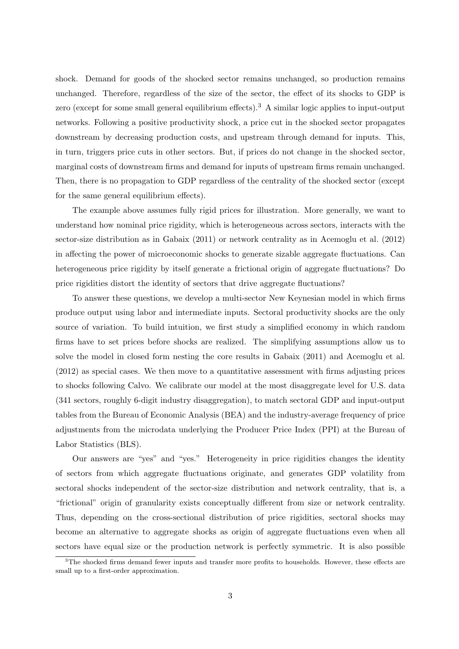shock. Demand for goods of the shocked sector remains unchanged, so production remains unchanged. Therefore, regardless of the size of the sector, the effect of its shocks to GDP is zero (except for some small general equilibrium effects).<sup>[3](#page-0-0)</sup> A similar logic applies to input-output networks. Following a positive productivity shock, a price cut in the shocked sector propagates downstream by decreasing production costs, and upstream through demand for inputs. This, in turn, triggers price cuts in other sectors. But, if prices do not change in the shocked sector, marginal costs of downstream firms and demand for inputs of upstream firms remain unchanged. Then, there is no propagation to GDP regardless of the centrality of the shocked sector (except for the same general equilibrium effects).

The example above assumes fully rigid prices for illustration. More generally, we want to understand how nominal price rigidity, which is heterogeneous across sectors, interacts with the sector-size distribution as in [Gabaix](#page-39-2) [\(2011\)](#page-39-2) or network centrality as in [Acemoglu et al.](#page-38-1) [\(2012\)](#page-38-1) in affecting the power of microeconomic shocks to generate sizable aggregate fluctuations. Can heterogeneous price rigidity by itself generate a frictional origin of aggregate fluctuations? Do price rigidities distort the identity of sectors that drive aggregate fluctuations?

To answer these questions, we develop a multi-sector New Keynesian model in which firms produce output using labor and intermediate inputs. Sectoral productivity shocks are the only source of variation. To build intuition, we first study a simplified economy in which random firms have to set prices before shocks are realized. The simplifying assumptions allow us to solve the model in closed form nesting the core results in [Gabaix](#page-39-2) [\(2011\)](#page-39-2) and [Acemoglu et al.](#page-38-1) [\(2012\)](#page-38-1) as special cases. We then move to a quantitative assessment with firms adjusting prices to shocks following Calvo. We calibrate our model at the most disaggregate level for U.S. data (341 sectors, roughly 6-digit industry disaggregation), to match sectoral GDP and input-output tables from the Bureau of Economic Analysis (BEA) and the industry-average frequency of price adjustments from the microdata underlying the Producer Price Index (PPI) at the Bureau of Labor Statistics (BLS).

Our answers are "yes" and "yes." Heterogeneity in price rigidities changes the identity of sectors from which aggregate fluctuations originate, and generates GDP volatility from sectoral shocks independent of the sector-size distribution and network centrality, that is, a "frictional" origin of granularity exists conceptually different from size or network centrality. Thus, depending on the cross-sectional distribution of price rigidities, sectoral shocks may become an alternative to aggregate shocks as origin of aggregate fluctuations even when all sectors have equal size or the production network is perfectly symmetric. It is also possible

<sup>&</sup>lt;sup>3</sup>The shocked firms demand fewer inputs and transfer more profits to households. However, these effects are small up to a first-order approximation.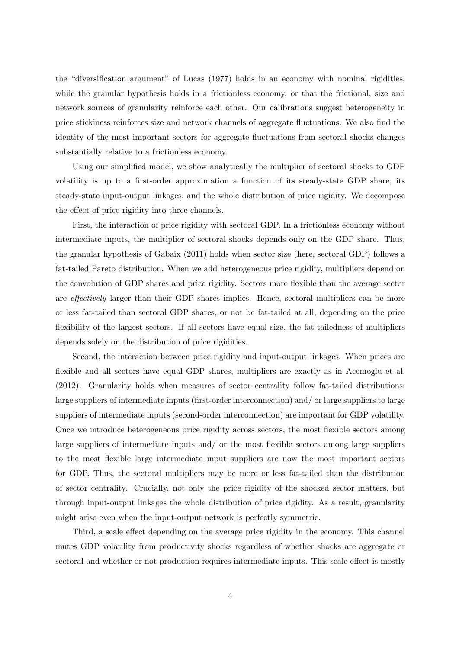the "diversification argument" of [Lucas](#page-39-1) [\(1977\)](#page-39-1) holds in an economy with nominal rigidities, while the granular hypothesis holds in a frictionless economy, or that the frictional, size and network sources of granularity reinforce each other. Our calibrations suggest heterogeneity in price stickiness reinforces size and network channels of aggregate fluctuations. We also find the identity of the most important sectors for aggregate fluctuations from sectoral shocks changes substantially relative to a frictionless economy.

Using our simplified model, we show analytically the multiplier of sectoral shocks to GDP volatility is up to a first-order approximation a function of its steady-state GDP share, its steady-state input-output linkages, and the whole distribution of price rigidity. We decompose the effect of price rigidity into three channels.

First, the interaction of price rigidity with sectoral GDP. In a frictionless economy without intermediate inputs, the multiplier of sectoral shocks depends only on the GDP share. Thus, the granular hypothesis of [Gabaix](#page-39-2) [\(2011\)](#page-39-2) holds when sector size (here, sectoral GDP) follows a fat-tailed Pareto distribution. When we add heterogeneous price rigidity, multipliers depend on the convolution of GDP shares and price rigidity. Sectors more flexible than the average sector are effectively larger than their GDP shares implies. Hence, sectoral multipliers can be more or less fat-tailed than sectoral GDP shares, or not be fat-tailed at all, depending on the price flexibility of the largest sectors. If all sectors have equal size, the fat-tailedness of multipliers depends solely on the distribution of price rigidities.

Second, the interaction between price rigidity and input-output linkages. When prices are flexible and all sectors have equal GDP shares, multipliers are exactly as in [Acemoglu et al.](#page-38-1) [\(2012\)](#page-38-1). Granularity holds when measures of sector centrality follow fat-tailed distributions: large suppliers of intermediate inputs (first-order interconnection) and/ or large suppliers to large suppliers of intermediate inputs (second-order interconnection) are important for GDP volatility. Once we introduce heterogeneous price rigidity across sectors, the most flexible sectors among large suppliers of intermediate inputs and/ or the most flexible sectors among large suppliers to the most flexible large intermediate input suppliers are now the most important sectors for GDP. Thus, the sectoral multipliers may be more or less fat-tailed than the distribution of sector centrality. Crucially, not only the price rigidity of the shocked sector matters, but through input-output linkages the whole distribution of price rigidity. As a result, granularity might arise even when the input-output network is perfectly symmetric.

Third, a scale effect depending on the average price rigidity in the economy. This channel mutes GDP volatility from productivity shocks regardless of whether shocks are aggregate or sectoral and whether or not production requires intermediate inputs. This scale effect is mostly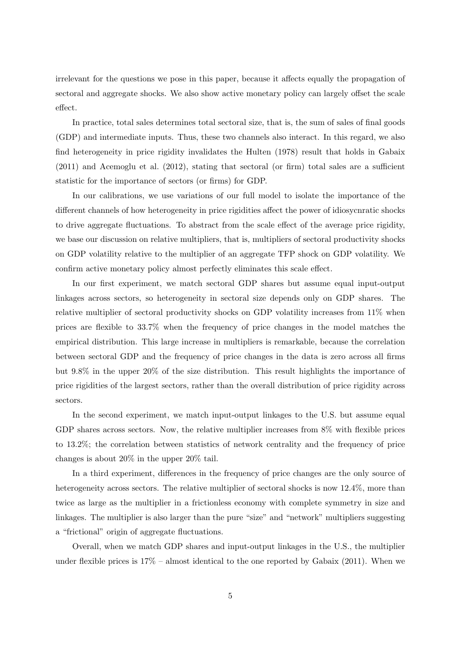irrelevant for the questions we pose in this paper, because it affects equally the propagation of sectoral and aggregate shocks. We also show active monetary policy can largely offset the scale effect.

In practice, total sales determines total sectoral size, that is, the sum of sales of final goods (GDP) and intermediate inputs. Thus, these two channels also interact. In this regard, we also find heterogeneity in price rigidity invalidates the [Hulten](#page-39-0) [\(1978\)](#page-39-0) result that holds in [Gabaix](#page-39-2) [\(2011\)](#page-39-2) and [Acemoglu et al.](#page-38-1) [\(2012\)](#page-38-1), stating that sectoral (or firm) total sales are a sufficient statistic for the importance of sectors (or firms) for GDP.

In our calibrations, we use variations of our full model to isolate the importance of the different channels of how heterogeneity in price rigidities affect the power of idiosycnratic shocks to drive aggregate fluctuations. To abstract from the scale effect of the average price rigidity, we base our discussion on relative multipliers, that is, multipliers of sectoral productivity shocks on GDP volatility relative to the multiplier of an aggregate TFP shock on GDP volatility. We confirm active monetary policy almost perfectly eliminates this scale effect.

In our first experiment, we match sectoral GDP shares but assume equal input-output linkages across sectors, so heterogeneity in sectoral size depends only on GDP shares. The relative multiplier of sectoral productivity shocks on GDP volatility increases from 11% when prices are flexible to 33.7% when the frequency of price changes in the model matches the empirical distribution. This large increase in multipliers is remarkable, because the correlation between sectoral GDP and the frequency of price changes in the data is zero across all firms but 9.8% in the upper 20% of the size distribution. This result highlights the importance of price rigidities of the largest sectors, rather than the overall distribution of price rigidity across sectors.

In the second experiment, we match input-output linkages to the U.S. but assume equal GDP shares across sectors. Now, the relative multiplier increases from  $8\%$  with flexible prices to 13.2%; the correlation between statistics of network centrality and the frequency of price changes is about 20% in the upper 20% tail.

In a third experiment, differences in the frequency of price changes are the only source of heterogeneity across sectors. The relative multiplier of sectoral shocks is now 12.4%, more than twice as large as the multiplier in a frictionless economy with complete symmetry in size and linkages. The multiplier is also larger than the pure "size" and "network" multipliers suggesting a "frictional" origin of aggregate fluctuations.

Overall, when we match GDP shares and input-output linkages in the U.S., the multiplier under flexible prices is  $17\%$  – almost identical to the one reported by [Gabaix](#page-39-2) [\(2011\)](#page-39-2). When we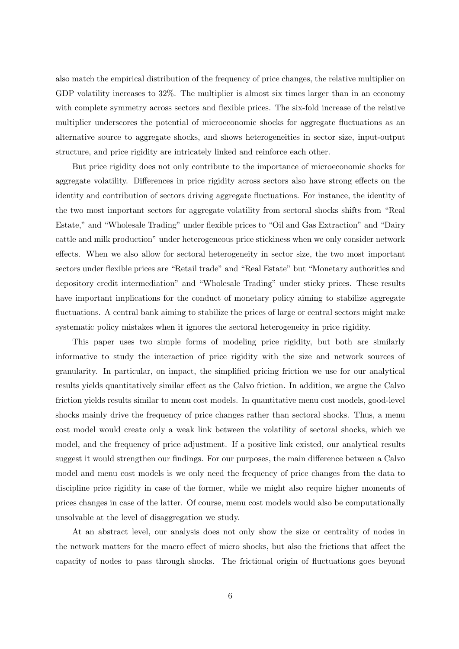also match the empirical distribution of the frequency of price changes, the relative multiplier on GDP volatility increases to 32%. The multiplier is almost six times larger than in an economy with complete symmetry across sectors and flexible prices. The six-fold increase of the relative multiplier underscores the potential of microeconomic shocks for aggregate fluctuations as an alternative source to aggregate shocks, and shows heterogeneities in sector size, input-output structure, and price rigidity are intricately linked and reinforce each other.

But price rigidity does not only contribute to the importance of microeconomic shocks for aggregate volatility. Differences in price rigidity across sectors also have strong effects on the identity and contribution of sectors driving aggregate fluctuations. For instance, the identity of the two most important sectors for aggregate volatility from sectoral shocks shifts from "Real Estate," and "Wholesale Trading" under flexible prices to "Oil and Gas Extraction" and "Dairy cattle and milk production" under heterogeneous price stickiness when we only consider network effects. When we also allow for sectoral heterogeneity in sector size, the two most important sectors under flexible prices are "Retail trade" and "Real Estate" but "Monetary authorities and depository credit intermediation" and "Wholesale Trading" under sticky prices. These results have important implications for the conduct of monetary policy aiming to stabilize aggregate fluctuations. A central bank aiming to stabilize the prices of large or central sectors might make systematic policy mistakes when it ignores the sectoral heterogeneity in price rigidity.

This paper uses two simple forms of modeling price rigidity, but both are similarly informative to study the interaction of price rigidity with the size and network sources of granularity. In particular, on impact, the simplified pricing friction we use for our analytical results yields quantitatively similar effect as the Calvo friction. In addition, we argue the Calvo friction yields results similar to menu cost models. In quantitative menu cost models, good-level shocks mainly drive the frequency of price changes rather than sectoral shocks. Thus, a menu cost model would create only a weak link between the volatility of sectoral shocks, which we model, and the frequency of price adjustment. If a positive link existed, our analytical results suggest it would strengthen our findings. For our purposes, the main difference between a Calvo model and menu cost models is we only need the frequency of price changes from the data to discipline price rigidity in case of the former, while we might also require higher moments of prices changes in case of the latter. Of course, menu cost models would also be computationally unsolvable at the level of disaggregation we study.

At an abstract level, our analysis does not only show the size or centrality of nodes in the network matters for the macro effect of micro shocks, but also the frictions that affect the capacity of nodes to pass through shocks. The frictional origin of fluctuations goes beyond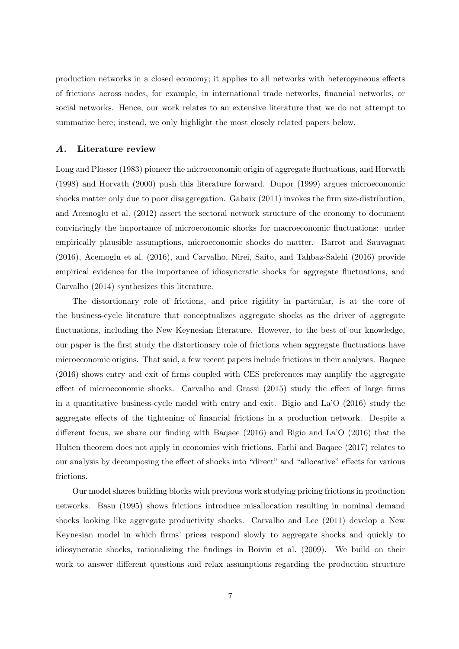production networks in a closed economy; it applies to all networks with heterogeneous effects of frictions across nodes, for example, in international trade networks, financial networks, or social networks. Hence, our work relates to an extensive literature that we do not attempt to summarize here; instead, we only highlight the most closely related papers below.

### A. Literature review

[Long and Plosser](#page-39-8) [\(1983\)](#page-39-8) pioneer the microeconomic origin of aggregate fluctuations, and [Horvath](#page-39-9) [\(1998\)](#page-39-9) and [Horvath](#page-39-10) [\(2000\)](#page-39-10) push this literature forward. [Dupor](#page-39-4) [\(1999\)](#page-39-4) argues microeconomic shocks matter only due to poor disaggregation. [Gabaix](#page-39-2) [\(2011\)](#page-39-2) invokes the firm size-distribution, and [Acemoglu et al.](#page-38-1) [\(2012\)](#page-38-1) assert the sectoral network structure of the economy to document convincingly the importance of microeconomic shocks for macroeconomic fluctuations: under empirically plausible assumptions, microeconomic shocks do matter. [Barrot and Sauvagnat](#page-38-12) [\(2016\)](#page-38-12), [Acemoglu et al.](#page-38-3) [\(2016\)](#page-38-3), and [Carvalho, Nirei, Saito, and Tahbaz-Salehi](#page-38-13) [\(2016\)](#page-38-13) provide empirical evidence for the importance of idiosyncratic shocks for aggregate fluctuations, and [Carvalho](#page-38-14) [\(2014\)](#page-38-14) synthesizes this literature.

The distortionary role of frictions, and price rigidity in particular, is at the core of the business-cycle literature that conceptualizes aggregate shocks as the driver of aggregate fluctuations, including the New Keynesian literature. However, to the best of our knowledge, our paper is the first study the distortionary role of frictions when aggregate fluctuations have microeconomic origins. That said, a few recent papers include frictions in their analyses. [Baqaee](#page-38-6) [\(2016\)](#page-38-6) shows entry and exit of firms coupled with CES preferences may amplify the aggregate effect of microeconomic shocks. [Carvalho and Grassi](#page-38-10) [\(2015\)](#page-38-10) study the effect of large firms in a quantitative business-cycle model with entry and exit. [Bigio and La'O](#page-38-7) [\(2016\)](#page-38-7) study the aggregate effects of the tightening of financial frictions in a production network. Despite a different focus, we share our finding with [Baqaee](#page-38-6) [\(2016\)](#page-38-6) and [Bigio and La'O](#page-38-7) [\(2016\)](#page-38-7) that the Hulten theorem does not apply in economies with frictions. Farhi and Baqaee (2017) relates to our analysis by decomposing the effect of shocks into "direct" and "allocative" effects for various frictions.

Our model shares building blocks with previous work studying pricing frictions in production networks. [Basu](#page-38-15) [\(1995\)](#page-38-15) shows frictions introduce misallocation resulting in nominal demand shocks looking like aggregate productivity shocks. [Carvalho and Lee](#page-38-16) [\(2011\)](#page-38-16) develop a New Keynesian model in which firms' prices respond slowly to aggregate shocks and quickly to idiosyncratic shocks, rationalizing the findings in [Boivin et al.](#page-38-17) [\(2009\)](#page-38-17). We build on their work to answer different questions and relax assumptions regarding the production structure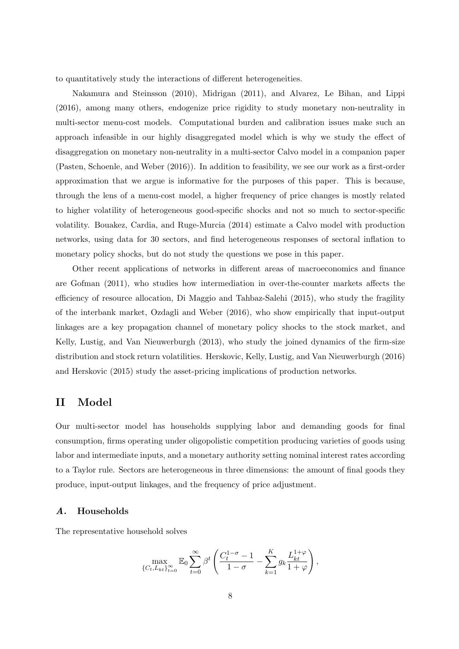to quantitatively study the interactions of different heterogeneities.

[Nakamura and Steinsson](#page-40-2) [\(2010\)](#page-40-2), [Midrigan](#page-39-11) [\(2011\)](#page-39-11), and [Alvarez, Le Bihan, and Lippi](#page-38-18) [\(2016\)](#page-38-18), among many others, endogenize price rigidity to study monetary non-neutrality in multi-sector menu-cost models. Computational burden and calibration issues make such an approach infeasible in our highly disaggregated model which is why we study the effect of disaggregation on monetary non-neutrality in a multi-sector Calvo model in a companion paper [\(Pasten, Schoenle, and Weber](#page-40-3) [\(2016\)](#page-40-3)). In addition to feasibility, we see our work as a first-order approximation that we argue is informative for the purposes of this paper. This is because, through the lens of a menu-cost model, a higher frequency of price changes is mostly related to higher volatility of heterogeneous good-specific shocks and not so much to sector-specific volatility. [Bouakez, Cardia, and Ruge-Murcia](#page-38-19) [\(2014\)](#page-38-19) estimate a Calvo model with production networks, using data for 30 sectors, and find heterogeneous responses of sectoral inflation to monetary policy shocks, but do not study the questions we pose in this paper.

Other recent applications of networks in different areas of macroeconomics and finance are [Gofman](#page-39-12) [\(2011\)](#page-39-12), who studies how intermediation in over-the-counter markets affects the efficiency of resource allocation, [Di Maggio and Tahbaz-Salehi](#page-39-13) [\(2015\)](#page-39-13), who study the fragility of the interbank market, [Ozdagli and Weber](#page-40-1) [\(2016\)](#page-40-1), who show empirically that input-output linkages are a key propagation channel of monetary policy shocks to the stock market, and [Kelly, Lustig, and Van Nieuwerburgh](#page-39-14) [\(2013\)](#page-39-14), who study the joined dynamics of the firm-size distribution and stock return volatilities. [Herskovic, Kelly, Lustig, and Van Nieuwerburgh](#page-39-15) [\(2016\)](#page-39-15) and [Herskovic](#page-39-16) [\(2015\)](#page-39-16) study the asset-pricing implications of production networks.

# <span id="page-7-0"></span>II Model

Our multi-sector model has households supplying labor and demanding goods for final consumption, firms operating under oligopolistic competition producing varieties of goods using labor and intermediate inputs, and a monetary authority setting nominal interest rates according to a Taylor rule. Sectors are heterogeneous in three dimensions: the amount of final goods they produce, input-output linkages, and the frequency of price adjustment.

# A. Households

The representative household solves

$$
\max_{\{C_t, L_{kt}\}_{t=0}^{\infty}} \mathbb{E}_0 \sum_{t=0}^{\infty} \beta^t \left( \frac{C_t^{1-\sigma} - 1}{1-\sigma} - \sum_{k=1}^K g_k \frac{L_{kt}^{1+\varphi}}{1+\varphi} \right),\,
$$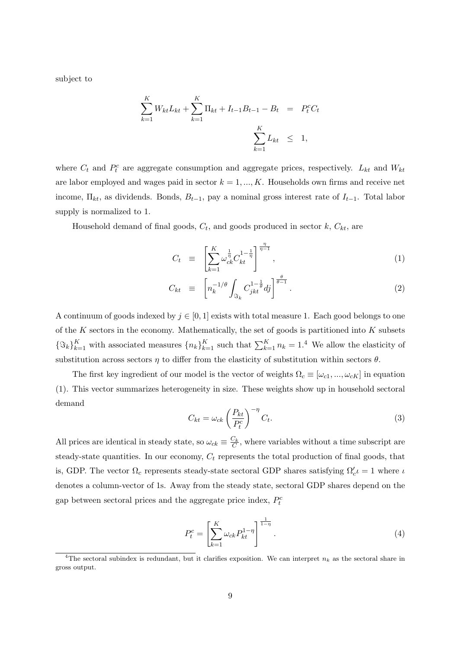subject to

$$
\sum_{k=1}^{K} W_{kt} L_{kt} + \sum_{k=1}^{K} \Pi_{kt} + I_{t-1} B_{t-1} - B_t = P_t^c C_t
$$
  

$$
\sum_{k=1}^{K} L_{kt} \leq 1,
$$

where  $C_t$  and  $P_t^c$  are aggregate consumption and aggregate prices, respectively.  $L_{kt}$  and  $W_{kt}$ are labor employed and wages paid in sector  $k = 1, ..., K$ . Households own firms and receive net income,  $\Pi_{kt}$ , as dividends. Bonds,  $B_{t-1}$ , pay a nominal gross interest rate of  $I_{t-1}$ . Total labor supply is normalized to 1.

Household demand of final goods,  $C_t$ , and goods produced in sector  $k$ ,  $C_{kt}$ , are

<span id="page-8-0"></span>
$$
C_t \equiv \left[ \sum_{k=1}^K \omega_{ck}^{\frac{1}{\eta}} C_{kt}^{1-\frac{1}{\eta}} \right]^{\frac{\eta}{\eta-1}}, \tag{1}
$$

$$
C_{kt} \equiv \left[ n_k^{-1/\theta} \int_{\Im_k} C_{jkt}^{1-\frac{1}{\theta}} dj \right]^{\frac{\theta}{\theta-1}}.
$$
 (2)

A continuum of goods indexed by  $j \in [0, 1]$  exists with total measure 1. Each good belongs to one of the  $K$  sectors in the economy. Mathematically, the set of goods is partitioned into  $K$  subsets  ${\{\Im_k\}}_{k=1}^K$  with associated measures  ${n_k}_{k=1}^K$  such that  $\sum_{k=1}^K n_k = 1.4$  $\sum_{k=1}^K n_k = 1.4$  We allow the elasticity of substitution across sectors  $\eta$  to differ from the elasticity of substitution within sectors  $\theta$ .

The first key ingredient of our model is the vector of weights  $\Omega_c \equiv [\omega_{c1}, ..., \omega_{cK}]$  in equation [\(1\)](#page-8-0). This vector summarizes heterogeneity in size. These weights show up in household sectoral demand

<span id="page-8-2"></span>
$$
C_{kt} = \omega_{ck} \left(\frac{P_{kt}}{P_t^c}\right)^{-\eta} C_t.
$$
\n(3)

All prices are identical in steady state, so  $\omega_{ck} \equiv \frac{C_k}{C}$ , where variables without a time subscript are steady-state quantities. In our economy,  $C_t$  represents the total production of final goods, that is, GDP. The vector  $\Omega_c$  represents steady-state sectoral GDP shares satisfying  $\Omega_c' \iota = 1$  where  $\iota$ denotes a column-vector of 1s. Away from the steady state, sectoral GDP shares depend on the gap between sectoral prices and the aggregate price index,  $P_t^c$ 

<span id="page-8-1"></span>
$$
P_t^c = \left[ \sum_{k=1}^K \omega_{ck} P_{kt}^{1-\eta} \right]^{1-\eta}.
$$
 (4)

<sup>&</sup>lt;sup>4</sup>The sectoral subindex is redundant, but it clarifies exposition. We can interpret  $n_k$  as the sectoral share in gross output.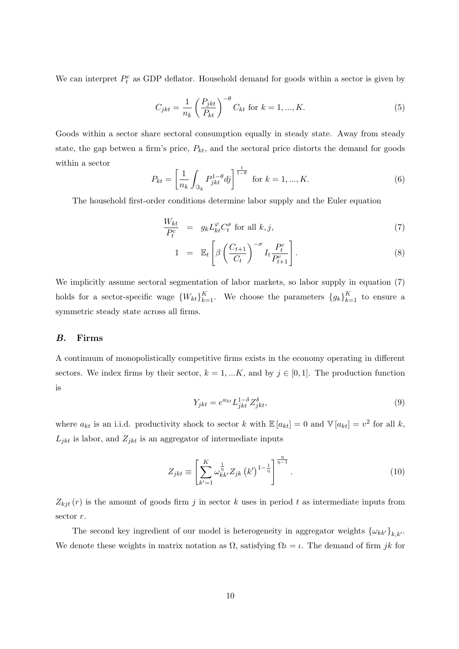We can interpret  $P_t^c$  as GDP deflator. Household demand for goods within a sector is given by

<span id="page-9-3"></span>
$$
C_{jkt} = \frac{1}{n_k} \left(\frac{P_{jkt}}{P_{kt}}\right)^{-\theta} C_{kt} \text{ for } k = 1, ..., K.
$$
 (5)

Goods within a sector share sectoral consumption equally in steady state. Away from steady state, the gap betwen a firm's price,  $P_{kt}$ , and the sectoral price distorts the demand for goods within a sector

<span id="page-9-1"></span>
$$
P_{kt} = \left[\frac{1}{n_k} \int_{\Im_k} P_{jkt}^{1-\theta} dj\right]^{\frac{1}{1-\theta}} \text{ for } k = 1, ..., K. \tag{6}
$$

The household first-order conditions determine labor supply and the Euler equation

<span id="page-9-0"></span>
$$
\frac{W_{kt}}{P_t^c} = g_k L_{kt}^{\varphi} C_t^{\sigma} \text{ for all } k, j,
$$
\n
$$
(7)
$$

$$
1 = \mathbb{E}_t \left[ \beta \left( \frac{C_{t+1}}{C_t} \right)^{-\sigma} I_t \frac{P_t^c}{P_{t+1}^c} \right]. \tag{8}
$$

We implicitly assume sectoral segmentation of labor markets, so labor supply in equation [\(7\)](#page-9-0) holds for a sector-specific wage  ${W_{kt}}_{k=1}^K$ . We choose the parameters  ${g_k}_{k=1}^K$  to ensure a symmetric steady state across all firms.

### B. Firms

A continuum of monopolistically competitive firms exists in the economy operating in different sectors. We index firms by their sector,  $k = 1, ...K$ , and by  $j \in [0, 1]$ . The production function is

$$
Y_{jkt} = e^{a_{kt}} L_{jkt}^{1-\delta} Z_{jkt}^{\delta},\tag{9}
$$

where  $a_{kt}$  is an i.i.d. productivity shock to sector k with  $\mathbb{E}[a_{kt}] = 0$  and  $\mathbb{V}[a_{kt}] = v^2$  for all k,  $L_{jkt}$  is labor, and  $Z_{jkt}$  is an aggregator of intermediate inputs

<span id="page-9-2"></span>
$$
Z_{jkt} \equiv \left[ \sum_{k'=1}^{K} \omega_{kk'}^{\frac{1}{\eta}} Z_{jk} (k')^{1-\frac{1}{\eta}} \right]^{\frac{\eta}{\eta-1}}.
$$
 (10)

 $Z_{kit}(r)$  is the amount of goods firm j in sector k uses in period t as intermediate inputs from sector r.

The second key ingredient of our model is heterogeneity in aggregator weights  $\{\omega_{kk'}\}_{k,k'}$ . We denote these weights in matrix notation as  $\Omega$ , satisfying  $\Omega = \iota$ . The demand of firm jk for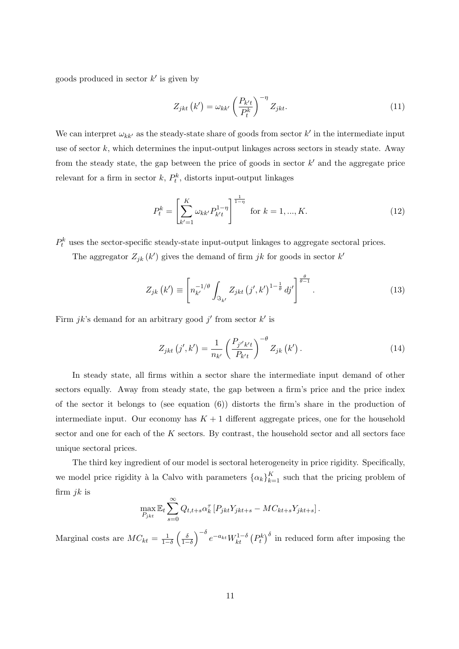goods produced in sector  $k'$  is given by

<span id="page-10-2"></span>
$$
Z_{jkt} \left( k' \right) = \omega_{kk'} \left( \frac{P_{k't}}{P_t^k} \right)^{-\eta} Z_{jkt}.
$$
\n(11)

We can interpret  $\omega_{kk'}$  as the steady-state share of goods from sector  $k'$  in the intermediate input use of sector  $k$ , which determines the input-output linkages across sectors in steady state. Away from the steady state, the gap between the price of goods in sector  $k'$  and the aggregate price relevant for a firm in sector  $k$ ,  $P_t^k$ , distorts input-output linkages

<span id="page-10-1"></span>
$$
P_t^k = \left[\sum_{k'=1}^K \omega_{kk'} P_{k't}^{1-\eta}\right]^{\frac{1}{1-\eta}} \text{ for } k = 1, ..., K. \tag{12}
$$

 $P_t^k$  uses the sector-specific steady-state input-output linkages to aggregate sectoral prices.

The aggregator  $Z_{jk}(k')$  gives the demand of firm jk for goods in sector  $k'$ 

<span id="page-10-0"></span>
$$
Z_{jk}\left(k'\right) \equiv \left[n_{k'}^{-1/\theta} \int_{\mathfrak{S}_{k'}} Z_{jkt}\left(j',k'\right)^{1-\frac{1}{\theta}} dj'\right]^{\frac{\theta}{\theta-1}}.
$$
\n(13)

Firm  $jk$ 's demand for an arbitrary good  $j'$  from sector  $k'$  is

<span id="page-10-3"></span>
$$
Z_{jkt} (j', k') = \frac{1}{n_{k'}} \left( \frac{P_{j'k't}}{P_{k't}} \right)^{-\theta} Z_{jk} (k').
$$
 (14)

In steady state, all firms within a sector share the intermediate input demand of other sectors equally. Away from steady state, the gap between a firm's price and the price index of the sector it belongs to (see equation  $(6)$ ) distorts the firm's share in the production of intermediate input. Our economy has  $K + 1$  different aggregate prices, one for the household sector and one for each of the  $K$  sectors. By contrast, the household sector and all sectors face unique sectoral prices.

The third key ingredient of our model is sectoral heterogeneity in price rigidity. Specifically, we model price rigidity à la Calvo with parameters  $\{\alpha_k\}_{k=1}^K$  such that the pricing problem of firm  $jk$  is

$$
\max_{P_{jkt}} \mathbb{E}_t \sum_{s=0}^{\infty} Q_{t,t+s} \alpha_k^{\tau} \left[ P_{jkt} Y_{jkt+s} - MC_{kt+s} Y_{jkt+s} \right].
$$

Marginal costs are  $MC_{kt} = \frac{1}{1-\delta} \left(\frac{\delta}{1-\delta}\right)^{-\delta} e^{-a_{kt}} W_{kt}^{1-\delta} (P_t^k)^{\delta}$  in reduced form after imposing the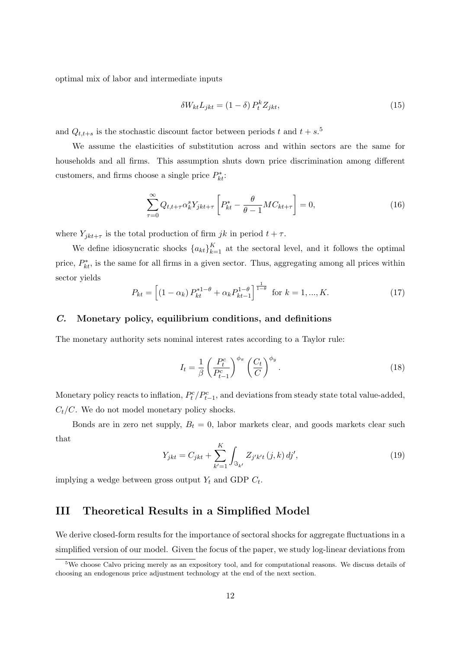optimal mix of labor and intermediate inputs

<span id="page-11-2"></span>
$$
\delta W_{kt} L_{jkt} = (1 - \delta) P_t^k Z_{jkt},\tag{15}
$$

and  $Q_{t,t+s}$  is the stochastic discount factor between periods t and  $t + s$ .<sup>[5](#page-0-0)</sup>

We assume the elasticities of substitution across and within sectors are the same for households and all firms. This assumption shuts down price discrimination among different customers, and firms choose a single price  $P_{kt}^*$ :

$$
\sum_{\tau=0}^{\infty} Q_{t,t+\tau} \alpha_k^s Y_{jkt+\tau} \left[ P_{kt}^* - \frac{\theta}{\theta - 1} M C_{kt+\tau} \right] = 0, \tag{16}
$$

where  $Y_{jkt+\tau}$  is the total production of firm jk in period  $t + \tau$ .

We define idiosyncratic shocks  ${a_{kt}}_{k=1}^K$  at the sectoral level, and it follows the optimal price,  $P_{kt}^*$ , is the same for all firms in a given sector. Thus, aggregating among all prices within sector yields

$$
P_{kt} = \left[ (1 - \alpha_k) P_{kt}^{*1-\theta} + \alpha_k P_{kt-1}^{1-\theta} \right]^{\frac{1}{1-\theta}} \text{ for } k = 1, ..., K. \tag{17}
$$

# C. Monetary policy, equilibrium conditions, and definitions

The monetary authority sets nominal interest rates according to a Taylor rule:

$$
I_t = \frac{1}{\beta} \left( \frac{P_t^c}{P_{t-1}^c} \right)^{\phi_\pi} \left( \frac{C_t}{C} \right)^{\phi_y}.
$$
 (18)

Monetary policy reacts to inflation,  $P_t^c / P_{t-1}^c$ , and deviations from steady state total value-added,  $C_t/C$ . We do not model monetary policy shocks.

Bonds are in zero net supply,  $B_t = 0$ , labor markets clear, and goods markets clear such that

<span id="page-11-1"></span>
$$
Y_{jkt} = C_{jkt} + \sum_{k'=1}^{K} \int_{\Im_{k'}} Z_{j'k't} (j,k) \, dj', \tag{19}
$$

implying a wedge between gross output  $Y_t$  and GDP  $C_t$ .

# <span id="page-11-0"></span>III Theoretical Results in a Simplified Model

We derive closed-form results for the importance of sectoral shocks for aggregate fluctuations in a simplified version of our model. Given the focus of the paper, we study log-linear deviations from

<sup>5</sup>We choose Calvo pricing merely as an expository tool, and for computational reasons. We discuss details of choosing an endogenous price adjustment technology at the end of the next section.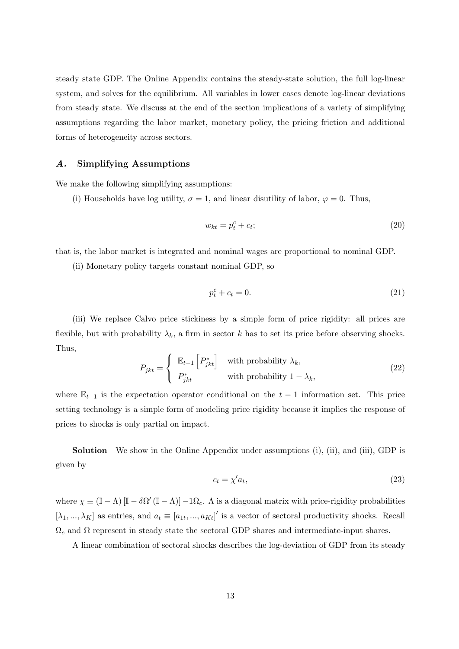steady state GDP. The Online Appendix contains the steady-state solution, the full log-linear system, and solves for the equilibrium. All variables in lower cases denote log-linear deviations from steady state. We discuss at the end of the section implications of a variety of simplifying assumptions regarding the labor market, monetary policy, the pricing friction and additional forms of heterogeneity across sectors.

# A. Simplifying Assumptions

We make the following simplifying assumptions:

(i) Households have log utility,  $\sigma = 1$ , and linear disutility of labor,  $\varphi = 0$ . Thus,

$$
w_{kt} = p_t^c + c_t; \tag{20}
$$

that is, the labor market is integrated and nominal wages are proportional to nominal GDP.

(ii) Monetary policy targets constant nominal GDP, so

$$
p_t^c + c_t = 0.\t\t(21)
$$

(iii) We replace Calvo price stickiness by a simple form of price rigidity: all prices are flexible, but with probability  $\lambda_k$ , a firm in sector k has to set its price before observing shocks. Thus,

$$
P_{jkt} = \begin{cases} \mathbb{E}_{t-1} \left[ P_{jkt}^* \right] & \text{with probability } \lambda_k, \\ P_{jkt}^* & \text{with probability } 1 - \lambda_k, \end{cases}
$$
 (22)

where  $\mathbb{E}_{t-1}$  is the expectation operator conditional on the  $t-1$  information set. This price setting technology is a simple form of modeling price rigidity because it implies the response of prices to shocks is only partial on impact.

Solution We show in the Online Appendix under assumptions (i), (ii), and (iii), GDP is given by

<span id="page-12-0"></span>
$$
c_t = \chi' a_t,\tag{23}
$$

where  $\chi \equiv (\mathbb{I} - \Lambda) [\mathbb{I} - \delta \Omega' (\mathbb{I} - \Lambda)] - 1 \Omega_c$ . A is a diagonal matrix with price-rigidity probabilities  $[\lambda_1, ..., \lambda_K]$  as entries, and  $a_t \equiv [a_{1t}, ..., a_{Kt}]'$  is a vector of sectoral productivity shocks. Recall  $\Omega_c$  and  $\Omega$  represent in steady state the sectoral GDP shares and intermediate-input shares.

A linear combination of sectoral shocks describes the log-deviation of GDP from its steady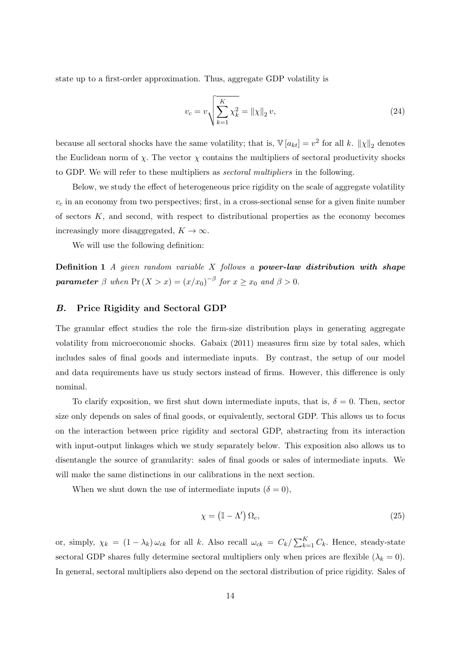state up to a first-order approximation. Thus, aggregate GDP volatility is

<span id="page-13-0"></span>
$$
v_c = v \sqrt{\sum_{k=1}^{K} \chi_k^2} = ||\chi||_2 v,
$$
\n(24)

because all sectoral shocks have the same volatility; that is,  $\mathbb{V}[a_{kt}] = v^2$  for all k.  $\|\chi\|_2$  denotes the Euclidean norm of  $\chi$ . The vector  $\chi$  contains the multipliers of sectoral productivity shocks to GDP. We will refer to these multipliers as sectoral multipliers in the following.

Below, we study the effect of heterogeneous price rigidity on the scale of aggregate volatility  $v_c$  in an economy from two perspectives; first, in a cross-sectional sense for a given finite number of sectors  $K$ , and second, with respect to distributional properties as the economy becomes increasingly more disaggregated,  $K \to \infty$ .

We will use the following definition:

**Definition 1** A given random variable  $X$  follows a **power-law distribution with shape parameter**  $\beta$  when  $Pr(X > x) = (x/x_0)^{-\beta}$  for  $x \ge x_0$  and  $\beta > 0$ .

# <span id="page-13-1"></span>B. Price Rigidity and Sectoral GDP

The granular effect studies the role the firm-size distribution plays in generating aggregate volatility from microeconomic shocks. [Gabaix](#page-39-2) [\(2011\)](#page-39-2) measures firm size by total sales, which includes sales of final goods and intermediate inputs. By contrast, the setup of our model and data requirements have us study sectors instead of firms. However, this difference is only nominal.

To clarify exposition, we first shut down intermediate inputs, that is,  $\delta = 0$ . Then, sector size only depends on sales of final goods, or equivalently, sectoral GDP. This allows us to focus on the interaction between price rigidity and sectoral GDP, abstracting from its interaction with input-output linkages which we study separately below. This exposition also allows us to disentangle the source of granularity: sales of final goods or sales of intermediate inputs. We will make the same distinctions in our calibrations in the next section.

When we shut down the use of intermediate inputs  $(\delta = 0)$ ,

$$
\chi = (\mathbb{I} - \Lambda') \, \Omega_c,\tag{25}
$$

or, simply,  $\chi_k = (1 - \lambda_k) \omega_{ck}$  for all k. Also recall  $\omega_{ck} = C_k / \sum_{k=1}^K C_k$ . Hence, steady-state sectoral GDP shares fully determine sectoral multipliers only when prices are flexible  $(\lambda_k = 0)$ . In general, sectoral multipliers also depend on the sectoral distribution of price rigidity. Sales of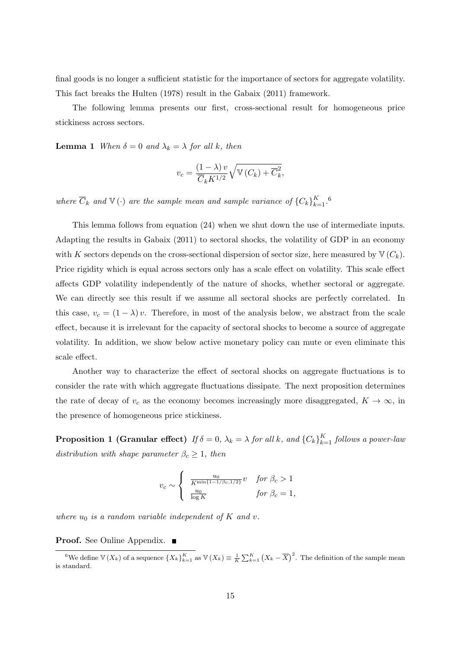final goods is no longer a sufficient statistic for the importance of sectors for aggregate volatility. This fact breaks the [Hulten](#page-39-0) [\(1978\)](#page-39-0) result in the [Gabaix](#page-39-2) [\(2011\)](#page-39-2) framework.

The following lemma presents our first, cross-sectional result for homogeneous price stickiness across sectors.

<span id="page-14-1"></span>**Lemma 1** When  $\delta = 0$  and  $\lambda_k = \lambda$  for all k, then

$$
v_c = \frac{(1 - \lambda)v}{\overline{C}_k K^{1/2}} \sqrt{\mathbb{V}(C_k) + \overline{C}_k^2},
$$

where  $\overline{C}_k$  and  $\mathbb{V}(\cdot)$  are the sample mean and sample variance of  ${C_k}_{k=1}^K$ .

This lemma follows from equation [\(24\)](#page-13-0) when we shut down the use of intermediate inputs. Adapting the results in [Gabaix](#page-39-2) [\(2011\)](#page-39-2) to sectoral shocks, the volatility of GDP in an economy with K sectors depends on the cross-sectional dispersion of sector size, here measured by  $\mathbb{V}(C_k)$ . Price rigidity which is equal across sectors only has a scale effect on volatility. This scale effect affects GDP volatility independently of the nature of shocks, whether sectoral or aggregate. We can directly see this result if we assume all sectoral shocks are perfectly correlated. In this case,  $v_c = (1 - \lambda)v$ . Therefore, in most of the analysis below, we abstract from the scale effect, because it is irrelevant for the capacity of sectoral shocks to become a source of aggregate volatility. In addition, we show below active monetary policy can mute or even eliminate this scale effect.

Another way to characterize the effect of sectoral shocks on aggregate fluctuations is to consider the rate with which aggregate fluctuations dissipate. The next proposition determines the rate of decay of  $v_c$  as the economy becomes increasingly more disaggregated,  $K \to \infty$ , in the presence of homogeneous price stickiness.

<span id="page-14-0"></span>**Proposition 1 (Granular effect)** If  $\delta = 0$ ,  $\lambda_k = \lambda$  for all k, and  $\{C_k\}_{k=1}^K$  follows a power-law distribution with shape parameter  $\beta_c \geq 1$ , then

$$
v_c \sim \begin{cases} \frac{u_0}{K^{\min\{1-1/\beta_c, 1/2\}}} v & \text{for } \beta_c > 1\\ \frac{u_0}{\log K} & \text{for } \beta_c = 1, \end{cases}
$$

where  $u_0$  is a random variable independent of K and v.

**Proof.** See Online Appendix. ■

<sup>&</sup>lt;sup>6</sup>We define  $\mathbb{V}(X_k)$  of a sequence  $\{X_k\}_{k=1}^K$  as  $\mathbb{V}(X_k) \equiv \frac{1}{K} \sum_{k=1}^K (X_k - \overline{X})^2$ . The definition of the sample mean is standard.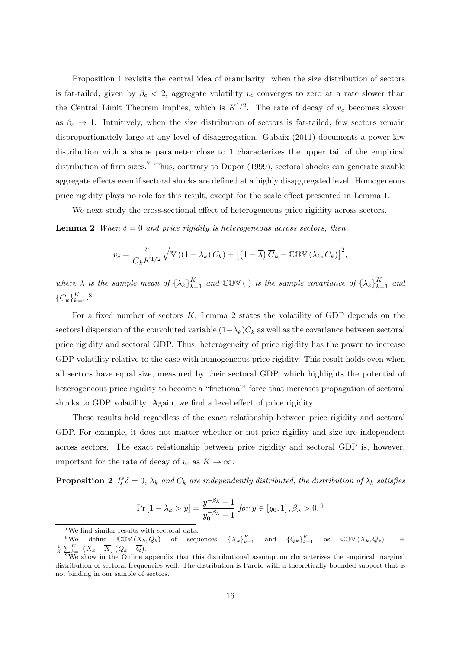Proposition [1](#page-14-0) revisits the central idea of granularity: when the size distribution of sectors is fat-tailed, given by  $\beta_c < 2$ , aggregate volatility  $v_c$  converges to zero at a rate slower than the Central Limit Theorem implies, which is  $K^{1/2}$ . The rate of decay of  $v_c$  becomes slower as  $\beta_c \rightarrow 1$ . Intuitively, when the size distribution of sectors is fat-tailed, few sectors remain disproportionately large at any level of disaggregation. [Gabaix](#page-39-2) [\(2011\)](#page-39-2) documents a power-law distribution with a shape parameter close to 1 characterizes the upper tail of the empirical distribution of firm sizes.<sup>[7](#page-0-0)</sup> Thus, contrary to [Dupor](#page-39-4) [\(1999\)](#page-39-4), sectoral shocks can generate sizable aggregate effects even if sectoral shocks are defined at a highly disaggregated level. Homogeneous price rigidity plays no role for this result, except for the scale effect presented in Lemma [1.](#page-14-1)

We next study the cross-sectional effect of heterogeneous price rigidity across sectors.

**Lemma 2** When  $\delta = 0$  and price rigidity is heterogeneous across sectors, then

<span id="page-15-0"></span>
$$
v_c = \frac{v}{\overline{C}_k K^{1/2}} \sqrt{\mathbb{V}\left(\left(1 - \lambda_k\right) C_k\right) + \left[\left(1 - \overline{\lambda}\right) \overline{C}_k - \mathbb{COV}\left(\lambda_k, C_k\right)\right]^2},
$$

where  $\overline{\lambda}$  is the sample mean of  $\{\lambda_k\}_{k=1}^K$  and  $\mathbb{COV}(\cdot)$  is the sample covariance of  $\{\lambda_k\}_{k=1}^K$  and  ${C_k}_{k=1}^K$ .<sup>[8](#page-0-0)</sup>

For a fixed number of sectors  $K$ , Lemma [2](#page-15-0) states the volatility of GDP depends on the sectoral dispersion of the convoluted variable  $(1-\lambda_k)C_k$  as well as the covariance between sectoral price rigidity and sectoral GDP. Thus, heterogeneity of price rigidity has the power to increase GDP volatility relative to the case with homogeneous price rigidity. This result holds even when all sectors have equal size, measured by their sectoral GDP, which highlights the potential of heterogeneous price rigidity to become a "frictional" force that increases propagation of sectoral shocks to GDP volatility. Again, we find a level effect of price rigidity.

These results hold regardless of the exact relationship between price rigidity and sectoral GDP. For example, it does not matter whether or not price rigidity and size are independent across sectors. The exact relationship between price rigidity and sectoral GDP is, however, important for the rate of decay of  $v_c$  as  $K \to \infty$ .

<span id="page-15-1"></span>**Proposition 2** If  $\delta = 0$ ,  $\lambda_k$  and  $C_k$  are independently distributed, the distribution of  $\lambda_k$  satisfies

$$
\Pr\left[1 - \lambda_k > y\right] = \frac{y^{-\beta_\lambda} - 1}{y_0^{-\beta_\lambda} - 1} \text{ for } y \in [y_0, 1], \beta_\lambda > 0, \frac{9}{10}
$$

<sup>7</sup>We find similar results with sectoral data.

<sup>&</sup>lt;sup>8</sup>We define  $\text{COV}(X_k, Q_k)$  of sequences  $\{X_k\}_{k=1}^K$  and  $\{Q_k\}_{k=1}^K$  as  $\text{COV}(X_k, Q_k)$   $\equiv$  $\frac{1}{K}\sum_{k=1}^K (X_k - \overline{X}) (Q_k - \overline{Q}).$ 

 $9W$ e show in the Online appendix that this distributional assumption characterizes the empirical marginal distribution of sectoral frequencies well. The distribution is Pareto with a theoretically bounded support that is not binding in our sample of sectors.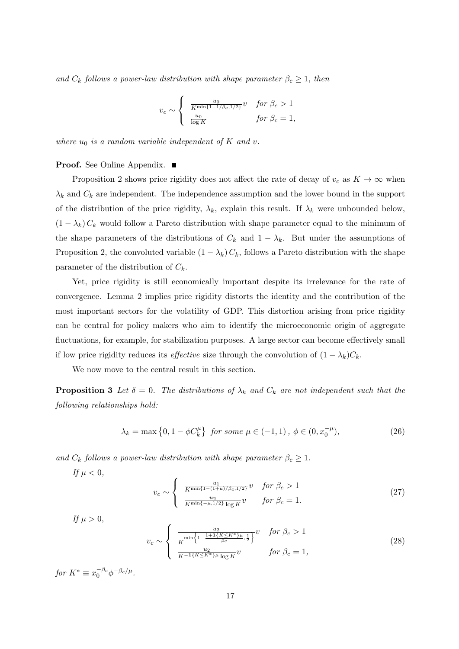and  $C_k$  follows a power-law distribution with shape parameter  $\beta_c \geq 1$ , then

$$
v_c \sim \begin{cases} \frac{u_0}{K^{\min\{1-1/\beta_c, 1/2\}}} v & \text{for } \beta_c > 1\\ \frac{u_0}{\log K} & \text{for } \beta_c = 1, \end{cases}
$$

where  $u_0$  is a random variable independent of K and v.

# Proof. See Online Appendix. ■

Proposition [2](#page-15-1) shows price rigidity does not affect the rate of decay of  $v_c$  as  $K \to \infty$  when  $\lambda_k$  and  $C_k$  are independent. The independence assumption and the lower bound in the support of the distribution of the price rigidity,  $\lambda_k$ , explain this result. If  $\lambda_k$  were unbounded below,  $(1 - \lambda_k) C_k$  would follow a Pareto distribution with shape parameter equal to the minimum of the shape parameters of the distributions of  $C_k$  and  $1 - \lambda_k$ . But under the assumptions of Proposition [2,](#page-15-1) the convoluted variable  $(1 - \lambda_k) C_k$ , follows a Pareto distribution with the shape parameter of the distribution of  $C_k$ .

Yet, price rigidity is still economically important despite its irrelevance for the rate of convergence. Lemma [2](#page-15-0) implies price rigidity distorts the identity and the contribution of the most important sectors for the volatility of GDP. This distortion arising from price rigidity can be central for policy makers who aim to identify the microeconomic origin of aggregate fluctuations, for example, for stabilization purposes. A large sector can become effectively small if low price rigidity reduces its *effective* size through the convolution of  $(1 - \lambda_k)C_k$ .

We now move to the central result in this section.

**Proposition 3** Let  $\delta = 0$ . The distributions of  $\lambda_k$  and  $C_k$  are not independent such that the following relationships hold:

<span id="page-16-1"></span><span id="page-16-0"></span>
$$
\lambda_k = \max\left\{0, 1 - \phi C_k^{\mu}\right\} \text{ for some } \mu \in (-1, 1), \phi \in (0, x_0^{-\mu}), \tag{26}
$$

and  $C_k$  follows a power-law distribution with shape parameter  $\beta_c \geq 1$ .

If  $\mu < 0$ ,

$$
v_c \sim \begin{cases} \frac{u_1}{K^{\min\{1-(1+\mu)/\beta_c, 1/2\}}} v & \text{for } \beta_c > 1\\ \frac{u_2}{K^{\min\{-\mu, 1/2\}} \log K} v & \text{for } \beta_c = 1. \end{cases}
$$
 (27)

If  $\mu > 0$ ,

$$
v_c \sim \begin{cases} \frac{u_2}{K^{\min\left\{1 - \frac{1+1\{K \le K^*\} \mu}{\beta_c}, \frac{1}{2}\right\}}} v & \text{for } \beta_c > 1\\ \frac{u_2}{K^{-1\{K \le K^*\} \mu} \log K} v & \text{for } \beta_c = 1, \end{cases}
$$
(28)

for  $K^* \equiv x_0^{-\beta_c} \phi^{-\beta_c/\mu}$ .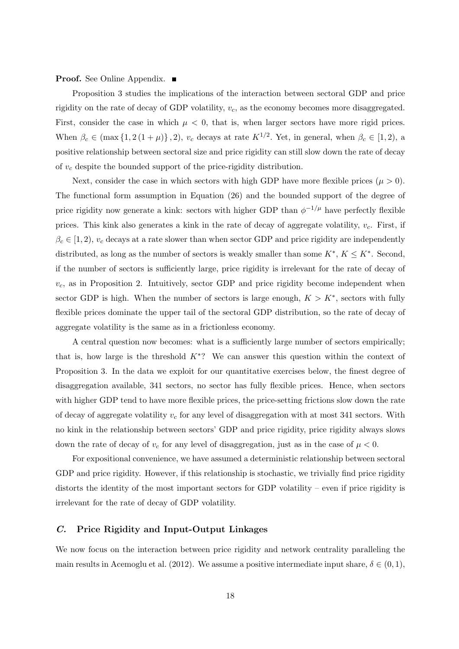### **Proof.** See Online Appendix. ■

Proposition [3](#page-16-0) studies the implications of the interaction between sectoral GDP and price rigidity on the rate of decay of GDP volatility,  $v_c$ , as the economy becomes more disaggregated. First, consider the case in which  $\mu < 0$ , that is, when larger sectors have more rigid prices. When  $\beta_c \in (\max\{1, 2(1+\mu)\}, 2), v_c$  decays at rate  $K^{1/2}$ . Yet, in general, when  $\beta_c \in [1, 2),$  a positive relationship between sectoral size and price rigidity can still slow down the rate of decay of  $v_c$  despite the bounded support of the price-rigidity distribution.

Next, consider the case in which sectors with high GDP have more flexible prices  $(\mu > 0)$ . The functional form assumption in Equation [\(26\)](#page-16-1) and the bounded support of the degree of price rigidity now generate a kink: sectors with higher GDP than  $\phi^{-1/\mu}$  have perfectly flexible prices. This kink also generates a kink in the rate of decay of aggregate volatility,  $v_c$ . First, if  $\beta_c \in [1, 2), v_c$  decays at a rate slower than when sector GDP and price rigidity are independently distributed, as long as the number of sectors is weakly smaller than some  $K^*, K \leq K^*$ . Second, if the number of sectors is sufficiently large, price rigidity is irrelevant for the rate of decay of  $v_c$ , as in Proposition [2.](#page-15-1) Intuitively, sector GDP and price rigidity become independent when sector GDP is high. When the number of sectors is large enough,  $K > K^*$ , sectors with fully flexible prices dominate the upper tail of the sectoral GDP distribution, so the rate of decay of aggregate volatility is the same as in a frictionless economy.

A central question now becomes: what is a sufficiently large number of sectors empirically; that is, how large is the threshold  $K^*$ ? We can answer this question within the context of Proposition [3.](#page-16-0) In the data we exploit for our quantitative exercises below, the finest degree of disaggregation available, 341 sectors, no sector has fully flexible prices. Hence, when sectors with higher GDP tend to have more flexible prices, the price-setting frictions slow down the rate of decay of aggregate volatility  $v_c$  for any level of disaggregation with at most 341 sectors. With no kink in the relationship between sectors' GDP and price rigidity, price rigidity always slows down the rate of decay of  $v_c$  for any level of disaggregation, just as in the case of  $\mu < 0$ .

For expositional convenience, we have assumed a deterministic relationship between sectoral GDP and price rigidity. However, if this relationship is stochastic, we trivially find price rigidity distorts the identity of the most important sectors for GDP volatility – even if price rigidity is irrelevant for the rate of decay of GDP volatility.

### C. Price Rigidity and Input-Output Linkages

We now focus on the interaction between price rigidity and network centrality paralleling the main results in [Acemoglu et al.](#page-38-1) [\(2012\)](#page-38-1). We assume a positive intermediate input share,  $\delta \in (0,1)$ ,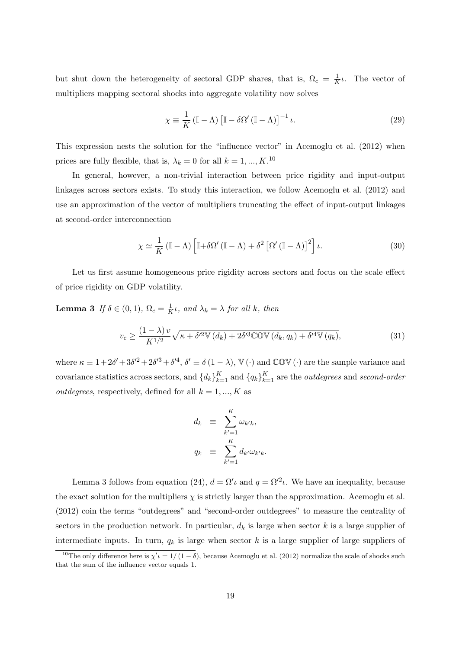but shut down the heterogeneity of sectoral GDP shares, that is,  $\Omega_c = \frac{1}{K}$  $\frac{1}{K}\iota$ . The vector of multipliers mapping sectoral shocks into aggregate volatility now solves

<span id="page-18-2"></span>
$$
\chi \equiv \frac{1}{K} \left( \mathbb{I} - \Lambda \right) \left[ \mathbb{I} - \delta \Omega' \left( \mathbb{I} - \Lambda \right) \right]^{-1} \iota. \tag{29}
$$

This expression nests the solution for the "influence vector" in [Acemoglu et al.](#page-38-1) [\(2012\)](#page-38-1) when prices are fully flexible, that is,  $\lambda_k = 0$  for all  $k = 1, ..., K$ .<sup>[10](#page-0-0)</sup>

In general, however, a non-trivial interaction between price rigidity and input-output linkages across sectors exists. To study this interaction, we follow [Acemoglu et al.](#page-38-1) [\(2012\)](#page-38-1) and use an approximation of the vector of multipliers truncating the effect of input-output linkages at second-order interconnection

<span id="page-18-0"></span>
$$
\chi \simeq \frac{1}{K} \left( \mathbb{I} - \Lambda \right) \left[ \mathbb{I} + \delta \Omega' \left( \mathbb{I} - \Lambda \right) + \delta^2 \left[ \Omega' \left( \mathbb{I} - \Lambda \right) \right]^2 \right] \iota. \tag{30}
$$

Let us first assume homogeneous price rigidity across sectors and focus on the scale effect of price rigidity on GDP volatility.

**Lemma 3** If  $\delta \in (0,1)$ ,  $\Omega_c = \frac{1}{K}$  $\frac{1}{K} \iota$ , and  $\lambda_k = \lambda$  for all k, then

<span id="page-18-1"></span>
$$
v_c \ge \frac{(1-\lambda)v}{K^{1/2}}\sqrt{\kappa + \delta'^2 \mathbb{V}\left(d_k\right) + 2\delta'^3 \mathbb{COV}\left(d_k, q_k\right) + \delta'^4 \mathbb{V}\left(q_k\right)},\tag{31}
$$

where  $\kappa \equiv 1 + 2\delta' + 3\delta'^2 + 2\delta'^3 + \delta'^4$ ,  $\delta' \equiv \delta (1 - \lambda)$ ,  $\mathbb{V}(\cdot)$  and  $\mathbb{COV}(\cdot)$  are the sample variance and covariance statistics across sectors, and  $\{d_k\}_{k=1}^K$  and  $\{q_k\}_{k=1}^K$  are the *outdegrees* and *second-order outdegrees*, respectively, defined for all  $k = 1, ..., K$  as

$$
d_k \equiv \sum_{k'=1}^K \omega_{k'k},
$$
  

$$
q_k \equiv \sum_{k'=1}^K d_{k'} \omega_{k'k}.
$$

Lemma [3](#page-18-0) follows from equation [\(24\)](#page-13-0),  $d = \Omega' \iota$  and  $q = \Omega'^2 \iota$ . We have an inequality, because the exact solution for the multipliers  $\chi$  is strictly larger than the approximation. [Acemoglu et al.](#page-38-1) [\(2012\)](#page-38-1) coin the terms "outdegrees" and "second-order outdegrees" to measure the centrality of sectors in the production network. In particular,  $d_k$  is large when sector k is a large supplier of intermediate inputs. In turn,  $q_k$  is large when sector k is a large supplier of large suppliers of

<sup>&</sup>lt;sup>10</sup>The only difference here is  $\chi' \iota = 1/(1-\delta)$ , because [Acemoglu et al.](#page-38-1) [\(2012\)](#page-38-1) normalize the scale of shocks such that the sum of the influence vector equals 1.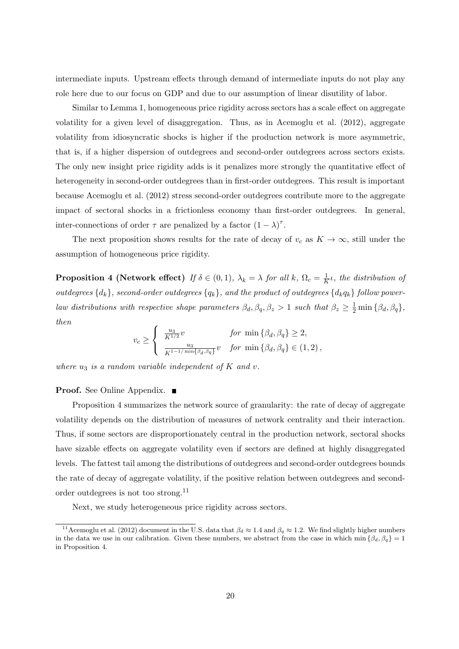intermediate inputs. Upstream effects through demand of intermediate inputs do not play any role here due to our focus on GDP and due to our assumption of linear disutility of labor.

Similar to Lemma [1,](#page-14-1) homogeneous price rigidity across sectors has a scale effect on aggregate volatility for a given level of disaggregation. Thus, as in [Acemoglu et al.](#page-38-1) [\(2012\)](#page-38-1), aggregate volatility from idiosyncratic shocks is higher if the production network is more asymmetric, that is, if a higher dispersion of outdegrees and second-order outdegrees across sectors exists. The only new insight price rigidity adds is it penalizes more strongly the quantitative effect of heterogeneity in second-order outdegrees than in first-order outdegrees. This result is important because [Acemoglu et al.](#page-38-1) [\(2012\)](#page-38-1) stress second-order outdegrees contribute more to the aggregate impact of sectoral shocks in a frictionless economy than first-order outdegrees. In general, inter-connections of order  $\tau$  are penalized by a factor  $(1 - \lambda)^{\tau}$ .

The next proposition shows results for the rate of decay of  $v_c$  as  $K \to \infty$ , still under the assumption of homogeneous price rigidity.

<span id="page-19-0"></span>**Proposition 4 (Network effect)** If  $\delta \in (0,1)$ ,  $\lambda_k = \lambda$  for all k,  $\Omega_c = \frac{1}{k}$  $\frac{1}{K}$ *ι*, the distribution of outdegrees  $\{d_k\}$ , second-order outdegrees  $\{q_k\}$ , and the product of outdegrees  $\{d_kq_k\}$  follow powerlaw distributions with respective shape parameters  $\beta_d$ ,  $\beta_q$ ,  $\beta_z > 1$  such that  $\beta_z \geq \frac{1}{2} \min {\beta_d}$ ,  $\beta_q$ , then

$$
v_c \ge \begin{cases} \frac{u_3}{K^{1/2}}v & \text{for } \min\{\beta_d, \beta_q\} \ge 2, \\ \frac{u_3}{K^{1-1/\min\{\beta_d, \beta_q\}}}v & \text{for } \min\{\beta_d, \beta_q\} \in (1, 2), \end{cases}
$$

where  $u_3$  is a random variable independent of K and v.

### **Proof.** See Online Appendix. ■

Proposition [4](#page-19-0) summarizes the network source of granularity: the rate of decay of aggregate volatility depends on the distribution of measures of network centrality and their interaction. Thus, if some sectors are disproportionately central in the production network, sectoral shocks have sizable effects on aggregate volatility even if sectors are defined at highly disaggregated levels. The fattest tail among the distributions of outdegrees and second-order outdegrees bounds the rate of decay of aggregate volatility, if the positive relation between outdegrees and secondorder outdegrees is not too strong.[11](#page-0-0)

<span id="page-19-1"></span>Next, we study heterogeneous price rigidity across sectors.

<sup>&</sup>lt;sup>11</sup>[Acemoglu et al.](#page-38-1) [\(2012\)](#page-38-1) document in the U.S. data that  $\beta_d \approx 1.4$  and  $\beta_q \approx 1.2$ . We find slightly higher numbers in the data we use in our calibration. Given these numbers, we abstract from the case in which min  $\{\beta_d, \beta_q\} = 1$ in Proposition [4.](#page-19-0)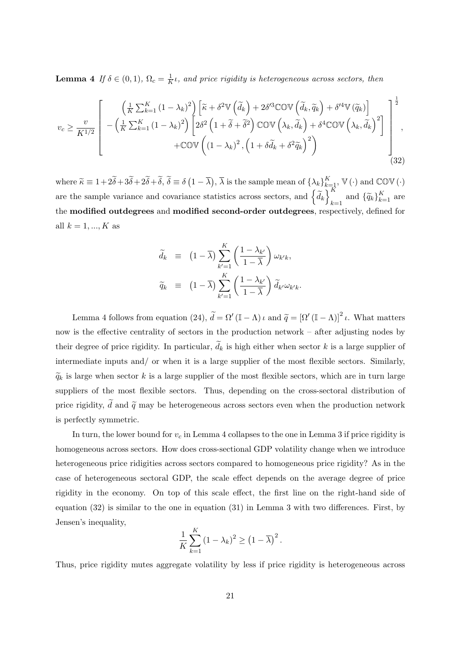**Lemma** 4 If  $\delta \in (0,1)$ ,  $\Omega_c = \frac{1}{K}$  $\frac{1}{K}$ *ι*, and price rigidity is heterogeneous across sectors, then

<span id="page-20-0"></span>
$$
v_c \geq \frac{v}{K^{1/2}} \left[ -\left(\frac{1}{K} \sum_{k=1}^K (1 - \lambda_k)^2\right) \left[ \tilde{\kappa} + \delta^2 \mathbb{V}\left(\tilde{d}_k\right) + 2\delta^{\prime 3} \mathbb{COV}\left(\tilde{d}_k, \tilde{q}_k\right) + \delta^{\prime 4} \mathbb{V}\left(\tilde{q}_k\right) \right] \right] \frac{1}{2}
$$
  

$$
v_c \geq \frac{v}{K^{1/2}} \left[ -\left(\frac{1}{K} \sum_{k=1}^K (1 - \lambda_k)^2\right) \left[2\delta^2 \left(1 + \tilde{\delta} + \tilde{\delta}^2\right) \mathbb{COV}\left(\lambda_k, \tilde{d}_k\right) + \delta^4 \mathbb{COV}\left(\lambda_k, \tilde{d}_k\right)^2 \right] \right] \left. ,
$$
  

$$
+ \mathbb{COV}\left((1 - \lambda_k)^2, \left(1 + \delta \tilde{d}_k + \delta^2 \tilde{q}_k\right)^2 \right)
$$
  
(32)

where  $\widetilde{\kappa} \equiv 1 + 2\widetilde{\delta} + 3\widetilde{\delta} + 2\widetilde{\delta} + \widetilde{\delta}, \widetilde{\delta} \equiv \delta(1 - \overline{\lambda}), \overline{\lambda}$  is the sample mean of  $\{\lambda_k\}_{k=1}^K$ ,  $\mathbb{V}(\cdot)$  and  $\mathbb{COV}(\cdot)$ are the sample variance and covariance statistics across sectors, and  $\left\{ \widetilde{d}_{k}\right\} _{k}^{K}$  $\sum_{k=1}^{K}$  and  $\{\widetilde{q}_k\}_{k=1}^{K}$  are the modified outdegrees and modified second-order outdegrees, respectively, defined for all  $k = 1, ..., K$  as

$$
\widetilde{d}_k \equiv (1 - \overline{\lambda}) \sum_{k'=1}^K \left( \frac{1 - \lambda_{k'}}{1 - \overline{\lambda}} \right) \omega_{k'k},
$$
  

$$
\widetilde{q}_k \equiv (1 - \overline{\lambda}) \sum_{k'=1}^K \left( \frac{1 - \lambda_{k'}}{1 - \overline{\lambda}} \right) \widetilde{d}_{k'} \omega_{k'k}.
$$

Lemma [4](#page-19-1) follows from equation [\(24\)](#page-13-0),  $\tilde{d} = \Omega' (\mathbb{I} - \Lambda) \iota$  and  $\tilde{q} = [\Omega' (\mathbb{I} - \Lambda)]^2 \iota$ . What matters now is the effective centrality of sectors in the production network – after adjusting nodes by their degree of price rigidity. In particular,  $d_k$  is high either when sector k is a large supplier of intermediate inputs and/ or when it is a large supplier of the most flexible sectors. Similarly,  $\widetilde{q}_k$  is large when sector k is a large supplier of the most flexible sectors, which are in turn large suppliers of the most flexible sectors. Thus, depending on the cross-sectoral distribution of price rigidity,  $\tilde{d}$  and  $\tilde{q}$  may be heterogeneous across sectors even when the production network is perfectly symmetric.

In turn, the lower bound for  $v_c$  in Lemma [4](#page-19-1) collapses to the one in Lemma [3](#page-18-0) if price rigidity is homogeneous across sectors. How does cross-sectional GDP volatility change when we introduce heterogeneous price ridigities across sectors compared to homogeneous price rigidity? As in the case of heterogeneous sectoral GDP, the scale effect depends on the average degree of price rigidity in the economy. On top of this scale effect, the first line on the right-hand side of equation [\(32\)](#page-20-0) is similar to the one in equation [\(31\)](#page-18-1) in Lemma [3](#page-18-0) with two differences. First, by Jensen's inequality,

$$
\frac{1}{K}\sum_{k=1}^{K} (1 - \lambda_k)^2 \ge (1 - \overline{\lambda})^2.
$$

Thus, price rigidity mutes aggregate volatility by less if price rigidity is heterogeneous across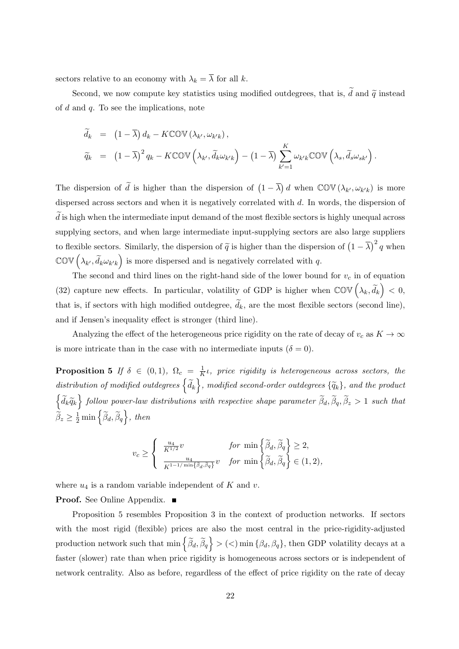sectors relative to an economy with  $\lambda_k = \overline{\lambda}$  for all k.

Second, we now compute key statistics using modified outdegrees, that is,  $\tilde{d}$  and  $\tilde{q}$  instead of  $d$  and  $q$ . To see the implications, note

$$
\widetilde{d}_{k} = (1 - \overline{\lambda}) d_{k} - K \mathbb{COV} (\lambda_{k'}, \omega_{k'k}),
$$
\n
$$
\widetilde{q}_{k} = (1 - \overline{\lambda})^{2} q_{k} - K \mathbb{COV} (\lambda_{k'}, \widetilde{d}_{k} \omega_{k'k}) - (1 - \overline{\lambda}) \sum_{k'=1}^{K} \omega_{k'k} \mathbb{COV} (\lambda_{s}, \widetilde{d}_{s} \omega_{sk'}) .
$$

The dispersion of  $\tilde{d}$  is higher than the dispersion of  $(1 - \overline{\lambda}) d$  when  $\mathbb{COV}(\lambda_{k'}, \omega_{k'k})$  is more dispersed across sectors and when it is negatively correlated with d. In words, the dispersion of  $d$  is high when the intermediate input demand of the most flexible sectors is highly unequal across supplying sectors, and when large intermediate input-supplying sectors are also large suppliers to flexible sectors. Similarly, the dispersion of  $\tilde{q}$  is higher than the dispersion of  $(1 - \overline{\lambda})^2 q$  when  $\mathbb{COV}\left(\lambda_{k'}, \widetilde{d}_k \omega_{k'k}\right)$  is more dispersed and is negatively correlated with q.

The second and third lines on the right-hand side of the lower bound for  $v_c$  in of equation [\(32\)](#page-20-0) capture new effects. In particular, volatility of GDP is higher when  $\mathbb{COV}(\lambda_k, \tilde{d}_k) < 0$ , that is, if sectors with high modified outdegree,  $d_k$ , are the most flexible sectors (second line), and if Jensen's inequality effect is stronger (third line).

Analyzing the effect of the heterogeneous price rigidity on the rate of decay of  $v_c$  as  $K \to \infty$ is more intricate than in the case with no intermediate inputs  $(\delta = 0)$ .

<span id="page-21-0"></span>**Proposition 5** If  $\delta \in (0,1)$ ,  $\Omega_c = \frac{1}{K}$  $\frac{1}{K}$ *ι*, price rigidity is heterogeneous across sectors, the distribution of modified outdegrees  $\{\widetilde{d}_k\}$ , modified second-order outdegrees  $\{\widetilde{q}_k\}$ , and the product  $\left\{\widetilde{d}_k\widetilde{q}_k\right\}$  follow power-law distributions with respective shape parameter  $\widetilde{\beta}_d, \widetilde{\beta}_q, \widetilde{\beta}_z > 1$  such that  $\widetilde{\beta}_z \ge \frac{1}{2} \min \left\{ \widetilde{\beta}_d, \widetilde{\beta}_q \right\},\ then$ 

$$
v_c \ge \begin{cases} \frac{u_4}{K^{1/2}}v & \text{for } \min\left\{\widetilde{\beta}_d, \widetilde{\beta}_q\right\} \ge 2, \\ \frac{u_4}{K^{1-1/\min\{\widetilde{\beta}_d, \widetilde{\beta}_q\}}}v & \text{for } \min\left\{\widetilde{\beta}_d, \widetilde{\beta}_q\right\} \in (1, 2), \end{cases}
$$

where  $u_4$  is a random variable independent of K and v.

Proof. See Online Appendix. ■

Proposition [5](#page-21-0) resembles Proposition [3](#page-16-0) in the context of production networks. If sectors with the most rigid (flexible) prices are also the most central in the price-rigidity-adjusted production network such that  $\min \left\{ \widetilde{\beta}_d, \widetilde{\beta}_q \right\} > (<) \min \left\{ \beta_d, \beta_q \right\}$ , then GDP volatility decays at a faster (slower) rate than when price rigidity is homogeneous across sectors or is independent of network centrality. Also as before, regardless of the effect of price rigidity on the rate of decay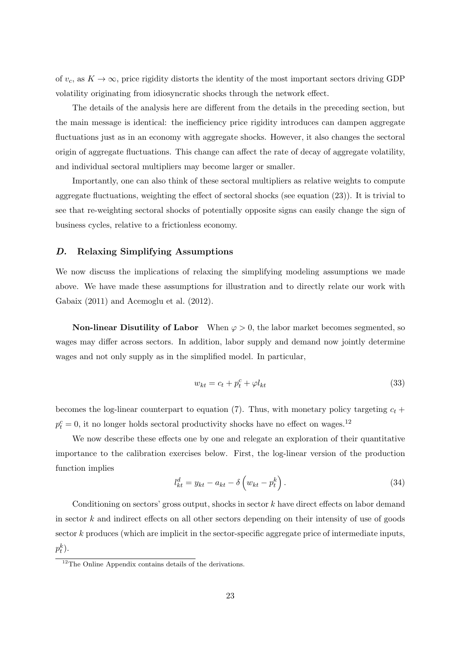of  $v_c$ , as  $K \to \infty$ , price rigidity distorts the identity of the most important sectors driving GDP volatility originating from idiosyncratic shocks through the network effect.

The details of the analysis here are different from the details in the preceding section, but the main message is identical: the inefficiency price rigidity introduces can dampen aggregate fluctuations just as in an economy with aggregate shocks. However, it also changes the sectoral origin of aggregate fluctuations. This change can affect the rate of decay of aggregate volatility, and individual sectoral multipliers may become larger or smaller.

Importantly, one can also think of these sectoral multipliers as relative weights to compute aggregate fluctuations, weighting the effect of sectoral shocks (see equation [\(23\)](#page-12-0)). It is trivial to see that re-weighting sectoral shocks of potentially opposite signs can easily change the sign of business cycles, relative to a frictionless economy.

# D. Relaxing Simplifying Assumptions

We now discuss the implications of relaxing the simplifying modeling assumptions we made above. We have made these assumptions for illustration and to directly relate our work with [Gabaix](#page-39-2) [\(2011\)](#page-39-2) and [Acemoglu et al.](#page-38-1) [\(2012\)](#page-38-1).

**Non-linear Disutility of Labor** When  $\varphi > 0$ , the labor market becomes segmented, so wages may differ across sectors. In addition, labor supply and demand now jointly determine wages and not only supply as in the simplified model. In particular,

$$
w_{kt} = c_t + p_t^c + \varphi l_{kt} \tag{33}
$$

becomes the log-linear counterpart to equation [\(7\)](#page-9-0). Thus, with monetary policy targeting  $c_t$  +  $p_t^c = 0$ , it no longer holds sectoral productivity shocks have no effect on wages.<sup>[12](#page-0-0)</sup>

We now describe these effects one by one and relegate an exploration of their quantitative importance to the calibration exercises below. First, the log-linear version of the production function implies

$$
l_{kt}^d = y_{kt} - a_{kt} - \delta \left( w_{kt} - p_t^k \right). \tag{34}
$$

Conditioning on sectors' gross output, shocks in sector  $k$  have direct effects on labor demand in sector  $k$  and indirect effects on all other sectors depending on their intensity of use of goods sector k produces (which are implicit in the sector-specific aggregate price of intermediate inputs,  $p_t^k$ ).

 $12$ The Online Appendix contains details of the derivations.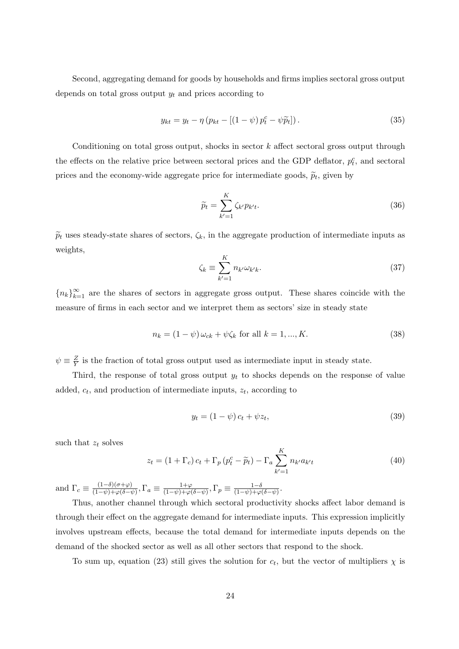Second, aggregating demand for goods by households and firms implies sectoral gross output depends on total gross output  $y_t$  and prices according to

$$
y_{kt} = y_t - \eta \left( p_{kt} - \left[ \left( 1 - \psi \right) p_t^c - \psi \widetilde{p}_t \right] \right). \tag{35}
$$

Conditioning on total gross output, shocks in sector  $k$  affect sectoral gross output through the effects on the relative price between sectoral prices and the GDP deflator,  $p_t^c$ , and sectoral prices and the economy-wide aggregate price for intermediate goods,  $\tilde{p}_t$ , given by

$$
\widetilde{p}_t = \sum_{k'=1}^K \zeta_{k'} p_{k't}.
$$
\n(36)

 $\tilde{p}_t$  uses steady-state shares of sectors,  $\zeta_k$ , in the aggregate production of intermediate inputs as weights,

$$
\zeta_k \equiv \sum_{k'=1}^K n_{k'} \omega_{k'k}.\tag{37}
$$

 ${n_k}_{k=1}^{\infty}$  are the shares of sectors in aggregate gross output. These shares coincide with the measure of firms in each sector and we interpret them as sectors' size in steady state

$$
n_k = (1 - \psi)\,\omega_{ck} + \psi\zeta_k \text{ for all } k = 1, ..., K. \tag{38}
$$

 $\psi \equiv \frac{Z}{V}$  $\frac{Z}{Y}$  is the fraction of total gross output used as intermediate input in steady state.

Third, the response of total gross output  $y_t$  to shocks depends on the response of value added,  $c_t$ , and production of intermediate inputs,  $z_t$ , according to

$$
y_t = (1 - \psi)c_t + \psi z_t,\tag{39}
$$

such that  $z_t$  solves

$$
z_t = (1 + \Gamma_c) c_t + \Gamma_p (p_t^c - \widetilde{p}_t) - \Gamma_a \sum_{k'=1}^K n_{k'} a_{k'} t \tag{40}
$$

and  $\Gamma_c \equiv \frac{(1-\delta)(\sigma+\varphi)}{(1-\psi)+\varphi(\delta-\tau)}$  $\frac{(1-\delta)(\sigma+\varphi)}{(1-\psi)+\varphi(\delta-\psi)}, \Gamma_a \equiv \frac{1+\varphi}{(1-\psi)+\varphi(\phi)}$  $\frac{1+\varphi}{(1-\psi)+\varphi(\delta-\psi)}, \Gamma_p \equiv \frac{1-\delta}{(1-\psi)+\varphi}$  $\frac{1-\delta}{(1-\psi)+\varphi(\delta-\psi)}.$ 

Thus, another channel through which sectoral productivity shocks affect labor demand is through their effect on the aggregate demand for intermediate inputs. This expression implicitly involves upstream effects, because the total demand for intermediate inputs depends on the demand of the shocked sector as well as all other sectors that respond to the shock.

To sum up, equation [\(23\)](#page-12-0) still gives the solution for  $c_t$ , but the vector of multipliers  $\chi$  is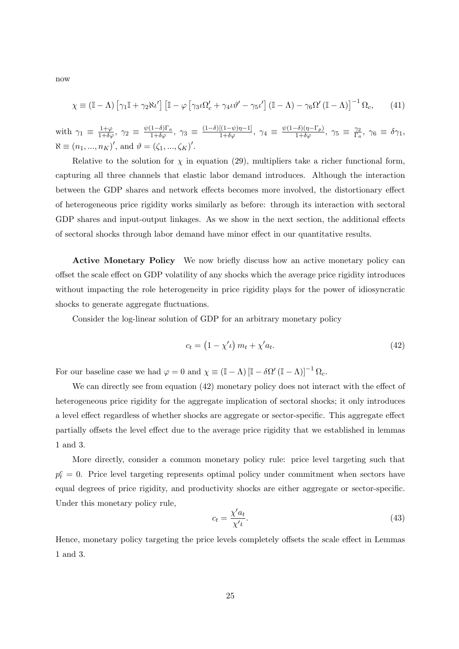now

<span id="page-24-1"></span>
$$
\chi \equiv (\mathbb{I} - \Lambda) \left[ \gamma_1 \mathbb{I} + \gamma_2 \aleph \iota' \right] \left[ \mathbb{I} - \varphi \left[ \gamma_3 \iota \Omega_c' + \gamma_4 \iota \vartheta' - \gamma_5 \iota' \right] (\mathbb{I} - \Lambda) - \gamma_6 \Omega' (\mathbb{I} - \Lambda) \right]^{-1} \Omega_c, \tag{41}
$$

with  $\gamma_1 \equiv \frac{1+\varphi}{1+\delta\varphi}$ ,  $\gamma_2 \equiv \frac{\psi(1-\delta)\Gamma_a}{1+\delta\varphi}$ ,  $\gamma_3 \equiv \frac{(1-\delta)[(1-\psi)\eta-1]}{1+\delta\varphi}$ ,  $\gamma_4 \equiv \frac{\psi(1-\delta)(\eta-\Gamma_p)}{1+\delta\varphi}$ ,  $\gamma_5 \equiv \frac{\gamma_2}{\Gamma_a}$  $\frac{\gamma_2}{\Gamma_a},\ \gamma_6\ \equiv\ \delta\gamma_1,$  $\aleph \equiv (n_1, ..., n_K)'$ , and  $\vartheta = (\zeta_1, ..., \zeta_K)'$ .

Relative to the solution for  $\chi$  in equation [\(29\)](#page-18-2), multipliers take a richer functional form, capturing all three channels that elastic labor demand introduces. Although the interaction between the GDP shares and network effects becomes more involved, the distortionary effect of heterogeneous price rigidity works similarly as before: through its interaction with sectoral GDP shares and input-output linkages. As we show in the next section, the additional effects of sectoral shocks through labor demand have minor effect in our quantitative results.

Active Monetary Policy We now briefly discuss how an active monetary policy can offset the scale effect on GDP volatility of any shocks which the average price rigidity introduces without impacting the role heterogeneity in price rigidity plays for the power of idiosyncratic shocks to generate aggregate fluctuations.

Consider the log-linear solution of GDP for an arbitrary monetary policy

<span id="page-24-0"></span>
$$
c_t = \left(1 - \chi'\iota\right)m_t + \chi'a_t.
$$
\n<sup>(42)</sup>

For our baseline case we had  $\varphi = 0$  and  $\chi \equiv (\mathbb{I} - \Lambda) [\mathbb{I} - \delta \Omega' (\mathbb{I} - \Lambda)]^{-1} \Omega_c$ .

We can directly see from equation [\(42\)](#page-24-0) monetary policy does not interact with the effect of heterogeneous price rigidity for the aggregate implication of sectoral shocks; it only introduces a level effect regardless of whether shocks are aggregate or sector-specific. This aggregate effect partially offsets the level effect due to the average price rigidity that we established in lemmas [1](#page-14-1) and [3.](#page-18-0)

More directly, consider a common monetary policy rule: price level targeting such that  $p_t^c = 0$ . Price level targeting represents optimal policy under commitment when sectors have equal degrees of price rigidity, and productivity shocks are either aggregate or sector-specific. Under this monetary policy rule,

$$
c_t = \frac{\chi' a_t}{\chi' \iota}.\tag{43}
$$

Hence, monetary policy targeting the price levels completely offsets the scale effect in Lemmas [1](#page-14-1) and [3.](#page-18-0)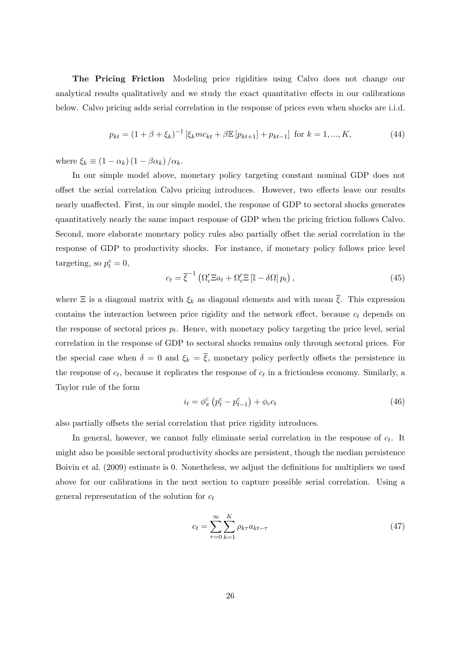The Pricing Friction Modeling price rigidities using Calvo does not change our analytical results qualitatively and we study the exact quantitative effects in our calibrations below. Calvo pricing adds serial correlation in the response of prices even when shocks are i.i.d.

$$
p_{kt} = (1 + \beta + \xi_k)^{-1} \left[ \xi_k m c_{kt} + \beta \mathbb{E} \left[ p_{kt+1} \right] + p_{kt-1} \right] \text{ for } k = 1, ..., K,
$$
 (44)

where  $\xi_k \equiv (1 - \alpha_k) (1 - \beta \alpha_k) / \alpha_k$ .

In our simple model above, monetary policy targeting constant nominal GDP does not offset the serial correlation Calvo pricing introduces. However, two effects leave our results nearly unaffected. First, in our simple model, the response of GDP to sectoral shocks generates quantitatively nearly the same impact response of GDP when the pricing friction follows Calvo. Second, more elaborate monetary policy rules also partially offset the serial correlation in the response of GDP to productivity shocks. For instance, if monetary policy follows price level targeting, so  $p_t^c = 0$ ,

$$
c_t = \overline{\xi}^{-1} \left( \Omega_c' \Xi a_t + \Omega_c' \Xi \left[ \mathbb{I} - \delta \Omega \right] p_t \right), \tag{45}
$$

where  $\Xi$  is a diagonal matrix with  $\xi_k$  as diagonal elements and with mean  $\overline{\xi}$ . This expression contains the interaction between price rigidity and the network effect, because  $c_t$  depends on the response of sectoral prices  $p_t$ . Hence, with monetary policy targeting the price level, serial correlation in the response of GDP to sectoral shocks remains only through sectoral prices. For the special case when  $\delta = 0$  and  $\xi_k = \overline{\xi}$ , monetary policy perfectly offsets the persistence in the response of  $c_t$ , because it replicates the response of  $c_t$  in a frictionless economy. Similarly, a Taylor rule of the form

$$
i_t = \phi_{\pi}^c \left( p_t^c - p_{t-1}^c \right) + \phi_c c_t \tag{46}
$$

also partially offsets the serial correlation that price rigidity introduces.

In general, however, we cannot fully eliminate serial correlation in the response of  $c_t$ . It might also be possible sectoral productivity shocks are persistent, though the median persistence [Boivin et al.](#page-38-17) [\(2009\)](#page-38-17) estimate is 0. Nonetheless, we adjust the definitions for multipliers we used above for our calibrations in the next section to capture possible serial correlation. Using a general representation of the solution for  $c_t$ 

$$
c_t = \sum_{\tau=0}^{\infty} \sum_{k=1}^{K} \rho_{k\tau} a_{kt-\tau}
$$
\n(47)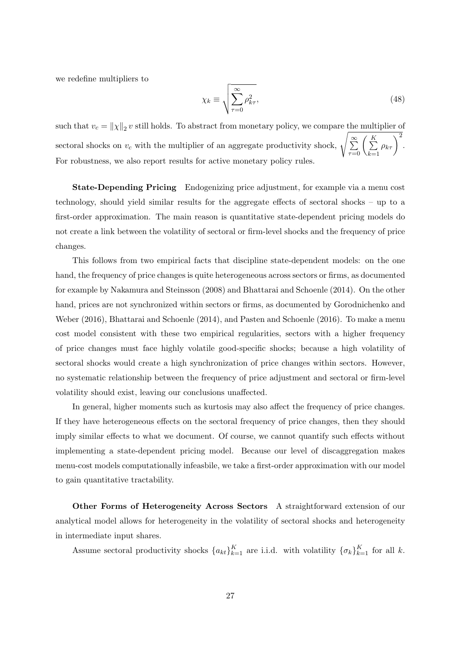we redefine multipliers to

<span id="page-26-0"></span>
$$
\chi_k \equiv \sqrt{\sum_{\tau=0}^{\infty} \rho_{k\tau}^2},\tag{48}
$$

such that  $v_c = ||\chi||_2 v$  still holds. To abstract from monetary policy, we compare the multiplier of sectoral shocks on  $v_c$  with the multiplier of an aggregate productivity shock,  $\sqrt{\sum_{\tau=0}^{\infty} \left(\sum_{k=1}^{K}$  $k=1$  $\rho_{k\tau}$ <sup>2</sup>. For robustness, we also report results for active monetary policy rules.

State-Depending Pricing Endogenizing price adjustment, for example via a menu cost technology, should yield similar results for the aggregate effects of sectoral shocks – up to a first-order approximation. The main reason is quantitative state-dependent pricing models do not create a link between the volatility of sectoral or firm-level shocks and the frequency of price changes.

This follows from two empirical facts that discipline state-dependent models: on the one hand, the frequency of price changes is quite heterogeneous across sectors or firms, as documented for example by [Nakamura and Steinsson](#page-40-0) [\(2008\)](#page-40-0) and Bhattarai and Schoenle (2014). On the other hand, prices are not synchronized within sectors or firms, as documented by [Gorodnichenko and](#page-39-17) [Weber](#page-39-17) [\(2016\)](#page-39-17), Bhattarai and Schoenle (2014), and Pasten and Schoenle (2016). To make a menu cost model consistent with these two empirical regularities, sectors with a higher frequency of price changes must face highly volatile good-specific shocks; because a high volatility of sectoral shocks would create a high synchronization of price changes within sectors. However, no systematic relationship between the frequency of price adjustment and sectoral or firm-level volatility should exist, leaving our conclusions unaffected.

In general, higher moments such as kurtosis may also affect the frequency of price changes. If they have heterogeneous effects on the sectoral frequency of price changes, then they should imply similar effects to what we document. Of course, we cannot quantify such effects without implementing a state-dependent pricing model. Because our level of discaggregation makes menu-cost models computationally infeasbile, we take a first-order approximation with our model to gain quantitative tractability.

Other Forms of Heterogeneity Across Sectors A straightforward extension of our analytical model allows for heterogeneity in the volatility of sectoral shocks and heterogeneity in intermediate input shares.

Assume sectoral productivity shocks  $\{a_{kt}\}_{k=1}^K$  are i.i.d. with volatility  $\{\sigma_k\}_{k=1}^K$  for all k.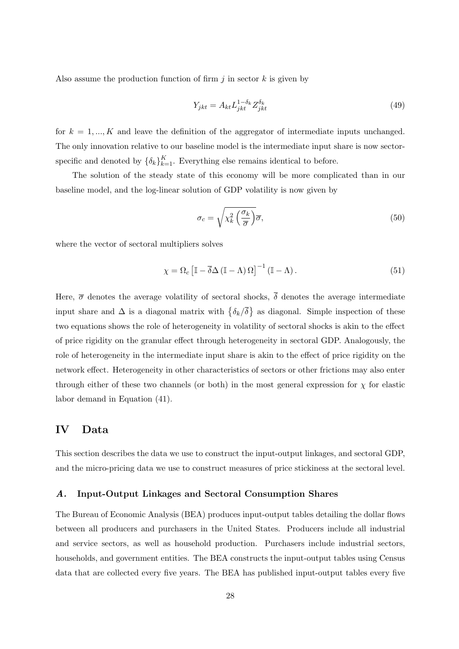Also assume the production function of firm  $j$  in sector  $k$  is given by

$$
Y_{jkt} = A_{kt} L_{jkt}^{1-\delta_k} Z_{jkt}^{\delta_k}
$$
\n
$$
\tag{49}
$$

for  $k = 1, ..., K$  and leave the definition of the aggregator of intermediate inputs unchanged. The only innovation relative to our baseline model is the intermediate input share is now sectorspecific and denoted by  $\{\delta_k\}_{k=1}^K$ . Everything else remains identical to before.

The solution of the steady state of this economy will be more complicated than in our baseline model, and the log-linear solution of GDP volatility is now given by

$$
\sigma_c = \sqrt{\chi_k^2 \left(\frac{\sigma_k}{\overline{\sigma}}\right)} \overline{\sigma},\tag{50}
$$

where the vector of sectoral multipliers solves

$$
\chi = \Omega_c \left[ \mathbb{I} - \overline{\delta} \Delta \left( \mathbb{I} - \Lambda \right) \Omega \right]^{-1} \left( \mathbb{I} - \Lambda \right). \tag{51}
$$

Here,  $\overline{\sigma}$  denotes the average volatility of sectoral shocks,  $\overline{\delta}$  denotes the average intermediate input share and  $\Delta$  is a diagonal matrix with  $\{\delta_k/\overline{\delta}\}\$ as diagonal. Simple inspection of these two equations shows the role of heterogeneity in volatility of sectoral shocks is akin to the effect of price rigidity on the granular effect through heterogeneity in sectoral GDP. Analogously, the role of heterogeneity in the intermediate input share is akin to the effect of price rigidity on the network effect. Heterogeneity in other characteristics of sectors or other frictions may also enter through either of these two channels (or both) in the most general expression for  $\chi$  for elastic labor demand in Equation [\(41\)](#page-24-1).

# IV Data

This section describes the data we use to construct the input-output linkages, and sectoral GDP, and the micro-pricing data we use to construct measures of price stickiness at the sectoral level.

# A. Input-Output Linkages and Sectoral Consumption Shares

The Bureau of Economic Analysis (BEA) produces input-output tables detailing the dollar flows between all producers and purchasers in the United States. Producers include all industrial and service sectors, as well as household production. Purchasers include industrial sectors, households, and government entities. The BEA constructs the input-output tables using Census data that are collected every five years. The BEA has published input-output tables every five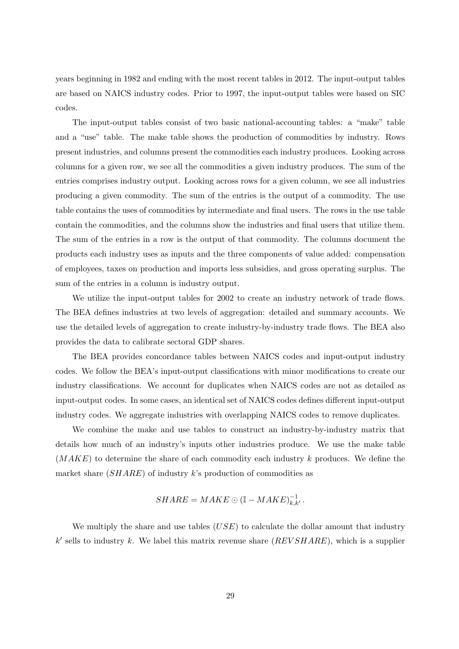years beginning in 1982 and ending with the most recent tables in 2012. The input-output tables are based on NAICS industry codes. Prior to 1997, the input-output tables were based on SIC codes.

The input-output tables consist of two basic national-accounting tables: a "make" table and a "use" table. The make table shows the production of commodities by industry. Rows present industries, and columns present the commodities each industry produces. Looking across columns for a given row, we see all the commodities a given industry produces. The sum of the entries comprises industry output. Looking across rows for a given column, we see all industries producing a given commodity. The sum of the entries is the output of a commodity. The use table contains the uses of commodities by intermediate and final users. The rows in the use table contain the commodities, and the columns show the industries and final users that utilize them. The sum of the entries in a row is the output of that commodity. The columns document the products each industry uses as inputs and the three components of value added: compensation of employees, taxes on production and imports less subsidies, and gross operating surplus. The sum of the entries in a column is industry output.

We utilize the input-output tables for 2002 to create an industry network of trade flows. The BEA defines industries at two levels of aggregation: detailed and summary accounts. We use the detailed levels of aggregation to create industry-by-industry trade flows. The BEA also provides the data to calibrate sectoral GDP shares.

The BEA provides concordance tables between NAICS codes and input-output industry codes. We follow the BEA's input-output classifications with minor modifications to create our industry classifications. We account for duplicates when NAICS codes are not as detailed as input-output codes. In some cases, an identical set of NAICS codes defines different input-output industry codes. We aggregate industries with overlapping NAICS codes to remove duplicates.

We combine the make and use tables to construct an industry-by-industry matrix that details how much of an industry's inputs other industries produce. We use the make table  $(MAKE)$  to determine the share of each commodity each industry k produces. We define the market share  $(SHARE)$  of industry k's production of commodities as

$$
SHARE = MAKE \odot (\mathbb{I} - MAKE)_{k,k'}^{-1}.
$$

We multiply the share and use tables  $(USE)$  to calculate the dollar amount that industry  $k'$  sells to industry k. We label this matrix revenue share  $(REVSHARE)$ , which is a supplier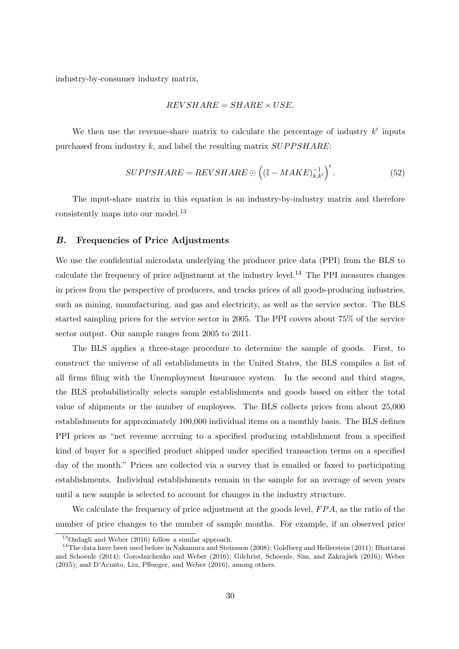industry-by-consumer industry matrix,

$$
REVSHARE = SHARE \times USE.
$$

We then use the revenue-share matrix to calculate the percentage of industry  $k'$  inputs purchased from industry  $k$ , and label the resulting matrix  $\textit{SUPPSHARE}:$ 

$$
SUPPSHARE = REVSHARE \odot ((\mathbb{I} - MAKE)^{-1}_{k,k'})'. \tag{52}
$$

The input-share matrix in this equation is an industry-by-industry matrix and therefore consistently maps into our model.[13](#page-0-0)

# B. Frequencies of Price Adjustments

We use the confidential microdata underlying the producer price data (PPI) from the BLS to calculate the frequency of price adjustment at the industry level.<sup>[14](#page-0-0)</sup> The PPI measures changes in prices from the perspective of producers, and tracks prices of all goods-producing industries, such as mining, manufacturing, and gas and electricity, as well as the service sector. The BLS started sampling prices for the service sector in 2005. The PPI covers about 75% of the service sector output. Our sample ranges from 2005 to 2011.

The BLS applies a three-stage procedure to determine the sample of goods. First, to construct the universe of all establishments in the United States, the BLS compiles a list of all firms filing with the Unemployment Insurance system. In the second and third stages, the BLS probabilistically selects sample establishments and goods based on either the total value of shipments or the number of employees. The BLS collects prices from about 25,000 establishments for approximately 100,000 individual items on a monthly basis. The BLS defines PPI prices as "net revenue accruing to a specified producing establishment from a specified kind of buyer for a specified product shipped under specified transaction terms on a specified day of the month." Prices are collected via a survey that is emailed or faxed to participating establishments. Individual establishments remain in the sample for an average of seven years until a new sample is selected to account for changes in the industry structure.

We calculate the frequency of price adjustment at the goods level,  $FPA$ , as the ratio of the number of price changes to the number of sample months. For example, if an observed price

<sup>13</sup>[Ozdagli and Weber](#page-40-1) [\(2016\)](#page-40-1) follow a similar approach.

<sup>&</sup>lt;sup>14</sup>The data have been used before in [Nakamura and Steinsson](#page-40-0) [\(2008\)](#page-40-0); [Goldberg and Hellerstein](#page-39-18) [\(2011\)](#page-39-18); [Bhattarai](#page-38-20) [and Schoenle](#page-38-20) [\(2014\)](#page-38-20); [Gorodnichenko and Weber](#page-39-17) [\(2016\)](#page-39-19); Gilchrist, Schoenle, Sim, and Zakrajšek (2016); [Weber](#page-40-4) [\(2015\)](#page-40-4); and [D'Acunto, Liu, Pflueger, and Weber](#page-38-21) [\(2016\)](#page-38-21), among others.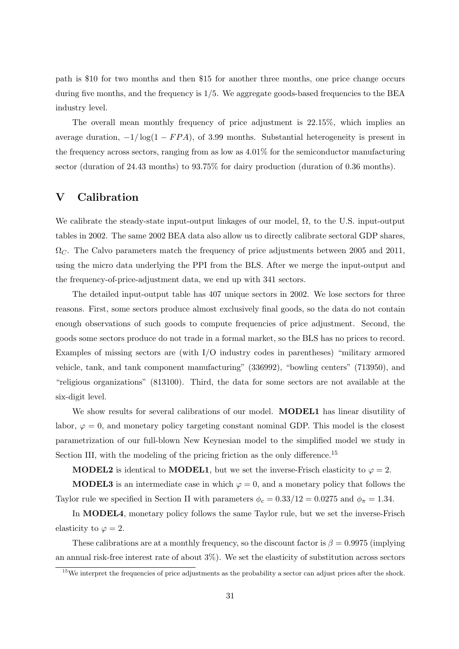path is \$10 for two months and then \$15 for another three months, one price change occurs during five months, and the frequency is  $1/5$ . We aggregate goods-based frequencies to the BEA industry level.

The overall mean monthly frequency of price adjustment is 22.15%, which implies an average duration,  $-1/\log(1 - FPA)$ , of 3.99 months. Substantial heterogeneity is present in the frequency across sectors, ranging from as low as  $4.01\%$  for the semiconductor manufacturing sector (duration of 24.43 months) to 93.75% for dairy production (duration of 0.36 months).

# V Calibration

We calibrate the steady-state input-output linkages of our model,  $\Omega$ , to the U.S. input-output tables in 2002. The same 2002 BEA data also allow us to directly calibrate sectoral GDP shares,  $\Omega_{C}$ . The Calvo parameters match the frequency of price adjustments between 2005 and 2011, using the micro data underlying the PPI from the BLS. After we merge the input-output and the frequency-of-price-adjustment data, we end up with 341 sectors.

The detailed input-output table has 407 unique sectors in 2002. We lose sectors for three reasons. First, some sectors produce almost exclusively final goods, so the data do not contain enough observations of such goods to compute frequencies of price adjustment. Second, the goods some sectors produce do not trade in a formal market, so the BLS has no prices to record. Examples of missing sectors are (with I/O industry codes in parentheses) "military armored vehicle, tank, and tank component manufacturing" (336992), "bowling centers" (713950), and "religious organizations" (813100). Third, the data for some sectors are not available at the six-digit level.

We show results for several calibrations of our model. **MODEL1** has linear disutility of labor,  $\varphi = 0$ , and monetary policy targeting constant nominal GDP. This model is the closest parametrization of our full-blown New Keynesian model to the simplified model we study in Section [III,](#page-11-0) with the modeling of the pricing friction as the only difference.<sup>[15](#page-0-0)</sup>

**MODEL2** is identical to **MODEL1**, but we set the inverse-Frisch elasticity to  $\varphi = 2$ .

**MODEL3** is an intermediate case in which  $\varphi = 0$ , and a monetary policy that follows the Taylor rule we specified in Section [II](#page-7-0) with parameters  $\phi_c = 0.33/12 = 0.0275$  and  $\phi_{\pi} = 1.34$ .

In MODEL4, monetary policy follows the same Taylor rule, but we set the inverse-Frisch elasticity to  $\varphi = 2$ .

These calibrations are at a monthly frequency, so the discount factor is  $\beta = 0.9975$  (implying an annual risk-free interest rate of about 3%). We set the elasticity of substitution across sectors

<sup>&</sup>lt;sup>15</sup>We interpret the frequencies of price adjustments as the probability a sector can adjust prices after the shock.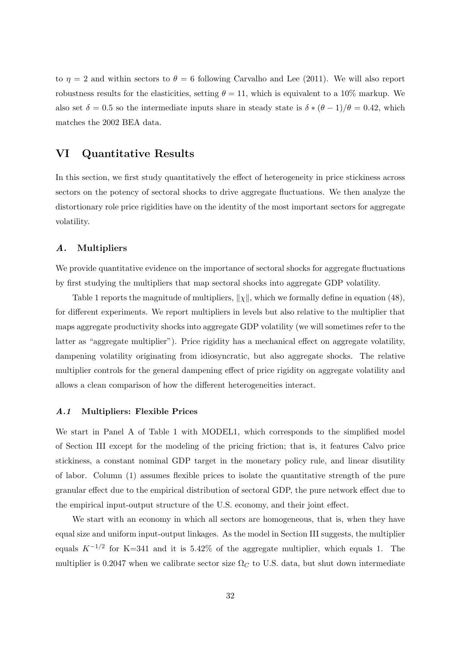to  $\eta = 2$  and within sectors to  $\theta = 6$  following [Carvalho and Lee](#page-38-16) [\(2011\)](#page-38-16). We will also report robustness results for the elasticities, setting  $\theta = 11$ , which is equivalent to a 10% markup. We also set  $\delta = 0.5$  so the intermediate inputs share in steady state is  $\delta * (\theta - 1)/\theta = 0.42$ , which matches the 2002 BEA data.

# <span id="page-31-0"></span>VI Quantitative Results

In this section, we first study quantitatively the effect of heterogeneity in price stickiness across sectors on the potency of sectoral shocks to drive aggregate fluctuations. We then analyze the distortionary role price rigidities have on the identity of the most important sectors for aggregate volatility.

# A. Multipliers

We provide quantitative evidence on the importance of sectoral shocks for aggregate fluctuations by first studying the multipliers that map sectoral shocks into aggregate GDP volatility.

Table [1](#page-42-0) reports the magnitude of multipliers,  $\|\chi\|$ , which we formally define in equation [\(48\)](#page-26-0), for different experiments. We report multipliers in levels but also relative to the multiplier that maps aggregate productivity shocks into aggregate GDP volatility (we will sometimes refer to the latter as "aggregate multiplier"). Price rigidity has a mechanical effect on aggregate volatility, dampening volatility originating from idiosyncratic, but also aggregate shocks. The relative multiplier controls for the general dampening effect of price rigidity on aggregate volatility and allows a clean comparison of how the different heterogeneities interact.

### A.1 Multipliers: Flexible Prices

We start in Panel A of Table [1](#page-42-0) with MODEL1, which corresponds to the simplified model of Section [III](#page-11-0) except for the modeling of the pricing friction; that is, it features Calvo price stickiness, a constant nominal GDP target in the monetary policy rule, and linear disutility of labor. Column (1) assumes flexible prices to isolate the quantitative strength of the pure granular effect due to the empirical distribution of sectoral GDP, the pure network effect due to the empirical input-output structure of the U.S. economy, and their joint effect.

We start with an economy in which all sectors are homogeneous, that is, when they have equal size and uniform input-output linkages. As the model in Section [III](#page-11-0) suggests, the multiplier equals  $K^{-1/2}$  for K=341 and it is 5.42% of the aggregate multiplier, which equals 1. The multiplier is 0.2047 when we calibrate sector size  $\Omega_C$  to U.S. data, but shut down intermediate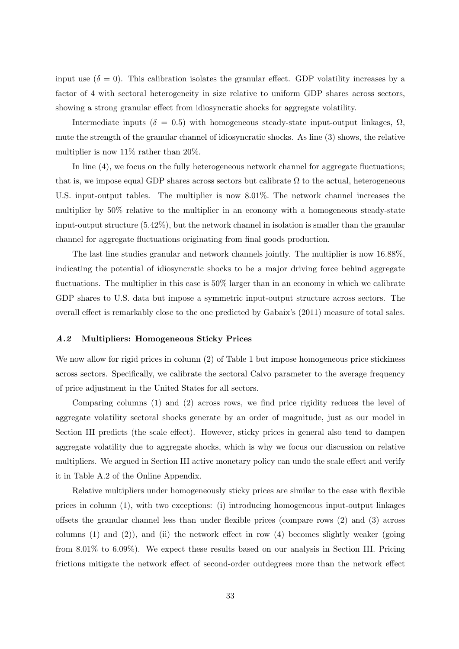input use  $(\delta = 0)$ . This calibration isolates the granular effect. GDP volatility increases by a factor of 4 with sectoral heterogeneity in size relative to uniform GDP shares across sectors, showing a strong granular effect from idiosyncratic shocks for aggregate volatility.

Intermediate inputs ( $\delta = 0.5$ ) with homogeneous steady-state input-output linkages,  $\Omega$ , mute the strength of the granular channel of idiosyncratic shocks. As line (3) shows, the relative multiplier is now  $11\%$  rather than  $20\%$ .

In line (4), we focus on the fully heterogeneous network channel for aggregate fluctuations; that is, we impose equal GDP shares across sectors but calibrate  $\Omega$  to the actual, heterogeneous U.S. input-output tables. The multiplier is now 8.01%. The network channel increases the multiplier by 50% relative to the multiplier in an economy with a homogeneous steady-state input-output structure (5.42%), but the network channel in isolation is smaller than the granular channel for aggregate fluctuations originating from final goods production.

The last line studies granular and network channels jointly. The multiplier is now 16.88%, indicating the potential of idiosyncratic shocks to be a major driving force behind aggregate fluctuations. The multiplier in this case is 50% larger than in an economy in which we calibrate GDP shares to U.S. data but impose a symmetric input-output structure across sectors. The overall effect is remarkably close to the one predicted by Gabaix's (2011) measure of total sales.

### A.2 Multipliers: Homogeneous Sticky Prices

We now allow for rigid prices in column  $(2)$  of Table [1](#page-42-0) but impose homogeneous price stickiness across sectors. Specifically, we calibrate the sectoral Calvo parameter to the average frequency of price adjustment in the United States for all sectors.

Comparing columns (1) and (2) across rows, we find price rigidity reduces the level of aggregate volatility sectoral shocks generate by an order of magnitude, just as our model in Section [III](#page-11-0) predicts (the scale effect). However, sticky prices in general also tend to dampen aggregate volatility due to aggregate shocks, which is why we focus our discussion on relative multipliers. We argued in Section [III](#page-11-0) active monetary policy can undo the scale effect and verify it in Table [A.2](#page-43-0) of the Online Appendix.

Relative multipliers under homogeneously sticky prices are similar to the case with flexible prices in column (1), with two exceptions: (i) introducing homogeneous input-output linkages offsets the granular channel less than under flexible prices (compare rows (2) and (3) across columns  $(1)$  and  $(2)$ ), and  $(ii)$  the network effect in row  $(4)$  becomes slightly weaker (going from 8.01% to 6.09%). We expect these results based on our analysis in Section [III.](#page-11-0) Pricing frictions mitigate the network effect of second-order outdegrees more than the network effect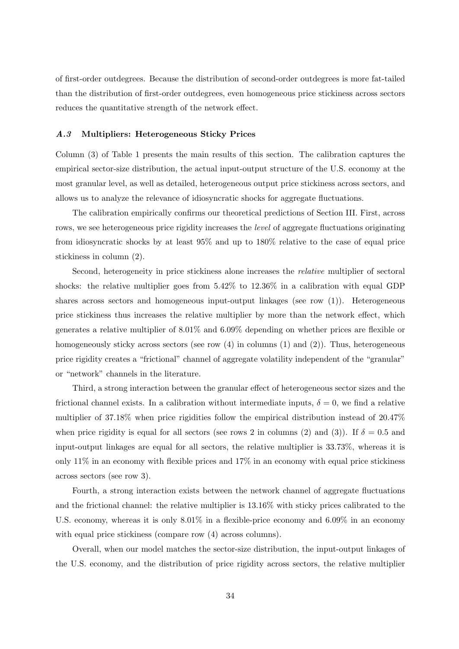of first-order outdegrees. Because the distribution of second-order outdegrees is more fat-tailed than the distribution of first-order outdegrees, even homogeneous price stickiness across sectors reduces the quantitative strength of the network effect.

### A.3 Multipliers: Heterogeneous Sticky Prices

Column (3) of Table [1](#page-42-0) presents the main results of this section. The calibration captures the empirical sector-size distribution, the actual input-output structure of the U.S. economy at the most granular level, as well as detailed, heterogeneous output price stickiness across sectors, and allows us to analyze the relevance of idiosyncratic shocks for aggregate fluctuations.

The calibration empirically confirms our theoretical predictions of Section [III.](#page-11-0) First, across rows, we see heterogeneous price rigidity increases the *level* of aggregate fluctuations originating from idiosyncratic shocks by at least 95% and up to 180% relative to the case of equal price stickiness in column (2).

Second, heterogeneity in price stickiness alone increases the relative multiplier of sectoral shocks: the relative multiplier goes from 5.42% to 12.36% in a calibration with equal GDP shares across sectors and homogeneous input-output linkages (see row (1)). Heterogeneous price stickiness thus increases the relative multiplier by more than the network effect, which generates a relative multiplier of 8.01% and 6.09% depending on whether prices are flexible or homogeneously sticky across sectors (see row  $(4)$  in columns  $(1)$  and  $(2)$ ). Thus, heterogeneous price rigidity creates a "frictional" channel of aggregate volatility independent of the "granular" or "network" channels in the literature.

Third, a strong interaction between the granular effect of heterogeneous sector sizes and the frictional channel exists. In a calibration without intermediate inputs,  $\delta = 0$ , we find a relative multiplier of 37.18% when price rigidities follow the empirical distribution instead of 20.47% when price rigidity is equal for all sectors (see rows 2 in columns (2) and (3)). If  $\delta = 0.5$  and input-output linkages are equal for all sectors, the relative multiplier is 33.73%, whereas it is only  $11\%$  in an economy with flexible prices and  $17\%$  in an economy with equal price stickiness across sectors (see row 3).

Fourth, a strong interaction exists between the network channel of aggregate fluctuations and the frictional channel: the relative multiplier is 13.16% with sticky prices calibrated to the U.S. economy, whereas it is only 8.01% in a flexible-price economy and 6.09% in an economy with equal price stickiness (compare row  $(4)$  across columns).

Overall, when our model matches the sector-size distribution, the input-output linkages of the U.S. economy, and the distribution of price rigidity across sectors, the relative multiplier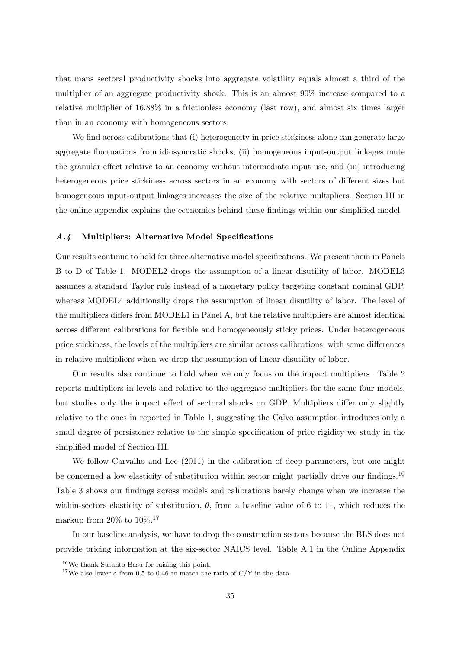that maps sectoral productivity shocks into aggregate volatility equals almost a third of the multiplier of an aggregate productivity shock. This is an almost 90% increase compared to a relative multiplier of 16.88% in a frictionless economy (last row), and almost six times larger than in an economy with homogeneous sectors.

We find across calibrations that (i) heterogeneity in price stickiness alone can generate large aggregate fluctuations from idiosyncratic shocks, (ii) homogeneous input-output linkages mute the granular effect relative to an economy without intermediate input use, and (iii) introducing heterogeneous price stickiness across sectors in an economy with sectors of different sizes but homogeneous input-output linkages increases the size of the relative multipliers. Section [III](#page-11-0) in the online appendix explains the economics behind these findings within our simplified model.

### A.4 Multipliers: Alternative Model Specifications

Our results continue to hold for three alternative model specifications. We present them in Panels B to D of Table [1.](#page-42-0) MODEL2 drops the assumption of a linear disutility of labor. MODEL3 assumes a standard Taylor rule instead of a monetary policy targeting constant nominal GDP, whereas MODEL4 additionally drops the assumption of linear disutility of labor. The level of the multipliers differs from MODEL1 in Panel A, but the relative multipliers are almost identical across different calibrations for flexible and homogeneously sticky prices. Under heterogeneous price stickiness, the levels of the multipliers are similar across calibrations, with some differences in relative multipliers when we drop the assumption of linear disutility of labor.

Our results also continue to hold when we only focus on the impact multipliers. Table [2](#page-43-0) reports multipliers in levels and relative to the aggregate multipliers for the same four models, but studies only the impact effect of sectoral shocks on GDP. Multipliers differ only slightly relative to the ones in reported in Table [1,](#page-42-0) suggesting the Calvo assumption introduces only a small degree of persistence relative to the simple specification of price rigidity we study in the simplified model of Section [III.](#page-11-0)

We follow [Carvalho and Lee](#page-38-16) [\(2011\)](#page-38-16) in the calibration of deep parameters, but one might be concerned a low elasticity of substitution within sector might partially drive our findings.<sup>[16](#page-0-0)</sup> Table [3](#page-44-0) shows our findings across models and calibrations barely change when we increase the within-sectors elasticity of substitution,  $\theta$ , from a baseline value of 6 to 11, which reduces the markup from 20% to  $10\%$ .<sup>[17](#page-0-0)</sup>

In our baseline analysis, we have to drop the construction sectors because the BLS does not provide pricing information at the six-sector NAICS level. Table [A.1](#page-42-0) in the Online Appendix

<sup>16</sup>We thank Susanto Basu for raising this point.

<sup>&</sup>lt;sup>17</sup>We also lower  $\delta$  from 0.5 to 0.46 to match the ratio of C/Y in the data.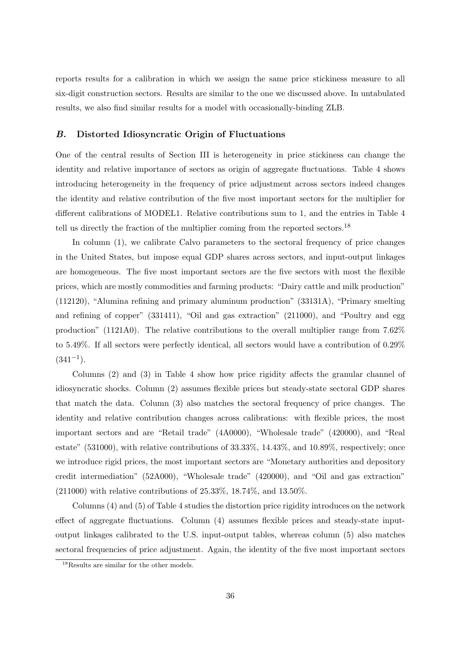reports results for a calibration in which we assign the same price stickiness measure to all six-digit construction sectors. Results are similar to the one we discussed above. In untabulated results, we also find similar results for a model with occasionally-binding ZLB.

### B. Distorted Idiosyncratic Origin of Fluctuations

One of the central results of Section [III](#page-11-0) is heterogeneity in price stickiness can change the identity and relative importance of sectors as origin of aggregate fluctuations. Table [4](#page-45-0) shows introducing heterogeneity in the frequency of price adjustment across sectors indeed changes the identity and relative contribution of the five most important sectors for the multiplier for different calibrations of MODEL1. Relative contributions sum to 1, and the entries in Table [4](#page-45-0) tell us directly the fraction of the multiplier coming from the reported sectors.[18](#page-0-0)

In column (1), we calibrate Calvo parameters to the sectoral frequency of price changes in the United States, but impose equal GDP shares across sectors, and input-output linkages are homogeneous. The five most important sectors are the five sectors with most the flexible prices, which are mostly commodities and farming products: "Dairy cattle and milk production" (112120), "Alumina refining and primary aluminum production" (33131A), "Primary smelting and refining of copper" (331411), "Oil and gas extraction" (211000), and "Poultry and egg production" (1121A0). The relative contributions to the overall multiplier range from 7.62% to 5.49%. If all sectors were perfectly identical, all sectors would have a contribution of 0.29%  $(341^{-1})$ .

Columns (2) and (3) in Table [4](#page-45-0) show how price rigidity affects the granular channel of idiosyncratic shocks. Column (2) assumes flexible prices but steady-state sectoral GDP shares that match the data. Column (3) also matches the sectoral frequency of price changes. The identity and relative contribution changes across calibrations: with flexible prices, the most important sectors and are "Retail trade" (4A0000), "Wholesale trade" (420000), and "Real estate"  $(531000)$ , with relative contributions of  $33.33\%$ ,  $14.43\%$ , and  $10.89\%$ , respectively; once we introduce rigid prices, the most important sectors are "Monetary authorities and depository credit intermediation" (52A000), "Wholesale trade" (420000), and "Oil and gas extraction" (211000) with relative contributions of 25.33%, 18.74%, and 13.50%.

Columns (4) and (5) of Table [4](#page-45-0) studies the distortion price rigidity introduces on the network effect of aggregate fluctuations. Column (4) assumes flexible prices and steady-state inputoutput linkages calibrated to the U.S. input-output tables, whereas column (5) also matches sectoral frequencies of price adjustment. Again, the identity of the five most important sectors

<sup>&</sup>lt;sup>18</sup>Results are similar for the other models.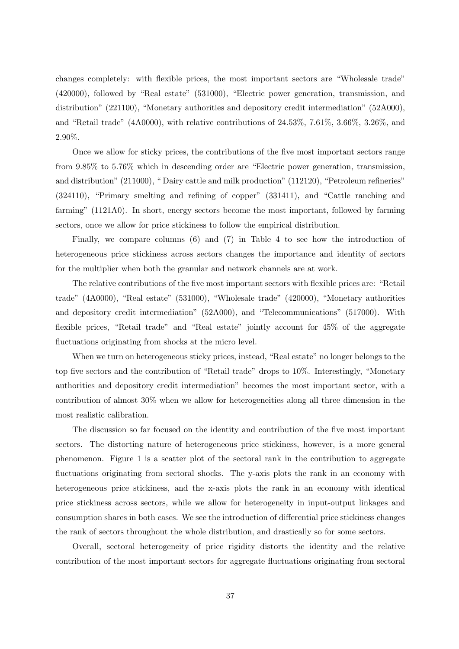changes completely: with flexible prices, the most important sectors are "Wholesale trade" (420000), followed by "Real estate" (531000), "Electric power generation, transmission, and distribution" (221100), "Monetary authorities and depository credit intermediation" (52A000), and "Retail trade" (4A0000), with relative contributions of 24.53%, 7.61%, 3.66%, 3.26%, and 2.90%.

Once we allow for sticky prices, the contributions of the five most important sectors range from 9.85% to 5.76% which in descending order are "Electric power generation, transmission, and distribution" (211000), " Dairy cattle and milk production" (112120), "Petroleum refineries" (324110), "Primary smelting and refining of copper" (331411), and "Cattle ranching and farming" (1121A0). In short, energy sectors become the most important, followed by farming sectors, once we allow for price stickiness to follow the empirical distribution.

Finally, we compare columns (6) and (7) in Table [4](#page-45-0) to see how the introduction of heterogeneous price stickiness across sectors changes the importance and identity of sectors for the multiplier when both the granular and network channels are at work.

The relative contributions of the five most important sectors with flexible prices are: "Retail trade" (4A0000), "Real estate" (531000), "Wholesale trade" (420000), "Monetary authorities and depository credit intermediation" (52A000), and "Telecommunications" (517000). With flexible prices, "Retail trade" and "Real estate" jointly account for 45% of the aggregate fluctuations originating from shocks at the micro level.

When we turn on heterogeneous sticky prices, instead, "Real estate" no longer belongs to the top five sectors and the contribution of "Retail trade" drops to 10%. Interestingly, "Monetary authorities and depository credit intermediation" becomes the most important sector, with a contribution of almost 30% when we allow for heterogeneities along all three dimension in the most realistic calibration.

The discussion so far focused on the identity and contribution of the five most important sectors. The distorting nature of heterogeneous price stickiness, however, is a more general phenomenon. Figure [1](#page-41-0) is a scatter plot of the sectoral rank in the contribution to aggregate fluctuations originating from sectoral shocks. The y-axis plots the rank in an economy with heterogeneous price stickiness, and the x-axis plots the rank in an economy with identical price stickiness across sectors, while we allow for heterogeneity in input-output linkages and consumption shares in both cases. We see the introduction of differential price stickiness changes the rank of sectors throughout the whole distribution, and drastically so for some sectors.

Overall, sectoral heterogeneity of price rigidity distorts the identity and the relative contribution of the most important sectors for aggregate fluctuations originating from sectoral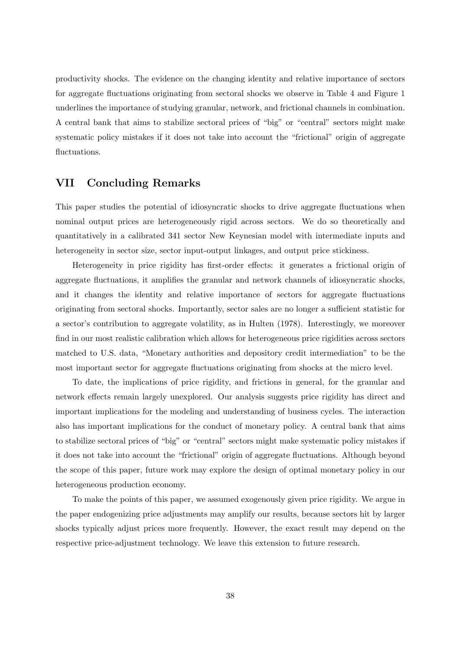productivity shocks. The evidence on the changing identity and relative importance of sectors for aggregate fluctuations originating from sectoral shocks we observe in Table [4](#page-45-0) and Figure [1](#page-41-0) underlines the importance of studying granular, network, and frictional channels in combination. A central bank that aims to stabilize sectoral prices of "big" or "central" sectors might make systematic policy mistakes if it does not take into account the "frictional" origin of aggregate fluctuations.

# VII Concluding Remarks

This paper studies the potential of idiosyncratic shocks to drive aggregate fluctuations when nominal output prices are heterogeneously rigid across sectors. We do so theoretically and quantitatively in a calibrated 341 sector New Keynesian model with intermediate inputs and heterogeneity in sector size, sector input-output linkages, and output price stickiness.

Heterogeneity in price rigidity has first-order effects: it generates a frictional origin of aggregate fluctuations, it amplifies the granular and network channels of idiosyncratic shocks, and it changes the identity and relative importance of sectors for aggregate fluctuations originating from sectoral shocks. Importantly, sector sales are no longer a sufficient statistic for a sector's contribution to aggregate volatility, as in Hulten (1978). Interestingly, we moreover find in our most realistic calibration which allows for heterogeneous price rigidities across sectors matched to U.S. data, "Monetary authorities and depository credit intermediation" to be the most important sector for aggregate fluctuations originating from shocks at the micro level.

To date, the implications of price rigidity, and frictions in general, for the granular and network effects remain largely unexplored. Our analysis suggests price rigidity has direct and important implications for the modeling and understanding of business cycles. The interaction also has important implications for the conduct of monetary policy. A central bank that aims to stabilize sectoral prices of "big" or "central" sectors might make systematic policy mistakes if it does not take into account the "frictional" origin of aggregate fluctuations. Although beyond the scope of this paper, future work may explore the design of optimal monetary policy in our heterogeneous production economy.

To make the points of this paper, we assumed exogenously given price rigidity. We argue in the paper endogenizing price adjustments may amplify our results, because sectors hit by larger shocks typically adjust prices more frequently. However, the exact result may depend on the respective price-adjustment technology. We leave this extension to future research.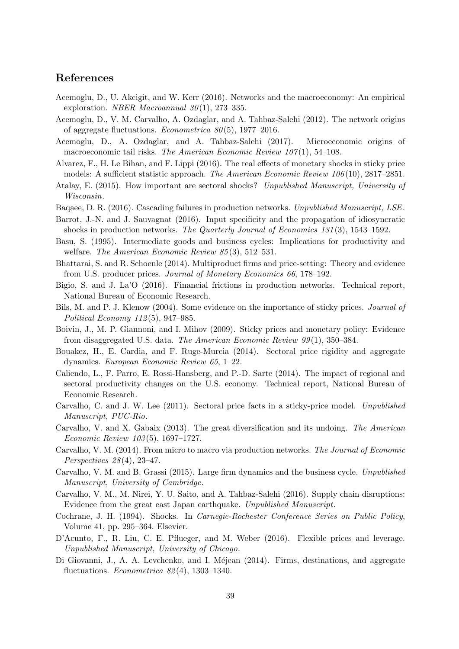# References

- <span id="page-38-3"></span>Acemoglu, D., U. Akcigit, and W. Kerr (2016). Networks and the macroeconomy: An empirical exploration. *NBER Macroannual*  $30(1)$ , 273-335.
- <span id="page-38-1"></span>Acemoglu, D., V. M. Carvalho, A. Ozdaglar, and A. Tahbaz-Salehi (2012). The network origins of aggregate fluctuations. *Econometrica*  $80(5)$ , 1977–2016.
- <span id="page-38-4"></span>Acemoglu, D., A. Ozdaglar, and A. Tahbaz-Salehi (2017). Microeconomic origins of macroeconomic tail risks. The American Economic Review  $107(1)$ , 54–108.
- <span id="page-38-18"></span>Alvarez, F., H. Le Bihan, and F. Lippi (2016). The real effects of monetary shocks in sticky price models: A sufficient statistic approach. The American Economic Review 106 (10), 2817–2851.
- <span id="page-38-5"></span>Atalay, E. (2015). How important are sectoral shocks? Unpublished Manuscript, University of Wisconsin.
- <span id="page-38-6"></span>Baqaee, D. R. (2016). Cascading failures in production networks. Unpublished Manuscript, LSE.
- <span id="page-38-12"></span>Barrot, J.-N. and J. Sauvagnat (2016). Input specificity and the propagation of idiosyncratic shocks in production networks. The Quarterly Journal of Economics 131 (3), 1543–1592.
- <span id="page-38-15"></span>Basu, S. (1995). Intermediate goods and business cycles: Implications for productivity and welfare. The American Economic Review 85(3), 512-531.
- <span id="page-38-20"></span>Bhattarai, S. and R. Schoenle (2014). Multiproduct firms and price-setting: Theory and evidence from U.S. producer prices. Journal of Monetary Economics 66, 178–192.
- <span id="page-38-7"></span>Bigio, S. and J. La'O (2016). Financial frictions in production networks. Technical report, National Bureau of Economic Research.
- <span id="page-38-2"></span>Bils, M. and P. J. Klenow (2004). Some evidence on the importance of sticky prices. *Journal of* Political Economy 112 (5), 947–985.
- <span id="page-38-17"></span>Boivin, J., M. P. Giannoni, and I. Mihov (2009). Sticky prices and monetary policy: Evidence from disaggregated U.S. data. The American Economic Review 99 (1), 350–384.
- <span id="page-38-19"></span>Bouakez, H., E. Cardia, and F. Ruge-Murcia (2014). Sectoral price rigidity and aggregate dynamics. European Economic Review 65, 1–22.
- <span id="page-38-8"></span>Caliendo, L., F. Parro, E. Rossi-Hansberg, and P.-D. Sarte (2014). The impact of regional and sectoral productivity changes on the U.S. economy. Technical report, National Bureau of Economic Research.
- <span id="page-38-16"></span>Carvalho, C. and J. W. Lee (2011). Sectoral price facts in a sticky-price model. Unpublished Manuscript, PUC-Rio.
- <span id="page-38-9"></span>Carvalho, V. and X. Gabaix (2013). The great diversification and its undoing. The American Economic Review 103 (5), 1697–1727.
- <span id="page-38-14"></span>Carvalho, V. M. (2014). From micro to macro via production networks. The Journal of Economic Perspectives  $28(4)$ , 23-47.
- <span id="page-38-10"></span>Carvalho, V. M. and B. Grassi (2015). Large firm dynamics and the business cycle. Unpublished Manuscript, University of Cambridge.
- <span id="page-38-13"></span>Carvalho, V. M., M. Nirei, Y. U. Saito, and A. Tahbaz-Salehi (2016). Supply chain disruptions: Evidence from the great east Japan earthquake. Unpublished Manuscript.
- <span id="page-38-0"></span>Cochrane, J. H. (1994). Shocks. In Carnegie-Rochester Conference Series on Public Policy, Volume 41, pp. 295–364. Elsevier.
- <span id="page-38-21"></span>D'Acunto, F., R. Liu, C. E. Pflueger, and M. Weber (2016). Flexible prices and leverage. Unpublished Manuscript, University of Chicago.
- <span id="page-38-11"></span>Di Giovanni, J., A. A. Levchenko, and I. Méjean (2014). Firms, destinations, and aggregate fluctuations. *Econometrica*  $82(4)$ , 1303–1340.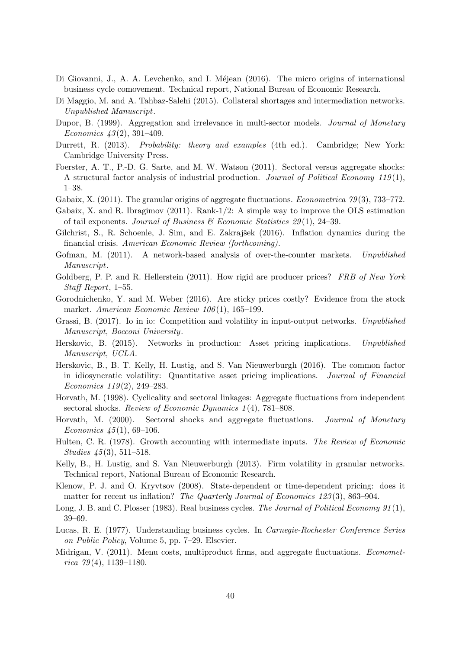- <span id="page-39-5"></span>Di Giovanni, J., A. A. Levchenko, and I. Méjean (2016). The micro origins of international business cycle comovement. Technical report, National Bureau of Economic Research.
- <span id="page-39-13"></span>Di Maggio, M. and A. Tahbaz-Salehi (2015). Collateral shortages and intermediation networks. Unpublished Manuscript.
- <span id="page-39-4"></span>Dupor, B. (1999). Aggregation and irrelevance in multi-sector models. Journal of Monetary Economics  $43(2)$ , 391-409.
- <span id="page-39-20"></span>Durrett, R. (2013). Probability: theory and examples (4th ed.). Cambridge; New York: Cambridge University Press.
- <span id="page-39-6"></span>Foerster, A. T., P.-D. G. Sarte, and M. W. Watson (2011). Sectoral versus aggregate shocks: A structural factor analysis of industrial production. Journal of Political Economy  $119(1)$ , 1–38.
- <span id="page-39-2"></span>Gabaix, X. (2011). The granular origins of aggregate fluctuations. *Econometrica* 79(3), 733–772.
- <span id="page-39-21"></span>Gabaix, X. and R. Ibragimov (2011). Rank-1/2: A simple way to improve the OLS estimation of tail exponents. Journal of Business  $\mathcal C$  Economic Statistics 29(1), 24–39.
- <span id="page-39-19"></span>Gilchrist, S., R. Schoenle, J. Sim, and E. Zakrajšek  $(2016)$ . Inflation dynamics during the financial crisis. American Economic Review (forthcoming).
- <span id="page-39-12"></span>Gofman, M. (2011). A network-based analysis of over-the-counter markets. Unpublished Manuscript.
- <span id="page-39-18"></span>Goldberg, P. P. and R. Hellerstein (2011). How rigid are producer prices? FRB of New York Staff Report, 1–55.
- <span id="page-39-17"></span>Gorodnichenko, Y. and M. Weber (2016). Are sticky prices costly? Evidence from the stock market. American Economic Review 106 (1), 165–199.
- <span id="page-39-7"></span>Grassi, B. (2017). Io in io: Competition and volatility in input-output networks. Unpublished Manuscript, Bocconi University.
- <span id="page-39-16"></span>Herskovic, B. (2015). Networks in production: Asset pricing implications. Unpublished Manuscript, UCLA.
- <span id="page-39-15"></span>Herskovic, B., B. T. Kelly, H. Lustig, and S. Van Nieuwerburgh (2016). The common factor in idiosyncratic volatility: Quantitative asset pricing implications. Journal of Financial Economics 119 (2), 249–283.
- <span id="page-39-9"></span>Horvath, M. (1998). Cyclicality and sectoral linkages: Aggregate fluctuations from independent sectoral shocks. Review of Economic Dynamics 1(4), 781–808.
- <span id="page-39-10"></span>Horvath, M. (2000). Sectoral shocks and aggregate fluctuations. Journal of Monetary Economics  $45(1)$ , 69-106.
- <span id="page-39-0"></span>Hulten, C. R. (1978). Growth accounting with intermediate inputs. The Review of Economic Studies  $\mu$ 5(3), 511–518.
- <span id="page-39-14"></span>Kelly, B., H. Lustig, and S. Van Nieuwerburgh (2013). Firm volatility in granular networks. Technical report, National Bureau of Economic Research.
- <span id="page-39-3"></span>Klenow, P. J. and O. Kryvtsov (2008). State-dependent or time-dependent pricing: does it matter for recent us inflation? The Quarterly Journal of Economics 123(3), 863–904.
- <span id="page-39-8"></span>Long, J. B. and C. Plosser (1983). Real business cycles. The Journal of Political Economy 91(1), 39–69.
- <span id="page-39-1"></span>Lucas, R. E. (1977). Understanding business cycles. In Carnegie-Rochester Conference Series on Public Policy, Volume 5, pp. 7–29. Elsevier.
- <span id="page-39-11"></span>Midrigan, V. (2011). Menu costs, multiproduct firms, and aggregate fluctuations. *Economet*rica  $79(4)$ , 1139–1180.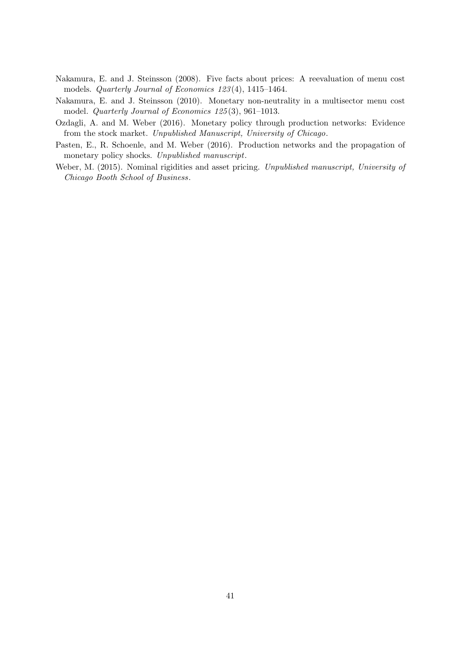- <span id="page-40-0"></span>Nakamura, E. and J. Steinsson (2008). Five facts about prices: A reevaluation of menu cost models. Quarterly Journal of Economics 123 (4), 1415–1464.
- <span id="page-40-2"></span>Nakamura, E. and J. Steinsson (2010). Monetary non-neutrality in a multisector menu cost model. Quarterly Journal of Economics 125 (3), 961–1013.
- <span id="page-40-1"></span>Ozdagli, A. and M. Weber (2016). Monetary policy through production networks: Evidence from the stock market. Unpublished Manuscript, University of Chicago.
- <span id="page-40-3"></span>Pasten, E., R. Schoenle, and M. Weber (2016). Production networks and the propagation of monetary policy shocks. Unpublished manuscript.
- <span id="page-40-4"></span>Weber, M. (2015). Nominal rigidities and asset pricing. Unpublished manuscript, University of Chicago Booth School of Business.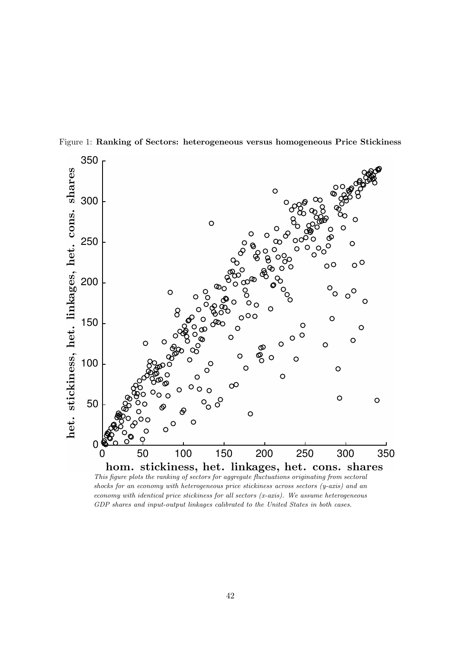

<span id="page-41-0"></span>Figure 1: Ranking of Sectors: heterogeneous versus homogeneous Price Stickiness

shocks for an economy with heterogeneous price stickiness across sectors (y-axis) and an economy with identical price stickiness for all sectors (x-axis). We assume heterogeneous GDP shares and input-output linkages calibrated to the United States in both cases.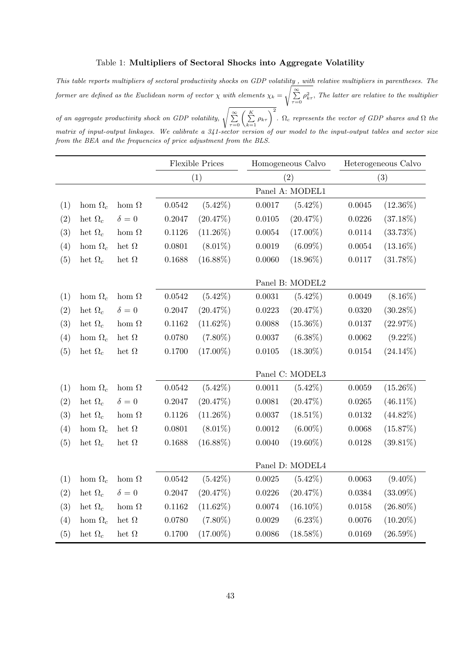# <span id="page-42-0"></span>Table 1: Multipliers of Sectoral Shocks into Aggregate Volatility

This table reports multipliers of sectoral productivity shocks on GDP volatility , with relative multipliers in parentheses. The former are defined as the Euclidean norm of vector  $\chi$  with elements  $\chi_k =$  $\sqrt{\sum_{\tau=0}^{\infty} \rho_{k\tau}^2}$ , The latter are relative to the multiplier

of an aggregate productivity shock on GDP volatility,  $\sqrt{\sum_{\tau=0}^{\infty} \left(\sum_{k=1}^{K} \rho_{k\tau}\right)^2}$ .  $\Omega_c$  represents the vector of GDP shares and  $\Omega$  the matrix of input-output linkages. We calibrate a 341-sector version of our model to the input-output tables and sector size from the BEA and the frequencies of price adjustment from the BLS.

|     |                |              | <b>Flexible Prices</b> |                 |                 | Homogeneous Calvo |        | Heterogeneous Calvo |  |
|-----|----------------|--------------|------------------------|-----------------|-----------------|-------------------|--------|---------------------|--|
|     |                |              | (1)                    |                 | (2)             |                   | (3)    |                     |  |
|     |                |              |                        |                 |                 | Panel A: MODEL1   |        |                     |  |
| (1) | hom $\Omega_c$ | hom $\Omega$ | 0.0542                 | $(5.42\%)$      | $0.0017\,$      | $(5.42\%)$        | 0.0045 | $(12.36\%)$         |  |
| (2) | het $\Omega_c$ | $\delta = 0$ | 0.2047                 | (20.47%)        | $0.0105\,$      | (20.47%)          | 0.0226 | $(37.18\%)$         |  |
| (3) | het $\Omega_c$ | hom $\Omega$ | 0.1126                 | $(11.26\%)$     | 0.0054          | $(17.00\%)$       | 0.0114 | $(33.73\%)$         |  |
| (4) | hom $\Omega_c$ | het $\Omega$ | 0.0801                 | $(8.01\%)$      | 0.0019          | $(6.09\%)$        | 0.0054 | $(13.16\%)$         |  |
| (5) | het $\Omega_c$ | het $\Omega$ | 0.1688                 | $(16.88\%)$     | 0.0060          | $(18.96\%)$       | 0.0117 | $(31.78\%)$         |  |
|     |                |              |                        |                 | Panel B: MODEL2 |                   |        |                     |  |
| (1) | hom $\Omega_c$ | hom $\Omega$ | 0.0542                 | $(5.42\%)$      | 0.0031          | $(5.42\%)$        | 0.0049 | $(8.16\%)$          |  |
| (2) | het $\Omega_c$ | $\delta=0$   | 0.2047                 | (20.47%)        | 0.0223          | (20.47%)          | 0.0320 | $(30.28\%)$         |  |
| (3) | het $\Omega_c$ | hom $\Omega$ | 0.1162                 | $(11.62\%)$     | 0.0088          | $(15.36\%)$       | 0.0137 | (22.97%)            |  |
| (4) | hom $\Omega_c$ | het $\Omega$ | 0.0780                 | $(7.80\%)$      | 0.0037          | $(6.38\%)$        | 0.0062 | $(9.22\%)$          |  |
| (5) | het $\Omega_c$ | het $\Omega$ | 0.1700                 | $(17.00\%)$     | 0.0105          | $(18.30\%)$       | 0.0154 | $(24.14\%)$         |  |
|     |                |              |                        |                 |                 | Panel C: MODEL3   |        |                     |  |
| (1) | hom $\Omega_c$ | hom $\Omega$ | 0.0542                 | $(5.42\%)$      | 0.0011          | $(5.42\%)$        | 0.0059 | $(15.26\%)$         |  |
| (2) | het $\Omega_c$ | $\delta = 0$ | 0.2047                 | (20.47%)        | 0.0081          | (20.47%)          | 0.0265 | $(46.11\%)$         |  |
| (3) | het $\Omega_c$ | hom $\Omega$ | 0.1126                 | $(11.26\%)$     | 0.0037          | $(18.51\%)$       | 0.0132 | $(44.82\%)$         |  |
| (4) | hom $\Omega_c$ | het $\Omega$ | 0.0801                 | $(8.01\%)$      | 0.0012          | $(6.00\%)$        | 0.0068 | (15.87%)            |  |
| (5) | het $\Omega_c$ | het $\Omega$ | 0.1688                 | $(16.88\%)$     | 0.0040          | $(19.60\%)$       | 0.0128 | $(39.81\%)$         |  |
|     |                |              |                        | Panel D: MODEL4 |                 |                   |        |                     |  |
| (1) | hom $\Omega_c$ | hom $\Omega$ | 0.0542                 | $(5.42\%)$      | 0.0025          | $(5.42\%)$        | 0.0063 | $(9.40\%)$          |  |
| (2) | het $\Omega_c$ | $\delta = 0$ | 0.2047                 | (20.47%)        | 0.0226          | (20.47%)          | 0.0384 | $(33.09\%)$         |  |
| (3) | het $\Omega_c$ | hom $\Omega$ | 0.1162                 | $(11.62\%)$     | 0.0074          | $(16.10\%)$       | 0.0158 | $(26.80\%)$         |  |
| (4) | hom $\Omega_c$ | het $\Omega$ | 0.0780                 | $(7.80\%)$      | 0.0029          | $(6.23\%)$        | 0.0076 | $(10.20\%)$         |  |
| (5) | het $\Omega_c$ | het $\Omega$ | 0.1700                 | $(17.00\%)$     | 0.0086          | $(18.58\%)$       | 0.0169 | $(26.59\%)$         |  |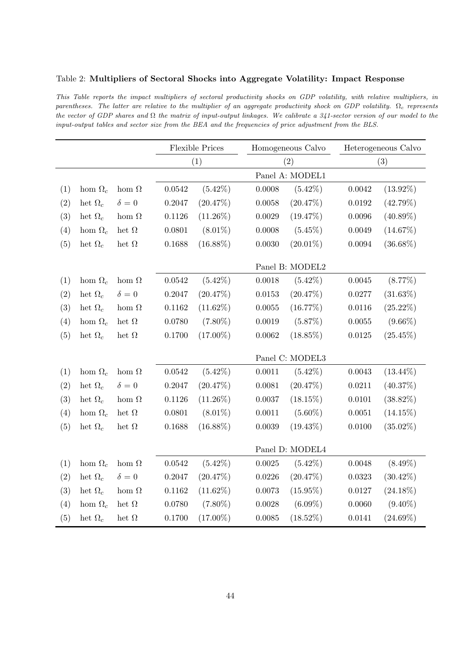# <span id="page-43-0"></span>Table 2: Multipliers of Sectoral Shocks into Aggregate Volatility: Impact Response

This Table reports the impact multipliers of sectoral productivity shocks on GDP volatility, with relative multipliers, in parentheses. The latter are relative to the multiplier of an aggregate productivity shock on GDP volatility.  $\Omega_c$  represents the vector of GDP shares and  $\Omega$  the matrix of input-output linkages. We calibrate a 341-sector version of our model to the input-output tables and sector size from the BEA and the frequencies of price adjustment from the BLS.

|     |                |              | <b>Flexible Prices</b> |             | Homogeneous Calvo |             | Heterogeneous Calvo |             |  |
|-----|----------------|--------------|------------------------|-------------|-------------------|-------------|---------------------|-------------|--|
|     |                |              | (1)                    |             | (2)               |             | (3)                 |             |  |
|     |                |              | Panel A: MODEL1        |             |                   |             |                     |             |  |
| (1) | hom $\Omega_c$ | hom $\Omega$ | 0.0542                 | $(5.42\%)$  | 0.0008            | $(5.42\%)$  | 0.0042              | $(13.92\%)$ |  |
| (2) | het $\Omega_c$ | $\delta = 0$ | 0.2047                 | (20.47%)    | 0.0058            | (20.47%)    | 0.0192              | (42.79%)    |  |
| (3) | het $\Omega_c$ | hom $\Omega$ | 0.1126                 | $(11.26\%)$ | 0.0029            | (19.47%)    | 0.0096              | $(40.89\%)$ |  |
| (4) | hom $\Omega_c$ | het $\Omega$ | 0.0801                 | $(8.01\%)$  | 0.0008            | $(5.45\%)$  | 0.0049              | $(14.67\%)$ |  |
| (5) | het $\Omega_c$ | het $\Omega$ | 0.1688                 | $(16.88\%)$ | 0.0030            | $(20.01\%)$ | 0.0094              | $(36.68\%)$ |  |
|     |                |              | Panel B: MODEL2        |             |                   |             |                     |             |  |
| (1) | hom $\Omega_c$ | hom $\Omega$ | 0.0542                 | $(5.42\%)$  | 0.0018            | $(5.42\%)$  | 0.0045              | $(8.77\%)$  |  |
| (2) | het $\Omega_c$ | $\delta = 0$ | 0.2047                 | (20.47%)    | 0.0153            | (20.47%)    | 0.0277              | $(31.63\%)$ |  |
| (3) | het $\Omega_c$ | hom $\Omega$ | 0.1162                 | $(11.62\%)$ | 0.0055            | (16.77%)    | 0.0116              | $(25.22\%)$ |  |
| (4) | hom $\Omega_c$ | het $\Omega$ | 0.0780                 | $(7.80\%)$  | 0.0019            | $(5.87\%)$  | 0.0055              | $(9.66\%)$  |  |
| (5) | het $\Omega_c$ | het $\Omega$ | 0.1700                 | $(17.00\%)$ | 0.0062            | $(18.85\%)$ | 0.0125              | $(25.45\%)$ |  |
|     |                |              | Panel C: MODEL3        |             |                   |             |                     |             |  |
| (1) | hom $\Omega_c$ | hom $\Omega$ | 0.0542                 | $(5.42\%)$  | 0.0011            | $(5.42\%)$  | 0.0043              | $(13.44\%)$ |  |
| (2) | het $\Omega_c$ | $\delta=0$   | 0.2047                 | (20.47%)    | 0.0081            | (20.47%)    | 0.0211              | (40.37%)    |  |
| (3) | het $\Omega_c$ | hom $\Omega$ | 0.1126                 | $(11.26\%)$ | 0.0037            | $(18.15\%)$ | 0.0101              | $(38.82\%)$ |  |
| (4) | hom $\Omega_c$ | het $\Omega$ | 0.0801                 | $(8.01\%)$  | 0.0011            | $(5.60\%)$  | 0.0051              | $(14.15\%)$ |  |
| (5) | het $\Omega_c$ | het $\Omega$ | 0.1688                 | $(16.88\%)$ | 0.0039            | $(19.43\%)$ | 0.0100              | $(35.02\%)$ |  |
|     |                |              | Panel D: MODEL4        |             |                   |             |                     |             |  |
| (1) | hom $\Omega_c$ | hom $\Omega$ | $\,0.0542\,$           | $(5.42\%)$  | 0.0025            | $(5.42\%)$  | 0.0048              | $(8.49\%)$  |  |
| (2) | het $\Omega_c$ | $\delta = 0$ | 0.2047                 | (20.47%)    | $0.0226\,$        | (20.47%)    | 0.0323              | $(30.42\%)$ |  |
| (3) | het $\Omega_c$ | hom $\Omega$ | 0.1162                 | $(11.62\%)$ | 0.0073            | $(15.95\%)$ | 0.0127              | $(24.18\%)$ |  |
| (4) | hom $\Omega_c$ | het $\Omega$ | 0.0780                 | $(7.80\%)$  | 0.0028            | $(6.09\%)$  | 0.0060              | $(9.40\%)$  |  |
| (5) | het $\Omega_c$ | het $\Omega$ | 0.1700                 | $(17.00\%)$ | 0.0085            | $(18.52\%)$ | 0.0141              | $(24.69\%)$ |  |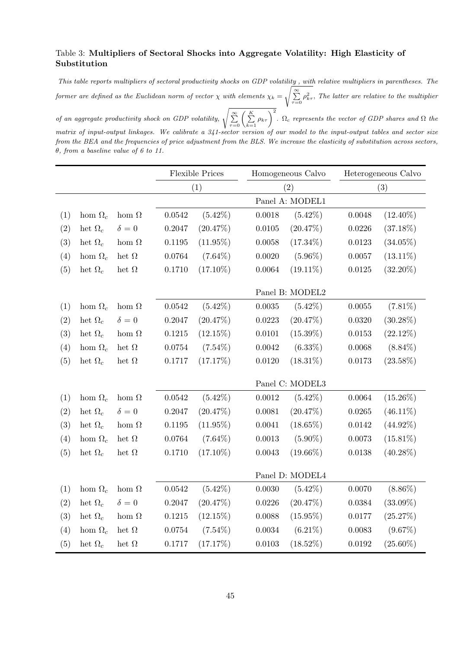# <span id="page-44-0"></span>Table 3: Multipliers of Sectoral Shocks into Aggregate Volatility: High Elasticity of Substitution

This table reports multipliers of sectoral productivity shocks on GDP volatility , with relative multipliers in parentheses. The former are defined as the Euclidean norm of vector  $\chi$  with elements  $\chi_k =$  $\sqrt{\sum_{\tau=0}^{\infty} \rho_{k\tau}^2}$ , The latter are relative to the multiplier

of an aggregate productivity shock on GDP volatility,  $\sqrt{\sum_{\tau=0}^{\infty} \left(\sum_{k=1}^{K} \rho_{k\tau}\right)^2}$ .  $\Omega_c$  represents the vector of GDP shares and  $\Omega$  the matrix of input-output linkages. We calibrate a 341-sector version of our model to the input-output tables and sector size from the BEA and the frequencies of price adjustment from the BLS. We increase the elasticity of substitution across sectors, θ, from a baseline value of 6 to 11.

|     |                |              | <b>Flexible Prices</b> |                 |                 | Homogeneous Calvo |        | Heterogeneous Calvo |  |
|-----|----------------|--------------|------------------------|-----------------|-----------------|-------------------|--------|---------------------|--|
|     |                |              |                        | (1)             |                 | (2)               |        | (3)                 |  |
|     |                |              |                        | Panel A: MODEL1 |                 |                   |        |                     |  |
| (1) | hom $\Omega_c$ | hom $\Omega$ | 0.0542                 | $(5.42\%)$      | 0.0018          | $(5.42\%)$        | 0.0048 | $(12.40\%)$         |  |
| (2) | het $\Omega_c$ | $\delta = 0$ | 0.2047                 | (20.47%)        | $0.0105\,$      | (20.47%)          | 0.0226 | $(37.18\%)$         |  |
| (3) | het $\Omega_c$ | hom $\Omega$ | 0.1195                 | $(11.95\%)$     | $0.0058\,$      | $(17.34\%)$       | 0.0123 | $(34.05\%)$         |  |
| (4) | hom $\Omega_c$ | het $\Omega$ | $\,0.0764\,$           | $(7.64\%)$      | 0.0020          | $(5.96\%)$        | 0.0057 | $(13.11\%)$         |  |
| (5) | het $\Omega_c$ | het $\Omega$ | 0.1710                 | $(17.10\%)$     | $\,0.0064\,$    | $(19.11\%)$       | 0.0125 | $(32.20\%)$         |  |
|     |                |              |                        |                 | Panel B: MODEL2 |                   |        |                     |  |
| (1) | hom $\Omega_c$ | hom $\Omega$ | 0.0542                 | $(5.42\%)$      | 0.0035          | $(5.42\%)$        | 0.0055 | $(7.81\%)$          |  |
| (2) | het $\Omega_c$ | $\delta = 0$ | 0.2047                 | (20.47%)        | 0.0223          | $(20.47\%)$       | 0.0320 | $(30.28\%)$         |  |
| (3) | het $\Omega_c$ | hom $\Omega$ | 0.1215                 | (12.15%)        | 0.0101          | $(15.39\%)$       | 0.0153 | $(22.12\%)$         |  |
| (4) | hom $\Omega_c$ | het $\Omega$ | 0.0754                 | $(7.54\%)$      | 0.0042          | $(6.33\%)$        | 0.0068 | $(8.84\%)$          |  |
| (5) | het $\Omega_c$ | het $\Omega$ | 0.1717                 | (17.17%)        | 0.0120          | $(18.31\%)$       | 0.0173 | $(23.58\%)$         |  |
|     |                |              |                        |                 |                 | Panel C: MODEL3   |        |                     |  |
| (1) | hom $\Omega_c$ | hom $\Omega$ | 0.0542                 | $(5.42\%)$      | 0.0012          | $(5.42\%)$        | 0.0064 | $(15.26\%)$         |  |
| (2) | het $\Omega_c$ | $\delta = 0$ | 0.2047                 | (20.47%)        | 0.0081          | (20.47%)          | 0.0265 | $(46.11\%)$         |  |
| (3) | het $\Omega_c$ | hom $\Omega$ | 0.1195                 | $(11.95\%)$     | 0.0041          | $(18.65\%)$       | 0.0142 | $(44.92\%)$         |  |
| (4) | hom $\Omega_c$ | het $\Omega$ | 0.0764                 | $(7.64\%)$      | 0.0013          | $(5.90\%)$        | 0.0073 | $(15.81\%)$         |  |
| (5) | het $\Omega_c$ | het $\Omega$ | 0.1710                 | $(17.10\%)$     | 0.0043          | $(19.66\%)$       | 0.0138 | $(40.28\%)$         |  |
|     |                |              |                        | Panel D: MODEL4 |                 |                   |        |                     |  |
| (1) | hom $\Omega_c$ | hom $\Omega$ | 0.0542                 | $(5.42\%)$      | 0.0030          | $(5.42\%)$        | 0.0070 | $(8.86\%)$          |  |
| (2) | het $\Omega_c$ | $\delta = 0$ | 0.2047                 | (20.47%)        | 0.0226          | (20.47%)          | 0.0384 | $(33.09\%)$         |  |
| (3) | het $\Omega_c$ | hom $\Omega$ | 0.1215                 | $(12.15\%)$     | 0.0088          | $(15.95\%)$       | 0.0177 | (25.27%)            |  |
| (4) | hom $\Omega_c$ | het $\Omega$ | 0.0754                 | $(7.54\%)$      | $\,0.0034\,$    | $(6.21\%)$        | 0.0083 | $(9.67\%)$          |  |
| (5) | het $\Omega_c$ | het $\Omega$ | 0.1717                 | (17.17%)        | 0.0103          | $(18.52\%)$       | 0.0192 | $(25.60\%)$         |  |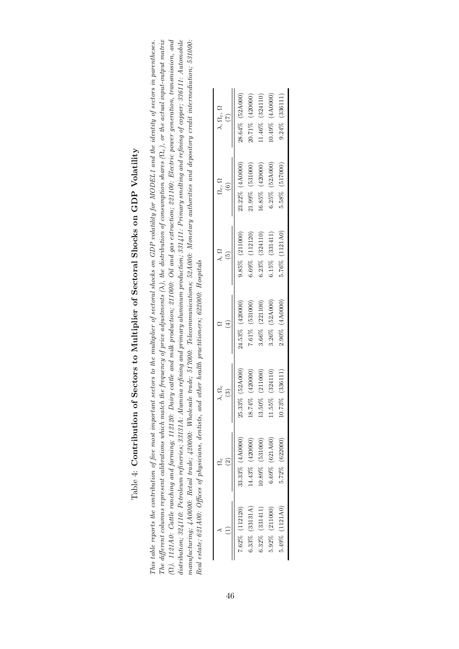# Table 4: Contribution of Sectors to Multiplier of Sectoral Shocks on GDP Volatility Table 4: Contribution of Sectors to Multiplier of Sectoral Shocks on GDP Volatility

<span id="page-45-0"></span>The different columns represent calibrations which match the frequency of price adjustments ( $\lambda$ ), the distribution of consumption shares ( $\Omega_c$ ), or the actual input-output matrix (2). 1121A0: Cattle ranching and farming; 112120: Dairy cattle and milk production; 211000: Oil and gas extraction; 221100: Electric power generation, transmission, and  $This\ table\ reports\ the\ contribution\ of\ five\ most\ important\ sectors\ to\ the\ multiplier\ of\ sectoral\ shocks\ on\ GDP\ volatility\ for\ MODELI\ and\ the\ identity\ of\ sectors\ in\ parentheses.$ distribution; 321110: Petroleum refineries; 33131A: Alumina refining and primary aluminum production; 331411: Primary smelting and refining of copper; 336111: Automobile manufacturing; 4A0000: Retail trade; 420000: Wholesale trade; 517000: Telecommunications; 52A000: Monetary authorities and depository credit intermediation; 531000: The different columns represent calibrations which match the frequency of price adjustments ( $\lambda$ ), the distribution of consumption shares ( $\Omega_c$ ), or the actual input-output matrix (Ω). 1121A0: Cattle ranching and farming; 112120: Dairy cattle and milk production; 211000: Catraction; 221100: Electric power generation, transmission, and distribution; 324110: Petroleum refineries; 33131A: Alumina refining and primary aluminum production; 331411: Primary smelting and refining of copper; 336111: Automobile manufacturing; 4A0000: Retail trade; 420000: Wholesale trade; 517000: Telecommunications; 52A000: Monetary authorities and depository credit intermediation; 531000: This table reports the contribution of five most important sectors to the multiplier of sectoral shocks on GDP volatility for MODEL1 and the identity of sectors in parentheses. Real estate; 621A00: Offices of physicians, dentists, and other health practitioners; 622000: Hospitals Real estate; 621A00: Offices of physicians, dentists, and other health practitioners; 622000: Hospitals

|                   |                   | $\lambda, \Omega_c$<br>ි |                      | $\lambda$ , $\Omega$ | $\Omega_c, \Omega$    | $\lambda$ , $\Omega_c$ , $\Omega$<br>(7) |
|-------------------|-------------------|--------------------------|----------------------|----------------------|-----------------------|------------------------------------------|
| $.62\%$ (112120)  | 33.33% (4A0000    | 25.33% (52A000)          | 24.53% (420000)      | $9.85\%$ (211000)    | 23.22% (4A0000)       | 28.64% (52A000)                          |
| $0.33\%$ (33131A) | $4.43\%$ (420000) | 18.74% (420000)          | 7.61% (531000)       | (112120)<br>3.69%    | 21.99% (531000)       | (420000)<br>20.71%                       |
| 6.32% (331411)    | $0.89\%$ (531000) | 13.50% (211000)          | 3.66% (221100)       | (324110)<br>5.23%    | (420000)<br>$-6.85\%$ | (324110)<br>$1.46\%$                     |
| 5.92% (211000)    | (621A00)<br>3.69% | (324110)<br>11.55%       | (52A000)<br>3.26%    | (331411)<br>1.15%    | $6.25\%$ $(52A000)$   | (4A0000)<br>$0.49\%$                     |
| 5.49% (1121A0)    | 5.72% (622000)    | 10.73% (336111)          | (4A0000)<br>$2.90\%$ | (1121A0)<br>5.76%    | (517000)<br>5.58%     | (336111)<br>9.24%                        |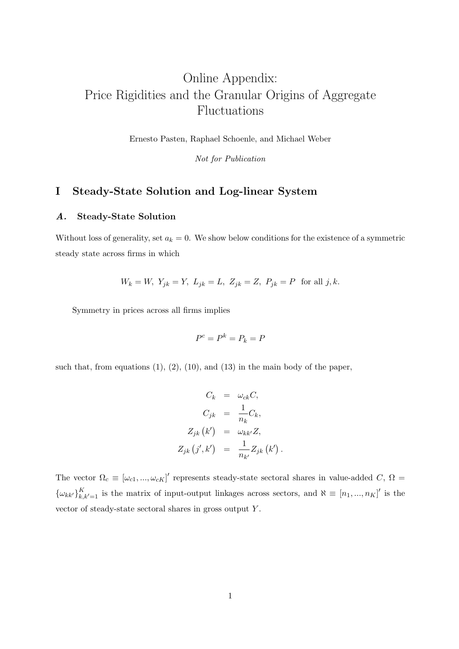# Online Appendix: Price Rigidities and the Granular Origins of Aggregate Fluctuations

Ernesto Pasten, Raphael Schoenle, and Michael Weber

Not for Publication

# I Steady-State Solution and Log-linear System

# A. Steady-State Solution

Without loss of generality, set  $a_k = 0$ . We show below conditions for the existence of a symmetric steady state across firms in which

$$
W_k = W
$$
,  $Y_{jk} = Y$ ,  $L_{jk} = L$ ,  $Z_{jk} = Z$ ,  $P_{jk} = P$  for all j, k.

Symmetry in prices across all firms implies

$$
P^c = P^k = P_k = P
$$

such that, from equations  $(1)$ ,  $(2)$ ,  $(10)$ , and  $(13)$  in the main body of the paper,

$$
C_k = \omega_{ck} C,
$$
  
\n
$$
C_{jk} = \frac{1}{n_k} C_k,
$$
  
\n
$$
Z_{jk} (k') = \omega_{kk'} Z,
$$
  
\n
$$
Z_{jk} (j', k') = \frac{1}{n_{k'}} Z_{jk} (k').
$$

The vector  $\Omega_c \equiv [\omega_{c1}, ..., \omega_{cK}]'$  represents steady-state sectoral shares in value-added C,  $\Omega =$  ${\{\omega_{kk'}\}}_{k,k'=1}^K$  is the matrix of input-output linkages across sectors, and  $\aleph \equiv [n_1, ..., n_K]'$  is the vector of steady-state sectoral shares in gross output Y .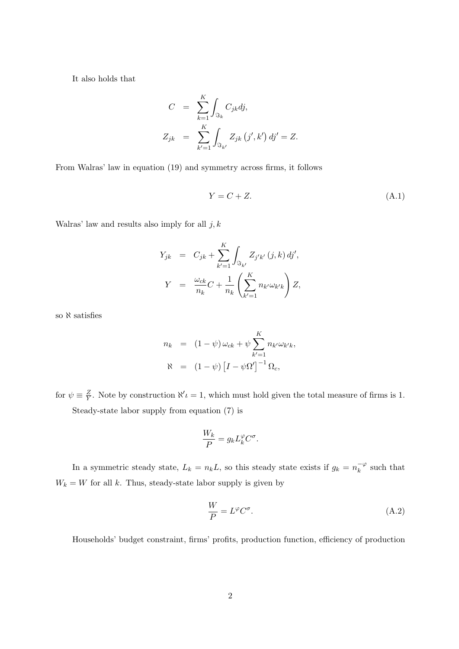It also holds that

$$
C = \sum_{k=1}^{K} \int_{\Im_k} C_{jk} dj,
$$
  
\n
$$
Z_{jk} = \sum_{k'=1}^{K} \int_{\Im_{k'}} Z_{jk} (j', k') dj' = Z.
$$

From Walras' law in equation [\(19\)](#page-11-1) and symmetry across firms, it follows

<span id="page-47-0"></span>
$$
Y = C + Z.\tag{A.1}
$$

Walras' law and results also imply for all  $j, k$ 

$$
Y_{jk} = C_{jk} + \sum_{k'=1}^{K} \int_{\Im_{k'}} Z_{j'k'}(j,k) \, dj',
$$

$$
Y = \frac{\omega_{ck}}{n_k} C + \frac{1}{n_k} \left( \sum_{k'=1}^{K} n_{k'} \omega_{k'k} \right) Z,
$$

so  $\aleph$  satisfies

$$
n_k = (1 - \psi) \omega_{ck} + \psi \sum_{k'=1}^{K} n_{k'} \omega_{k'k},
$$
  

$$
\aleph = (1 - \psi) [I - \psi \Omega']^{-1} \Omega_c,
$$

for  $\psi \equiv \frac{Z}{V}$  $\frac{Z}{Y}$ . Note by construction  $\aleph' \iota = 1$ , which must hold given the total measure of firms is 1. Steady-state labor supply from equation [\(7\)](#page-9-0) is

$$
\frac{W_k}{P} = g_k L_k^{\varphi} C^{\sigma}.
$$

In a symmetric steady state,  $L_k = n_k L$ , so this steady state exists if  $g_k = n_k^{-\varphi}$  $\bar{k}^{\varphi}$  such that  $W_k = W$  for all k. Thus, steady-state labor supply is given by

<span id="page-47-1"></span>
$$
\frac{W}{P} = L^{\varphi} C^{\sigma}.
$$
\n(A.2)

Households' budget constraint, firms' profits, production function, efficiency of production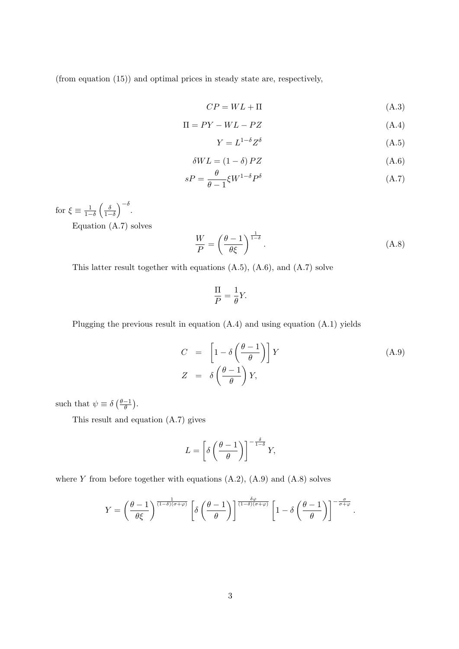(from equation [\(15\)](#page-11-2)) and optimal prices in steady state are, respectively,

<span id="page-48-0"></span>
$$
CP = WL + \Pi \tag{A.3}
$$

$$
\Pi = PY - WL - PZ \tag{A.4}
$$

$$
Y = L^{1-\delta} Z^{\delta} \tag{A.5}
$$

$$
\delta WL = (1 - \delta) PZ \tag{A.6}
$$

$$
sP = \frac{\theta}{\theta - 1} \xi W^{1 - \delta} P^{\delta} \tag{A.7}
$$

for  $\xi \equiv \frac{1}{1-\delta} \left( \frac{\delta}{1-\delta} \right)^{-\delta}$ .

Equation [\(A.7\)](#page-48-0) solves

<span id="page-48-2"></span>
$$
\frac{W}{P} = \left(\frac{\theta - 1}{\theta \xi}\right)^{\frac{1}{1 - \delta}}.\tag{A.8}
$$

This latter result together with equations [\(A.5\)](#page-48-0), [\(A.6\)](#page-48-0), and [\(A.7\)](#page-48-0) solve

$$
\frac{\Pi}{P} = \frac{1}{\theta}Y.
$$

Plugging the previous result in equation [\(A.4\)](#page-48-0) and using equation [\(A.1\)](#page-47-0) yields

<span id="page-48-1"></span>
$$
C = \left[1 - \delta \left(\frac{\theta - 1}{\theta}\right)\right] Y
$$
  
\n
$$
Z = \delta \left(\frac{\theta - 1}{\theta}\right) Y,
$$
\n(A.9)

.

such that  $\psi \equiv \delta \left( \frac{\theta - 1}{\theta} \right)$  $\frac{-1}{\theta}$ ).

This result and equation [\(A.7\)](#page-48-0) gives

$$
L = \left[ \delta \left( \frac{\theta - 1}{\theta} \right) \right]^{-\frac{\delta}{1 - \delta}} Y,
$$

where Y from before together with equations  $(A.2)$ ,  $(A.9)$  and  $(A.8)$  solves

$$
Y = \left(\frac{\theta - 1}{\theta \xi}\right)^{\frac{1}{(1-\delta)(\sigma+\varphi)}} \left[\delta \left(\frac{\theta - 1}{\theta}\right)\right]^{\frac{\delta \varphi}{(1-\delta)(\sigma+\varphi)}} \left[1 - \delta \left(\frac{\theta - 1}{\theta}\right)\right]^{-\frac{\sigma}{\sigma+\varphi}}
$$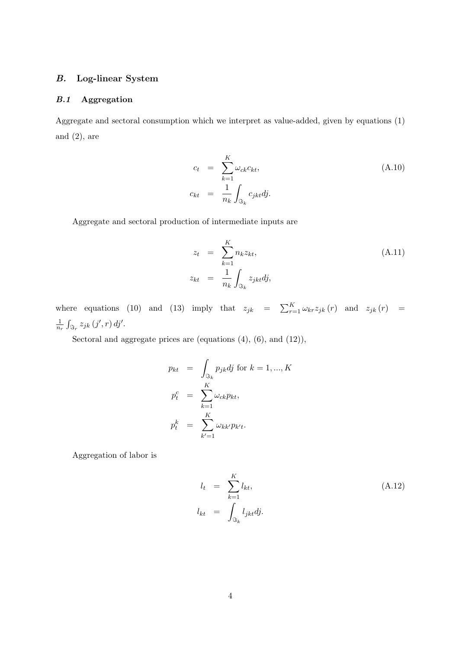# B. Log-linear System

# B.1 Aggregation

Aggregate and sectoral consumption which we interpret as value-added, given by equations [\(1\)](#page-8-0) and  $(2)$ , are

<span id="page-49-1"></span>
$$
c_t = \sum_{k=1}^{K} \omega_{ck} c_{kt},
$$
  
\n
$$
c_{kt} = \frac{1}{n_k} \int_{\Re_k} c_{jkt} dj.
$$
\n(A.10)

Aggregate and sectoral production of intermediate inputs are

<span id="page-49-2"></span>
$$
z_t = \sum_{k=1}^{K} n_k z_{kt},
$$
  
\n
$$
z_{kt} = \frac{1}{n_k} \int_{\Im_k} z_{jkt} dj,
$$
\n(A.11)

where equations [\(10\)](#page-9-2) and [\(13\)](#page-10-0) imply that  $z_{jk} = \sum_{r=1}^{K} \omega_{kr} z_{jk} (r)$  and  $z_{jk} (r) =$ 1  $\frac{1}{n_r}\int_{\Im_r} z_{jk}\left(j',r\right) dj'.$ 

Sectoral and aggregate prices are (equations [\(4\)](#page-8-1), [\(6\)](#page-9-1), and [\(12\)](#page-10-1)),

$$
p_{kt} = \int_{\Im_k} p_{jk} dj \text{ for } k = 1, ..., K
$$
  
\n
$$
p_t^c = \sum_{k=1}^K \omega_{ck} p_{kt},
$$
  
\n
$$
p_t^k = \sum_{k'=1}^K \omega_{kk'} p_{k't}.
$$

Aggregation of labor is

<span id="page-49-0"></span>
$$
l_t = \sum_{k=1}^{K} l_{kt},
$$
  
\n
$$
l_{kt} = \int_{\Im_k} l_{jkt} dj.
$$
\n(A.12)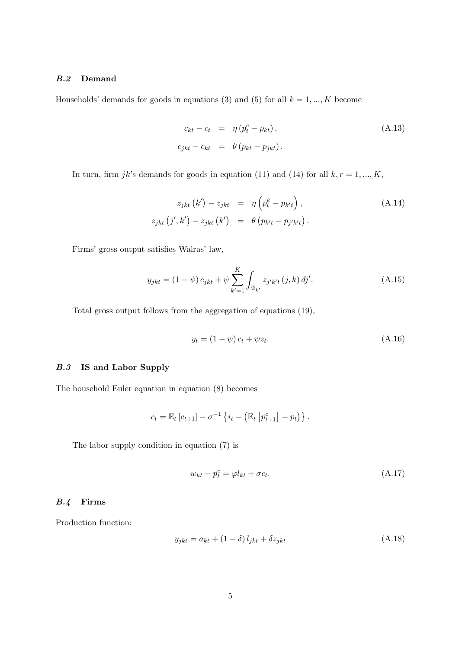# B.2 Demand

Households' demands for goods in equations [\(3\)](#page-8-2) and [\(5\)](#page-9-3) for all  $k = 1, ..., K$  become

<span id="page-50-2"></span>
$$
c_{kt} - c_t = \eta (p_t^c - p_{kt}),
$$
  
\n
$$
c_{jkt} - c_{kt} = \theta (p_{kt} - p_{jkt}).
$$
\n(A.13)

In turn, firm  $jk$ 's demands for goods in equation [\(11\)](#page-10-2) and [\(14\)](#page-10-3) for all  $k, r = 1, ..., K$ ,

<span id="page-50-3"></span>
$$
z_{jkt} (k') - z_{jkt} = \eta \left( p_t^k - p_{k't} \right),
$$
  
\n
$$
z_{jkt} (j', k') - z_{jkt} (k') = \theta \left( p_{k't} - p_{j'k't} \right).
$$
\n(A.14)

Firms' gross output satisfies Walras' law,

<span id="page-50-4"></span>
$$
y_{jkt} = (1 - \psi) c_{jkt} + \psi \sum_{k'=1}^{K} \int_{\Im_{k'}} z_{j'k't} (j, k) dj'.
$$
 (A.15)

Total gross output follows from the aggregation of equations [\(19\)](#page-11-1),

<span id="page-50-5"></span>
$$
y_t = (1 - \psi)c_t + \psi z_t.
$$
 (A.16)

# B.3 IS and Labor Supply

The household Euler equation in equation [\(8\)](#page-9-0) becomes

$$
c_t = \mathbb{E}_t [c_{t+1}] - \sigma^{-1} \{ i_t - (\mathbb{E}_t [p_{t+1}^c] - p_t) \}.
$$

The labor supply condition in equation [\(7\)](#page-9-0) is

<span id="page-50-0"></span>
$$
w_{kt} - p_t^c = \varphi l_{kt} + \sigma c_t.
$$
\n(A.17)

## B.4 Firms

Production function:

<span id="page-50-1"></span>
$$
y_{jkt} = a_{kt} + (1 - \delta) l_{jkt} + \delta z_{jkt}
$$
\n(A.18)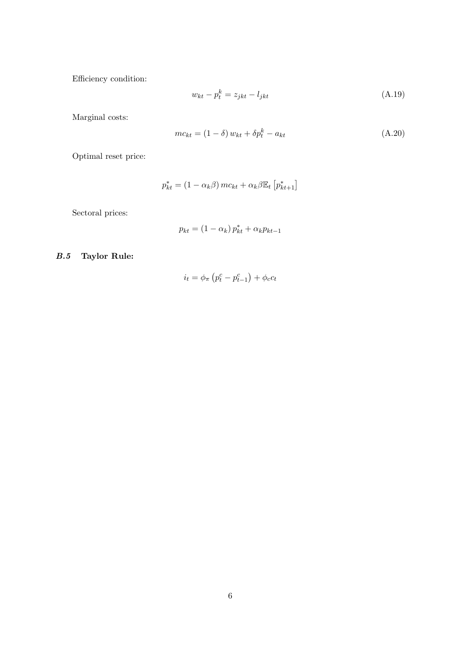Efficiency condition:

<span id="page-51-1"></span>
$$
w_{kt} - p_t^k = z_{jkt} - l_{jkt} \tag{A.19}
$$

Marginal costs:

<span id="page-51-0"></span>
$$
mc_{kt} = (1 - \delta) w_{kt} + \delta p_t^k - a_{kt}
$$
\n(A.20)

Optimal reset price:

$$
p_{kt}^* = (1 - \alpha_k \beta) mc_{kt} + \alpha_k \beta \mathbb{E}_t \left[ p_{kt+1}^* \right]
$$

Sectoral prices:

$$
p_{kt} = (1 - \alpha_k) p_{kt}^* + \alpha_k p_{kt-1}
$$

# B.5 Taylor Rule:

$$
i_t = \phi_\pi \left( p_t^c - p_{t-1}^c \right) + \phi_c c_t
$$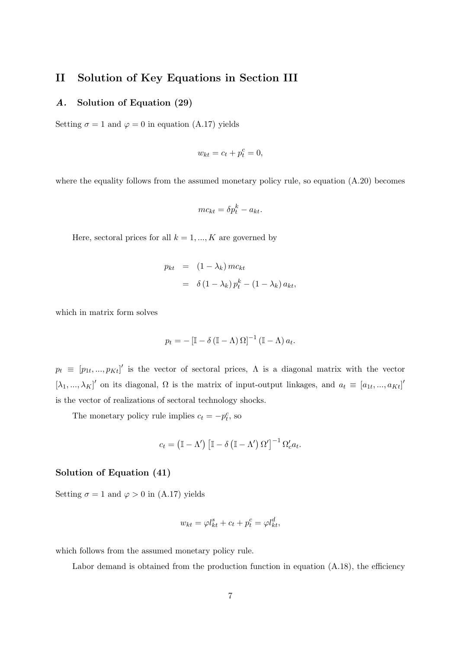# II Solution of Key Equations in Section [III](#page-11-0)

# A. Solution of Equation [\(29\)](#page-18-2)

Setting  $\sigma = 1$  and  $\varphi = 0$  in equation [\(A.17\)](#page-50-0) yields

$$
w_{kt} = c_t + p_t^c = 0,
$$

where the equality follows from the assumed monetary policy rule, so equation  $(A.20)$  becomes

$$
mc_{kt} = \delta p_t^k - a_{kt}.
$$

Here, sectoral prices for all  $k = 1, ..., K$  are governed by

$$
p_{kt} = (1 - \lambda_k) mc_{kt}
$$
  
=  $\delta (1 - \lambda_k) p_t^k - (1 - \lambda_k) a_{kt},$ 

which in matrix form solves

$$
p_t = -\left[\mathbb{I} - \delta\left(\mathbb{I} - \Lambda\right)\Omega\right]^{-1}\left(\mathbb{I} - \Lambda\right)a_t.
$$

 $p_t \equiv [p_{1t},...,p_{Kt}]'$  is the vector of sectoral prices,  $\Lambda$  is a diagonal matrix with the vector  $[\lambda_1, ..., \lambda_K]'$  on its diagonal,  $\Omega$  is the matrix of input-output linkages, and  $a_t \equiv [a_{1t}, ..., a_{Kt}]'$ is the vector of realizations of sectoral technology shocks.

The monetary policy rule implies  $c_t = -p_t^c$ , so

$$
c_t = (\mathbb{I} - \Lambda') \left[ \mathbb{I} - \delta \left( \mathbb{I} - \Lambda' \right) \Omega' \right]^{-1} \Omega'_c a_t.
$$

# Solution of Equation [\(41\)](#page-24-1)

Setting  $\sigma = 1$  and  $\varphi > 0$  in [\(A.17\)](#page-50-0) yields

$$
w_{kt} = \varphi l_{kt}^s + c_t + p_t^c = \varphi l_{kt}^d,
$$

which follows from the assumed monetary policy rule.

Labor demand is obtained from the production function in equation  $(A.18)$ , the efficiency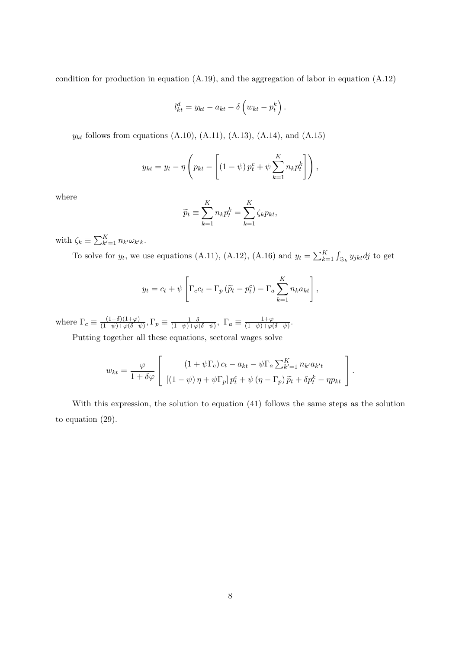condition for production in equation [\(A.19\)](#page-51-1), and the aggregation of labor in equation [\(A.12\)](#page-49-0)

$$
l_{kt}^d = y_{kt} - a_{kt} - \delta \left( w_{kt} - p_t^k \right).
$$

 $y_{kt}$  follows from equations [\(A.10\)](#page-49-1), [\(A.11\)](#page-49-2), [\(A.13\)](#page-50-2), [\(A.14\)](#page-50-3), and [\(A.15\)](#page-50-4)

$$
y_{kt} = y_t - \eta \left( p_{kt} - \left[ \left( 1 - \psi \right) p_t^c + \psi \sum_{k=1}^K n_k p_t^k \right] \right),
$$

where

$$
\widetilde{p}_t \equiv \sum_{k=1}^K n_k p_t^k = \sum_{k=1}^K \zeta_k p_{kt},
$$

with  $\zeta_k \equiv \sum_{k'=1}^K n_{k'} \omega_{k'k}$ .

To solve for  $y_t$ , we use equations [\(A.11\)](#page-49-2), [\(A.12\)](#page-49-0), [\(A.16\)](#page-50-5) and  $y_t = \sum_{k=1}^{K} \int_{\Im_k} y_{jkt} dy$  to get

$$
y_t = c_t + \psi \left[ \Gamma_c c_t - \Gamma_p \left( \widetilde{p}_t - p_t^c \right) - \Gamma_a \sum_{k=1}^K n_k a_{kt} \right],
$$

where  $\Gamma_c \equiv \frac{(1-\delta)(1+\varphi)}{(1-\psi)+\varphi(\delta-\psi)}$  $\frac{(1-\delta)(1+\varphi)}{(1-\psi)+\varphi(\delta-\psi)},$   $\Gamma_p\equiv\frac{1-\delta}{(1-\psi)+\varphi}$  $\frac{1-\delta}{(1-\psi)+\varphi(\delta-\psi)}, \ \Gamma_a \equiv \frac{1+\varphi}{(1-\psi)+\varphi(\phi)}$  $\frac{1+\varphi}{(1-\psi)+\varphi(\delta-\psi)}.$ 

Putting together all these equations, sectoral wages solve

$$
w_{kt} = \frac{\varphi}{1 + \delta\varphi} \left[ \frac{\left(1 + \psi\Gamma_c\right)c_t - a_{kt} - \psi\Gamma_a \sum_{k'=1}^K n_{k'}a_{k'}t}{\left[\left(1 - \psi\right)\eta + \psi\Gamma_p\right)p_t^c + \psi\left(\eta - \Gamma_p\right)\widetilde{p}_t + \delta p_t^k - \eta p_{kt}} \right].
$$

With this expression, the solution to equation [\(41\)](#page-24-1) follows the same steps as the solution to equation [\(29\)](#page-18-2).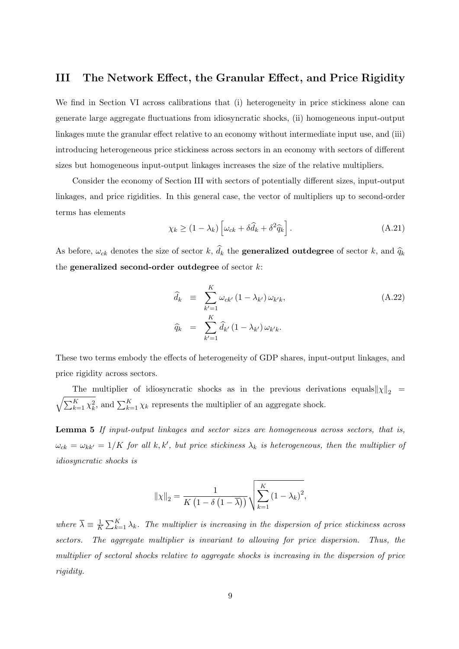# III The Network Effect, the Granular Effect, and Price Rigidity

We find in Section [VI](#page-31-0) across calibrations that (i) heterogeneity in price stickiness alone can generate large aggregate fluctuations from idiosyncratic shocks, (ii) homogeneous input-output linkages mute the granular effect relative to an economy without intermediate input use, and (iii) introducing heterogeneous price stickiness across sectors in an economy with sectors of different sizes but homogeneous input-output linkages increases the size of the relative multipliers.

Consider the economy of Section [III](#page-11-0) with sectors of potentially different sizes, input-output linkages, and price rigidities. In this general case, the vector of multipliers up to second-order terms has elements

$$
\chi_k \ge (1 - \lambda_k) \left[ \omega_{ck} + \delta \widehat{d}_k + \delta^2 \widehat{q}_k \right]. \tag{A.21}
$$

As before,  $\omega_{ck}$  denotes the size of sector k,  $d_k$  the **generalized outdegree** of sector k, and  $\hat{q}_k$ the generalized second-order outdegree of sector  $k$ :

$$
\widehat{d}_k \equiv \sum_{k'=1}^K \omega_{ck'} (1 - \lambda_{k'}) \omega_{k'k},
$$
\n
$$
\widehat{q}_k = \sum_{k'=1}^K \widehat{d}_{k'} (1 - \lambda_{k'}) \omega_{k'k}.
$$
\n(A.22)

These two terms embody the effects of heterogeneity of GDP shares, input-output linkages, and price rigidity across sectors.

The multiplier of idiosyncratic shocks as in the previous derivations equals  $||\chi||_2$  =  $\sqrt{\sum_{k=1}^K \chi_k^2}$ , and  $\sum_{k=1}^K \chi_k$  represents the multiplier of an aggregate shock.

<span id="page-54-0"></span>Lemma 5 If input-output linkages and sector sizes are homogeneous across sectors, that is,  $\omega_{ck} = \omega_{kk'} = 1/K$  for all k, k', but price stickiness  $\lambda_k$  is heterogeneous, then the multiplier of idiosyncratic shocks is

$$
\|\chi\|_2 = \frac{1}{K\left(1 - \delta\left(1 - \overline{\lambda}\right)\right)} \sqrt{\sum_{k=1}^K \left(1 - \lambda_k\right)^2},
$$

where  $\overline{\lambda} \equiv \frac{1}{K}$  $\frac{1}{K}\sum_{k=1}^{K} \lambda_k$ . The multiplier is increasing in the dispersion of price stickiness across sectors. The aggregate multiplier is invariant to allowing for price dispersion. Thus, the multiplier of sectoral shocks relative to aggregate shocks is increasing in the dispersion of price rigidity.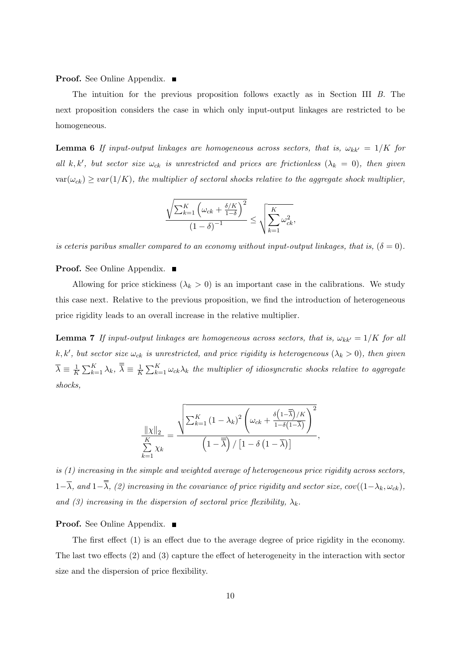**Proof.** See Online Appendix. ■

The intuition for the previous proposition follows exactly as in Section [III](#page-11-0) [B.](#page-13-1) The next proposition considers the case in which only input-output linkages are restricted to be homogeneous.

<span id="page-55-0"></span>**Lemma 6** If input-output linkages are homogeneous across sectors, that is,  $\omega_{kk'} = 1/K$  for all k, k', but sector size  $\omega_{ck}$  is unrestricted and prices are frictionless  $(\lambda_k = 0)$ , then given  $var(\omega_{ck}) \geq var(1/K)$ , the multiplier of sectoral shocks relative to the aggregate shock multiplier,

$$
\frac{\sqrt{\sum_{k=1}^{K} \left(\omega_{ck} + \frac{\delta/K}{1-\delta}\right)^2}}{\left(1-\delta\right)^{-1}} \leq \sqrt{\sum_{k=1}^{K} \omega_{ck}^2},
$$

is ceteris paribus smaller compared to an economy without input-output linkages, that is,  $(\delta = 0)$ .

**Proof.** See Online Appendix. ■

Allowing for price stickiness  $(\lambda_k > 0)$  is an important case in the calibrations. We study this case next. Relative to the previous proposition, we find the introduction of heterogeneous price rigidity leads to an overall increase in the relative multiplier.

<span id="page-55-1"></span>**Lemma 7** If input-output linkages are homogeneous across sectors, that is,  $\omega_{kk'} = 1/K$  for all k, k', but sector size  $\omega_{ck}$  is unrestricted, and price rigidity is heterogeneous  $(\lambda_k > 0)$ , then given  $\overline{\lambda} \equiv \frac{1}{k}$  $\frac{1}{K}\sum_{k=1}^K \lambda_k$ ,  $\overline{\overline{\lambda}} \equiv \frac{1}{K}$  $\frac{1}{K}\sum_{k=1}^{K} \omega_{ck} \lambda_k$  the multiplier of idiosyncratic shocks relative to aggregate shocks,

$$
\frac{\|\chi\|_2}{\sum_{k=1}^K \chi_k} = \frac{\sqrt{\sum_{k=1}^K (1-\lambda_k)^2 \left(\omega_{ck} + \frac{\delta \left(1-\overline{\overline{\lambda}}\right)/K}{1-\delta \left(1-\overline{\lambda}\right)}\right)^2}}}{\left(1-\overline{\overline{\lambda}}\right)/\left[1-\delta \left(1-\overline{\lambda}\right)\right]},
$$

is (1) increasing in the simple and weighted average of heterogeneous price rigidity across sectors,  $1-\overline{\lambda}$ , and  $1-\overline{\overline{\lambda}}$ , (2) increasing in the covariance of price rigidity and sector size, cov( $(1-\lambda_k, \omega_{ck})$ , and (3) increasing in the dispersion of sectoral price flexibility,  $\lambda_k$ .

### **Proof.** See Online Appendix. ■

The first effect (1) is an effect due to the average degree of price rigidity in the economy. The last two effects (2) and (3) capture the effect of heterogeneity in the interaction with sector size and the dispersion of price flexibility.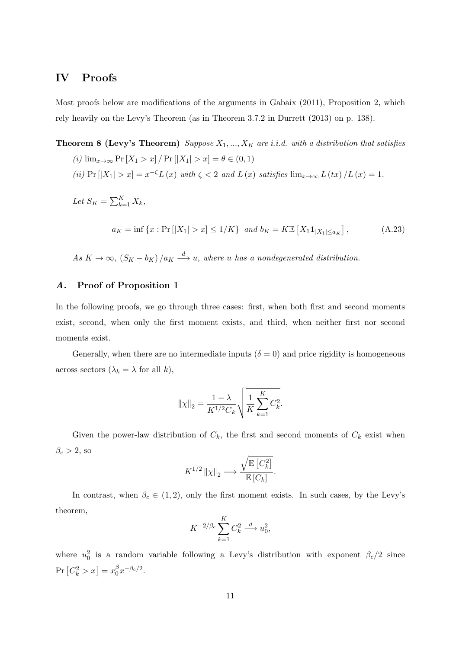# IV Proofs

Most proofs below are modifications of the arguments in [Gabaix](#page-39-2) [\(2011\)](#page-39-2), Proposition 2, which rely heavily on the Levy's Theorem (as in Theorem 3.7.2 in [Durrett](#page-39-20) [\(2013\)](#page-39-20) on p. 138).

# **Theorem 8 (Levy's Theorem)** Suppose  $X_1, ..., X_K$  are i.i.d. with a distribution that satisfies

- (i)  $\lim_{x \to \infty} \Pr[X_1 > x] / \Pr[|X_1| > x] = \theta \in (0, 1)$
- (ii)  $Pr [|X_1| > x] = x^{-\zeta} L(x)$  with  $\zeta < 2$  and  $L(x)$  satisfies  $\lim_{x\to\infty} L(tx) / L(x) = 1$ .

$$
Let S_K = \sum_{k=1}^K X_k,
$$

$$
a_K = \inf \{ x : \Pr[|X_1| > x] \le 1/K \} \text{ and } b_K = K \mathbb{E} \left[ X_1 \mathbf{1}_{|X_1| \le a_K} \right], \tag{A.23}
$$

As  $K \to \infty$ ,  $(S_K - b_K) / a_K \stackrel{d}{\longrightarrow} u$ , where u has a nondegenerated distribution.

### A. Proof of Proposition [1](#page-14-0)

In the following proofs, we go through three cases: first, when both first and second moments exist, second, when only the first moment exists, and third, when neither first nor second moments exist.

Generally, when there are no intermediate inputs ( $\delta = 0$ ) and price rigidity is homogeneous across sectors  $(\lambda_k = \lambda \text{ for all } k),$ 

$$
\|\chi\|_2 = \frac{1-\lambda}{K^{1/2}\overline{C}_k} \sqrt{\frac{1}{K} \sum_{k=1}^K C_k^2}.
$$

Given the power-law distribution of  $C_k$ , the first and second moments of  $C_k$  exist when  $\beta_c > 2$ , so

$$
K^{1/2} \left\| \chi \right\|_2 \longrightarrow \frac{\sqrt{\mathbb{E} \left[ C_k^2 \right]}}{\mathbb{E} \left[ C_k \right]}.
$$

In contrast, when  $\beta_c \in (1, 2)$ , only the first moment exists. In such cases, by the Levy's theorem,

$$
K^{-2/\beta_c} \sum_{k=1}^K C_k^2 \stackrel{d}{\longrightarrow} u_0^2,
$$

where  $u_0^2$  is a random variable following a Levy's distribution with exponent  $\beta_c/2$  since  $\Pr\left[C_{k}^{2}>x\right]=x_{0}^{\beta}$  $\int\limits_0^\beta x^{-\beta_c/2}.$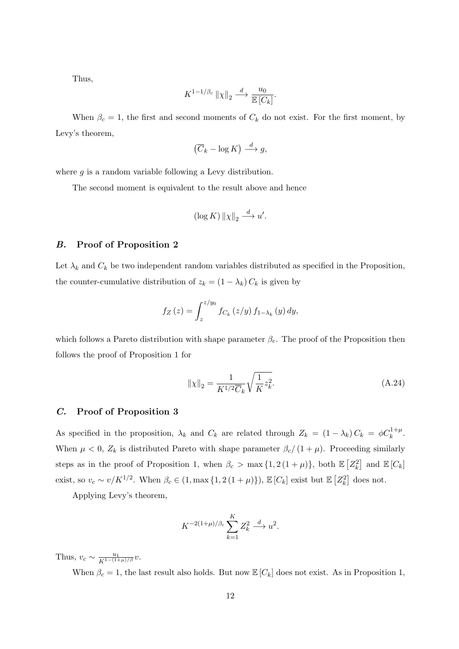Thus,

$$
K^{1-1/\beta_c} \left\| \chi \right\|_2 \stackrel{d}{\longrightarrow} \frac{u_0}{\mathbb{E}\left[C_k\right]}.
$$

When  $\beta_c = 1$ , the first and second moments of  $C_k$  do not exist. For the first moment, by Levy's theorem,

$$
(\overline{C}_k - \log K) \stackrel{d}{\longrightarrow} g,
$$

where  $g$  is a random variable following a Levy distribution.

The second moment is equivalent to the result above and hence

$$
(\log K) \| \chi \|_2 \stackrel{d}{\longrightarrow} u'.
$$

### B. Proof of Proposition [2](#page-15-1)

Let  $\lambda_k$  and  $C_k$  be two independent random variables distributed as specified in the Proposition, the counter-cumulative distribution of  $z_k = (1 - \lambda_k) C_k$  is given by

$$
f_Z\left(z\right) = \int_z^{z/y_0} f_{C_k}\left(z/y\right) f_{1-\lambda_k}\left(y\right) dy,
$$

which follows a Pareto distribution with shape parameter  $\beta_c$ . The proof of the Proposition then follows the proof of Proposition [1](#page-14-0) for

$$
\|\chi\|_2 = \frac{1}{K^{1/2}\overline{C}_k} \sqrt{\frac{1}{K}z_k^2}.
$$
 (A.24)

### C. Proof of Proposition [3](#page-16-0)

As specified in the proposition,  $\lambda_k$  and  $C_k$  are related through  $Z_k = (1 - \lambda_k) C_k = \phi C_k^{1 + \mu}$ . When  $\mu < 0$ ,  $Z_k$  is distributed Pareto with shape parameter  $\beta_c/(1+\mu)$ . Proceeding similarly steps as in the proof of Proposition [1,](#page-14-0) when  $\beta_c > \max\{1, 2(1+\mu)\}\$ , both  $\mathbb{E}\left[Z_k^2\right]$  and  $\mathbb{E}\left[C_k\right]$ exist, so  $v_c \sim v/K^{1/2}$ . When  $\beta_c \in (1, \max\{1, 2(1+\mu)\})$ ,  $\mathbb{E}[C_k]$  exist but  $\mathbb{E}[Z_k^2]$  does not.

Applying Levy's theorem,

$$
K^{-2(1+\mu)/\beta_c} \sum_{k=1}^K Z_k^2 \stackrel{d}{\longrightarrow} u^2.
$$

Thus,  $v_c \sim \frac{u_1}{K^{1-(1+\mu)/\beta}} v$ .

When  $\beta_c = 1$ , the last result also holds. But now  $\mathbb{E}[C_k]$  does not exist. As in Proposition [1,](#page-14-0)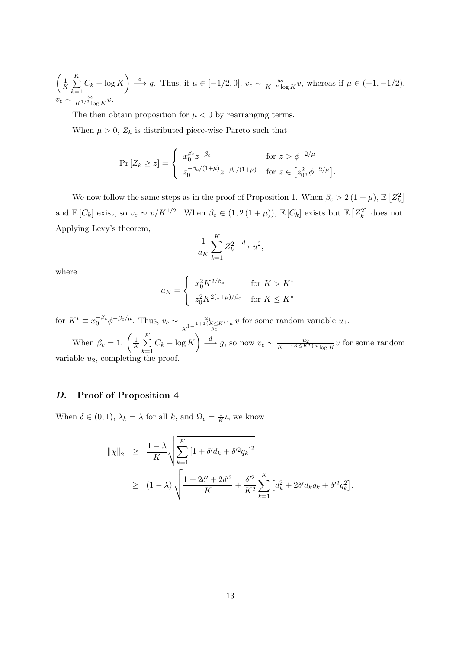$$
\left(\frac{1}{K}\sum_{k=1}^{K}C_k - \log K\right) \stackrel{d}{\longrightarrow} g.
$$
 Thus, if  $\mu \in [-1/2, 0]$ ,  $v_c \sim \frac{u_2}{K^{-\mu} \log K}v$ , whereas if  $\mu \in (-1, -1/2)$ ,  $v_c \sim \frac{u_2}{K^{1/2} \log K}v$ .

The then obtain proposition for  $\mu < 0$  by rearranging terms.

When  $\mu > 0$ ,  $Z_k$  is distributed piece-wise Pareto such that

$$
\Pr\left[Z_k \ge z\right] = \begin{cases} x_0^{\beta_c} z^{-\beta_c} & \text{for } z > \phi^{-2/\mu} \\ z_0^{-\beta_c/(1+\mu)} z^{-\beta_c/(1+\mu)} & \text{for } z \in \left[z_0^2, \phi^{-2/\mu}\right]. \end{cases}
$$

We now follow the same steps as in the proof of Proposition [1.](#page-14-0) When  $\beta_c > 2(1 + \mu)$ ,  $\mathbb{E}\left[ Z_k^2 \right]$ and  $\mathbb{E}[C_k]$  exist, so  $v_c \sim v/K^{1/2}$ . When  $\beta_c \in (1, 2(1+\mu))$ ,  $\mathbb{E}[C_k]$  exists but  $\mathbb{E}[Z_k^2]$  does not. Applying Levy's theorem,

$$
\frac{1}{a_K} \sum_{k=1}^K Z_k^2 \stackrel{d}{\longrightarrow} u^2,
$$

where

$$
a_K = \begin{cases} x_0^2 K^{2/\beta_c} & \text{for } K > K^*\\ z_0^2 K^{2(1+\mu)/\beta_c} & \text{for } K \le K^* \end{cases}
$$

for  $K^* \equiv x_0^{-\beta_c} \phi^{-\beta_c/\mu}$ . Thus,  $v_c \sim \frac{u_1}{1-\frac{1+1}{2}}$  $\frac{u_1}{K^{1-\frac{1+1\{K\leq K^*\}\mu}{\beta_c}}}v$  for some random variable  $u_1$ .

When  $\beta_c = 1$ ,  $\left(\frac{1}{K}\right)$  $\frac{1}{K}\sum_{i=1}^{K}$  $k=1$  $C_k - \log K$   $\longrightarrow$  g, so now  $v_c \sim \frac{u_2}{K^{-1}\{K \leq K^*\} \mu \log K} v$  for some random variable  $u_2$ , completing the proof.

# D. Proof of Proposition [4](#page-19-0)

When  $\delta \in (0,1)$ ,  $\lambda_k = \lambda$  for all k, and  $\Omega_c = \frac{1}{k}$  $\frac{1}{K}$ *ι*, we know

$$
\begin{array}{rcl} \|\chi\|_2 & \geq & \frac{1-\lambda}{K} \sqrt{\sum_{k=1}^K \left[1+\delta'd_k+\delta'^2q_k\right]^2} \\ & \geq & (1-\lambda) \sqrt{\frac{1+2\delta'+2\delta'^2}{K}+\frac{\delta'^2}{K^2}\sum_{k=1}^K \left[d_k^2+2\delta'd_kq_k+\delta'^2q_k^2\right]}. \end{array}
$$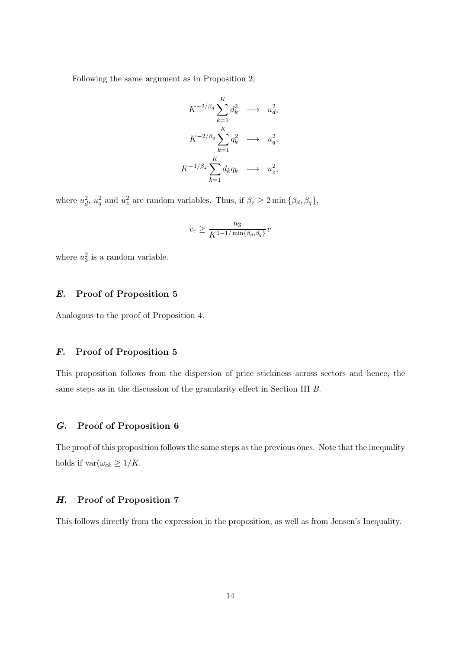Following the same argument as in Proposition [2,](#page-15-1)

$$
K^{-2/\beta_d} \sum_{k=1}^K d_k^2 \longrightarrow u_d^2,
$$
  
\n
$$
K^{-2/\beta_q} \sum_{k=1}^K q_k^2 \longrightarrow u_q^2,
$$
  
\n
$$
K^{-1/\beta_z} \sum_{k=1}^K d_k q_k \longrightarrow u_z^2,
$$

where  $u_d^2$ ,  $u_q^2$  and  $u_z^2$  are random variables. Thus, if  $\beta_z \ge 2 \min{\{\beta_d, \beta_q\}}$ ,

$$
v_c \geq \frac{u_3}{K^{1-1/\min\{\beta_d,\beta_q\}}}v
$$

where  $u_3^2$  is a random variable.

# E. Proof of Proposition [5](#page-21-0)

Analogous to the proof of Proposition 4.

# F. Proof of Proposition [5](#page-54-0)

This proposition follows from the dispersion of price stickiness across sectors and hence, the same steps as in the discussion of the granularity effect in Section [III](#page-11-0) [B.](#page-13-1)

## G. Proof of Proposition [6](#page-55-0)

The proof of this proposition follows the same steps as the previous ones. Note that the inequality holds if  $\text{var}(\omega_{ck} \geq 1/K$ .

### H. Proof of Proposition [7](#page-55-1)

This follows directly from the expression in the proposition, as well as from Jensen's Inequality.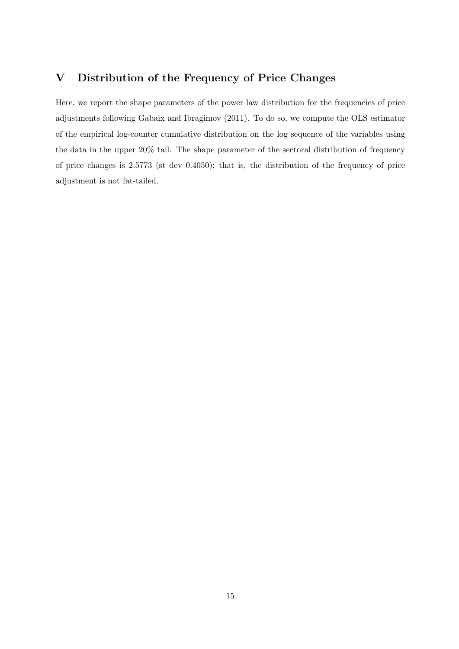# V Distribution of the Frequency of Price Changes

Here, we report the shape parameters of the power law distribution for the frequencies of price adjustments following [Gabaix and Ibragimov](#page-39-21) [\(2011\)](#page-39-21). To do so, we compute the OLS estimator of the empirical log-counter cumulative distribution on the log sequence of the variables using the data in the upper 20% tail. The shape parameter of the sectoral distribution of frequency of price changes is 2.5773 (st dev 0.4050); that is, the distribution of the frequency of price adjustment is not fat-tailed.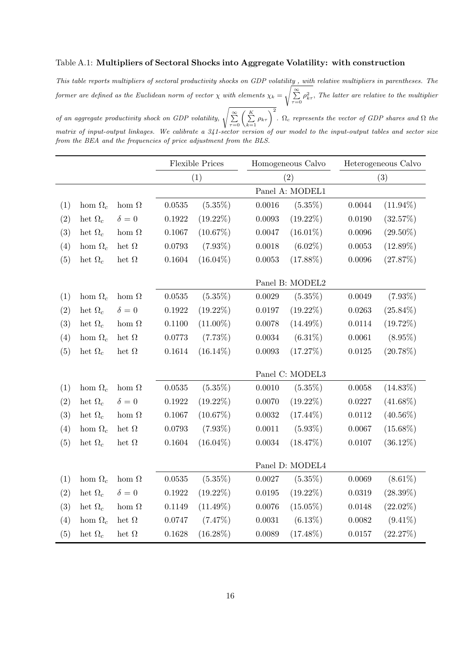# Table A.1: Multipliers of Sectoral Shocks into Aggregate Volatility: with construction

This table reports multipliers of sectoral productivity shocks on GDP volatility , with relative multipliers in parentheses. The former are defined as the Euclidean norm of vector  $\chi$  with elements  $\chi_k =$  $\sqrt{\sum_{\tau=0}^{\infty} \rho_{k\tau}^2}$ , The latter are relative to the multiplier

of an aggregate productivity shock on GDP volatility,  $\sqrt{\sum_{\tau=0}^{\infty} \left(\sum_{k=1}^{K} \rho_{k\tau}\right)^2}$ .  $\Omega_c$  represents the vector of GDP shares and  $\Omega$  the matrix of input-output linkages. We calibrate a 341-sector version of our model to the input-output tables and sector size from the BEA and the frequencies of price adjustment from the BLS.

|     |                |              | <b>Flexible Prices</b> |             |                 | Homogeneous Calvo |              | Heterogeneous Calvo |  |
|-----|----------------|--------------|------------------------|-------------|-----------------|-------------------|--------------|---------------------|--|
|     |                |              |                        | (1)         |                 | (2)               |              | (3)                 |  |
|     |                |              |                        |             |                 | Panel A: MODEL1   |              |                     |  |
| (1) | hom $\Omega_c$ | hom $\Omega$ | 0.0535                 | $(5.35\%)$  | 0.0016          | $(5.35\%)$        | 0.0044       | $(11.94\%)$         |  |
| (2) | het $\Omega_c$ | $\delta = 0$ | 0.1922                 | $(19.22\%)$ | 0.0093          | $(19.22\%)$       | 0.0190       | (32.57%)            |  |
| (3) | het $\Omega_c$ | hom $\Omega$ | 0.1067                 | $(10.67\%)$ | 0.0047          | $(16.01\%)$       | 0.0096       | $(29.50\%)$         |  |
| (4) | hom $\Omega_c$ | het $\Omega$ | 0.0793                 | $(7.93\%)$  | 0.0018          | $(6.02\%)$        | $\,0.0053\,$ | $(12.89\%)$         |  |
| (5) | het $\Omega_c$ | het $\Omega$ | 0.1604                 | $(16.04\%)$ | $\,0.0053\,$    | $(17.88\%)$       | $0.0096\,$   | (27.87%)            |  |
|     |                |              |                        |             | Panel B: MODEL2 |                   |              |                     |  |
| (1) | hom $\Omega_c$ | hom $\Omega$ | 0.0535                 | $(5.35\%)$  | 0.0029          | $(5.35\%)$        | 0.0049       | $(7.93\%)$          |  |
| (2) | het $\Omega_c$ | $\delta = 0$ | 0.1922                 | $(19.22\%)$ | 0.0197          | $(19.22\%)$       | 0.0263       | $(25.84\%)$         |  |
| (3) | het $\Omega_c$ | hom $\Omega$ | 0.1100                 | $(11.00\%)$ | 0.0078          | $(14.49\%)$       | 0.0114       | (19.72%)            |  |
| (4) | hom $\Omega_c$ | het $\Omega$ | 0.0773                 | $(7.73\%)$  | 0.0034          | $(6.31\%)$        | 0.0061       | $(8.95\%)$          |  |
| (5) | het $\Omega_c$ | het $\Omega$ | 0.1614                 | $(16.14\%)$ | 0.0093          | (17.27%)          | 0.0125       | $(20.78\%)$         |  |
|     |                |              |                        |             |                 | Panel C: MODEL3   |              |                     |  |
| (1) | hom $\Omega_c$ | hom $\Omega$ | 0.0535                 | $(5.35\%)$  | 0.0010          | $(5.35\%)$        | $0.0058\,$   | $(14.83\%)$         |  |
| (2) | het $\Omega_c$ | $\delta = 0$ | 0.1922                 | $(19.22\%)$ | 0.0070          | $(19.22\%)$       | 0.0227       | $(41.68\%)$         |  |
| (3) | het $\Omega_c$ | hom $\Omega$ | 0.1067                 | (10.67%)    | $0.0032\,$      | $(17.44\%)$       | 0.0112       | $(40.56\%)$         |  |
| (4) | hom $\Omega_c$ | het $\Omega$ | 0.0793                 | $(7.93\%)$  | 0.0011          | $(5.93\%)$        | 0.0067       | $(15.68\%)$         |  |
| (5) | het $\Omega_c$ | het $\Omega$ | 0.1604                 | $(16.04\%)$ | $\,0.0034\,$    | (18.47%)          | 0.0107       | $(36.12\%)$         |  |
|     |                |              | Panel D: MODEL4        |             |                 |                   |              |                     |  |
| (1) | hom $\Omega_c$ | hom $\Omega$ | 0.0535                 | $(5.35\%)$  | 0.0027          | $(5.35\%)$        | 0.0069       | $(8.61\%)$          |  |
| (2) | het $\Omega_c$ | $\delta = 0$ | 0.1922                 | $(19.22\%)$ | 0.0195          | $(19.22\%)$       | 0.0319       | $(28.39\%)$         |  |
| (3) | het $\Omega_c$ | hom $\Omega$ | 0.1149                 | $(11.49\%)$ | $0.0076\,$      | $(15.05\%)$       | 0.0148       | $(22.02\%)$         |  |
| (4) | hom $\Omega_c$ | het $\Omega$ | 0.0747                 | (7.47%)     | $\,0.0031\,$    | $(6.13\%)$        | $\,0.0082\,$ | $(9.41\%)$          |  |
| (5) | het $\Omega_c$ | het $\Omega$ | 0.1628                 | $(16.28\%)$ | 0.0089          | $(17.48\%)$       | 0.0157       | (22.27%)            |  |